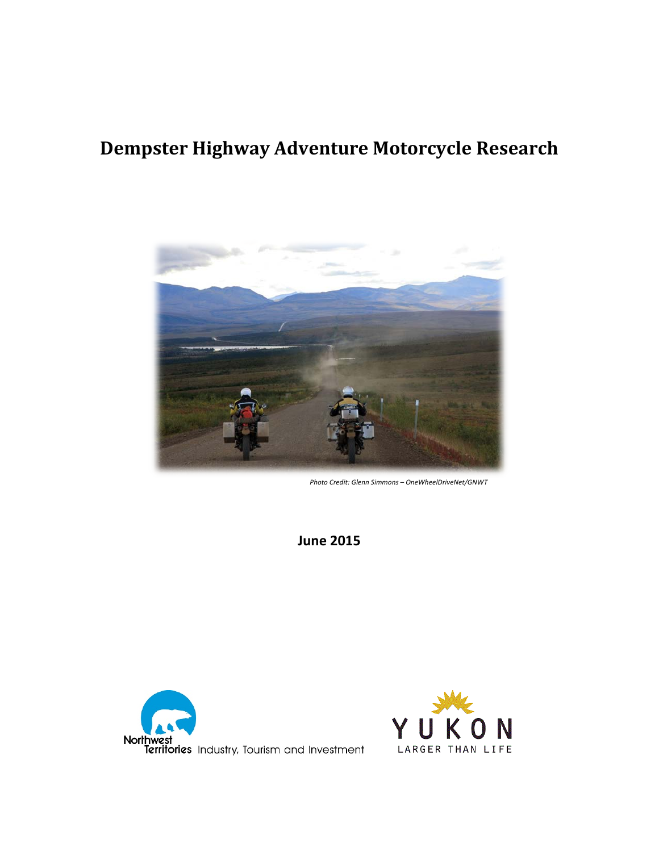## **Dempster Highway Adventure Motorcycle Research**



*Photo Credit: Glenn Simmons – OneWheelDriveNet/GNWT*

**June 2015**



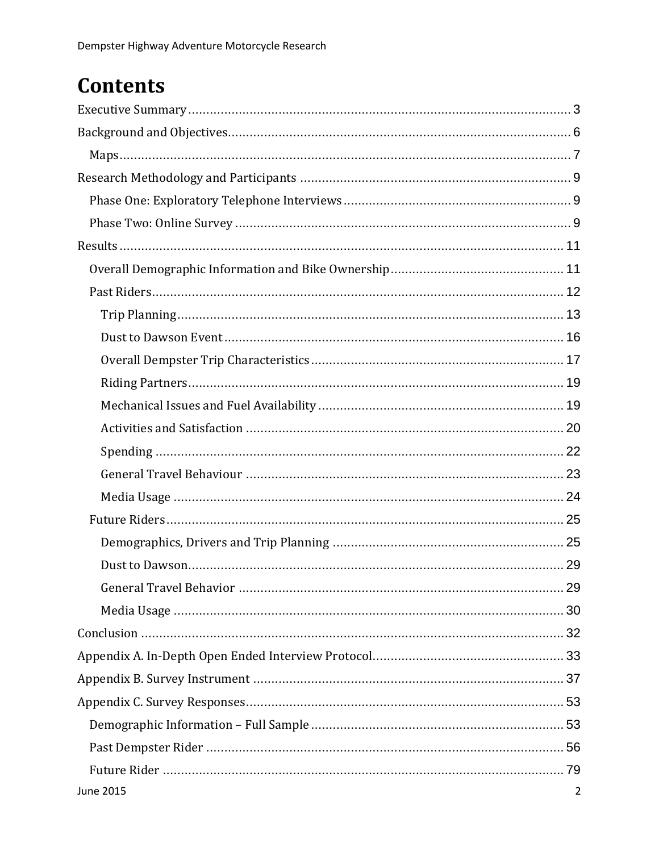# **Contents**

| <b>June 2015</b><br>2 |
|-----------------------|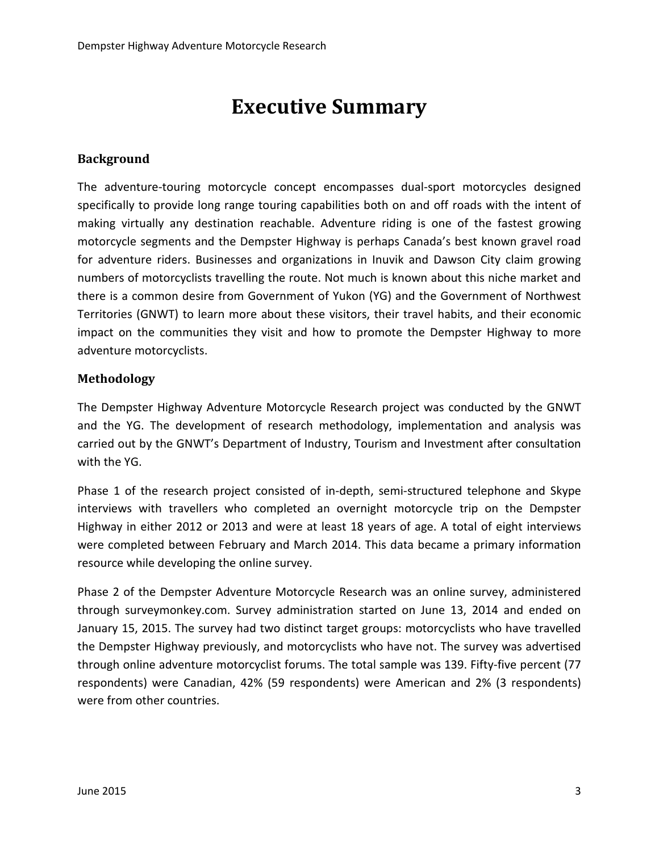# **Executive Summary**

#### <span id="page-2-0"></span>**Background**

The adventure-touring motorcycle concept encompasses dual-sport motorcycles designed specifically to provide long range touring capabilities both on and off roads with the intent of making virtually any destination reachable. Adventure riding is one of the fastest growing motorcycle segments and the Dempster Highway is perhaps Canada's best known gravel road for adventure riders. Businesses and organizations in Inuvik and Dawson City claim growing numbers of motorcyclists travelling the route. Not much is known about this niche market and there is a common desire from Government of Yukon (YG) and the Government of Northwest Territories (GNWT) to learn more about these visitors, their travel habits, and their economic impact on the communities they visit and how to promote the Dempster Highway to more adventure motorcyclists.

#### **Methodology**

The Dempster Highway Adventure Motorcycle Research project was conducted by the GNWT and the YG. The development of research methodology, implementation and analysis was carried out by the GNWT's Department of Industry, Tourism and Investment after consultation with the YG.

Phase 1 of the research project consisted of in-depth, semi-structured telephone and Skype interviews with travellers who completed an overnight motorcycle trip on the Dempster Highway in either 2012 or 2013 and were at least 18 years of age. A total of eight interviews were completed between February and March 2014. This data became a primary information resource while developing the online survey.

Phase 2 of the Dempster Adventure Motorcycle Research was an online survey, administered through surveymonkey.com. Survey administration started on June 13, 2014 and ended on January 15, 2015. The survey had two distinct target groups: motorcyclists who have travelled the Dempster Highway previously, and motorcyclists who have not. The survey was advertised through online adventure motorcyclist forums. The total sample was 139. Fifty-five percent (77 respondents) were Canadian, 42% (59 respondents) were American and 2% (3 respondents) were from other countries.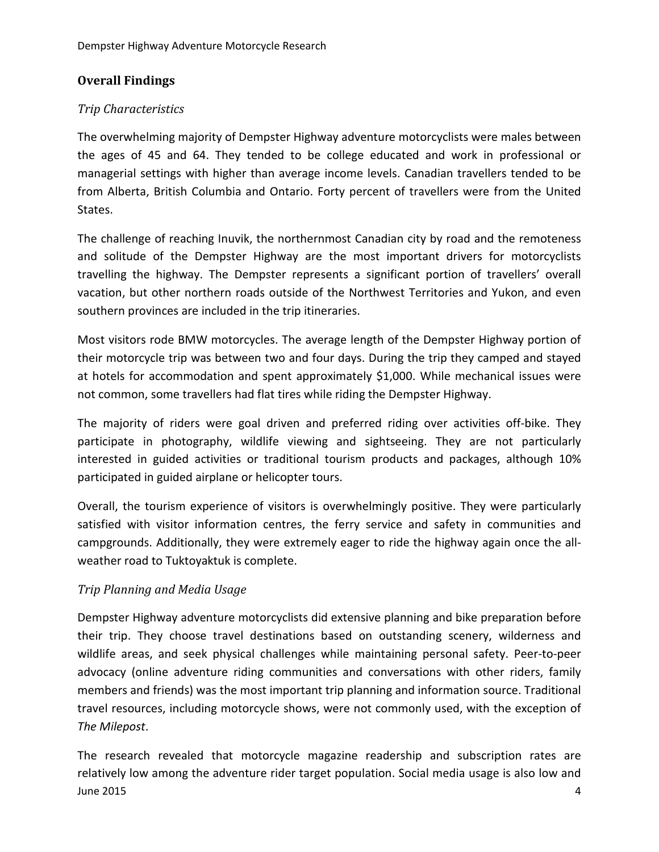### **Overall Findings**

#### *Trip Characteristics*

The overwhelming majority of Dempster Highway adventure motorcyclists were males between the ages of 45 and 64. They tended to be college educated and work in professional or managerial settings with higher than average income levels. Canadian travellers tended to be from Alberta, British Columbia and Ontario. Forty percent of travellers were from the United States.

The challenge of reaching Inuvik, the northernmost Canadian city by road and the remoteness and solitude of the Dempster Highway are the most important drivers for motorcyclists travelling the highway. The Dempster represents a significant portion of travellers' overall vacation, but other northern roads outside of the Northwest Territories and Yukon, and even southern provinces are included in the trip itineraries.

Most visitors rode BMW motorcycles. The average length of the Dempster Highway portion of their motorcycle trip was between two and four days. During the trip they camped and stayed at hotels for accommodation and spent approximately \$1,000. While mechanical issues were not common, some travellers had flat tires while riding the Dempster Highway.

The majority of riders were goal driven and preferred riding over activities off-bike. They participate in photography, wildlife viewing and sightseeing. They are not particularly interested in guided activities or traditional tourism products and packages, although 10% participated in guided airplane or helicopter tours.

Overall, the tourism experience of visitors is overwhelmingly positive. They were particularly satisfied with visitor information centres, the ferry service and safety in communities and campgrounds. Additionally, they were extremely eager to ride the highway again once the allweather road to Tuktoyaktuk is complete.

#### *Trip Planning and Media Usage*

Dempster Highway adventure motorcyclists did extensive planning and bike preparation before their trip. They choose travel destinations based on outstanding scenery, wilderness and wildlife areas, and seek physical challenges while maintaining personal safety. Peer-to-peer advocacy (online adventure riding communities and conversations with other riders, family members and friends) was the most important trip planning and information source. Traditional travel resources, including motorcycle shows, were not commonly used, with the exception of *The Milepost*.

June 2015 4 The research revealed that motorcycle magazine readership and subscription rates are relatively low among the adventure rider target population. Social media usage is also low and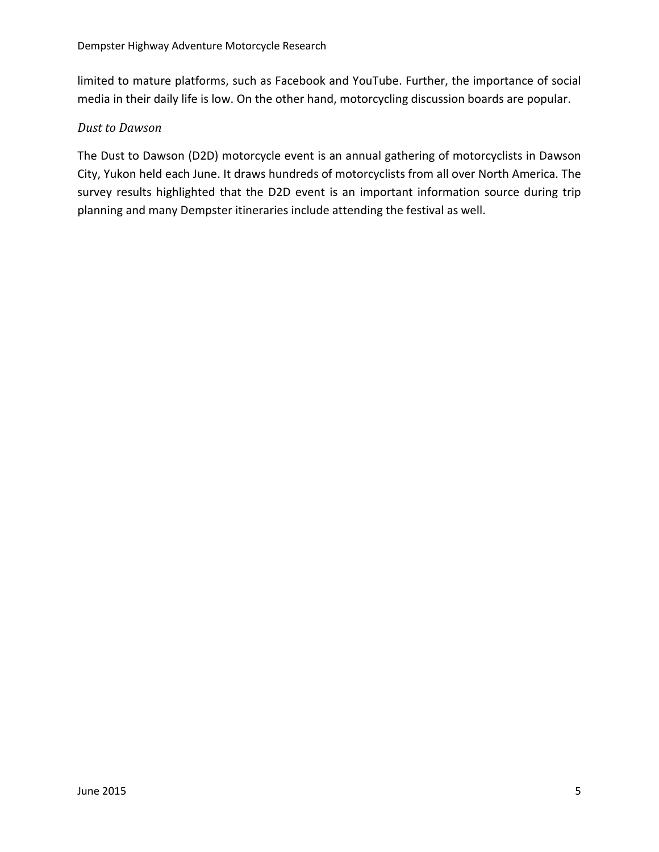limited to mature platforms, such as Facebook and YouTube. Further, the importance of social media in their daily life is low. On the other hand, motorcycling discussion boards are popular.

#### *Dust to Dawson*

The Dust to Dawson (D2D) motorcycle event is an annual gathering of motorcyclists in Dawson City, Yukon held each June. It draws hundreds of motorcyclists from all over North America. The survey results highlighted that the D2D event is an important information source during trip planning and many Dempster itineraries include attending the festival as well.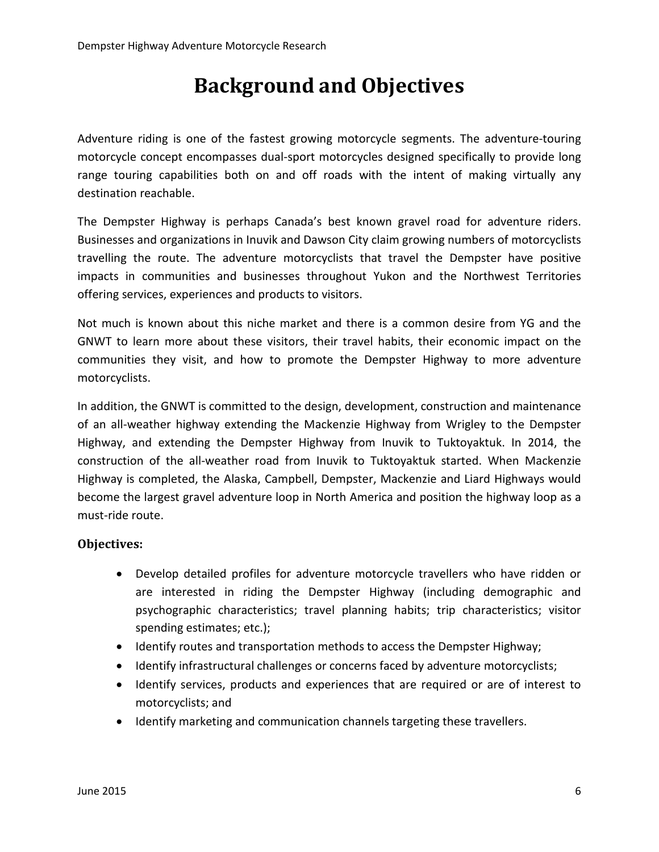## **Background and Objectives**

<span id="page-5-0"></span>Adventure riding is one of the fastest growing motorcycle segments. The adventure-touring motorcycle concept encompasses dual-sport motorcycles designed specifically to provide long range touring capabilities both on and off roads with the intent of making virtually any destination reachable.

The Dempster Highway is perhaps Canada's best known gravel road for adventure riders. Businesses and organizations in Inuvik and Dawson City claim growing numbers of motorcyclists travelling the route. The adventure motorcyclists that travel the Dempster have positive impacts in communities and businesses throughout Yukon and the Northwest Territories offering services, experiences and products to visitors.

Not much is known about this niche market and there is a common desire from YG and the GNWT to learn more about these visitors, their travel habits, their economic impact on the communities they visit, and how to promote the Dempster Highway to more adventure motorcyclists.

In addition, the GNWT is committed to the design, development, construction and maintenance of an all-weather highway extending the Mackenzie Highway from Wrigley to the Dempster Highway, and extending the Dempster Highway from Inuvik to Tuktoyaktuk. In 2014, the construction of the all-weather road from Inuvik to Tuktoyaktuk started. When Mackenzie Highway is completed, the Alaska, Campbell, Dempster, Mackenzie and Liard Highways would become the largest gravel adventure loop in North America and position the highway loop as a must-ride route.

#### **Objectives:**

- Develop detailed profiles for adventure motorcycle travellers who have ridden or are interested in riding the Dempster Highway (including demographic and psychographic characteristics; travel planning habits; trip characteristics; visitor spending estimates; etc.);
- Identify routes and transportation methods to access the Dempster Highway;
- Identify infrastructural challenges or concerns faced by adventure motorcyclists;
- Identify services, products and experiences that are required or are of interest to motorcyclists; and
- Identify marketing and communication channels targeting these travellers.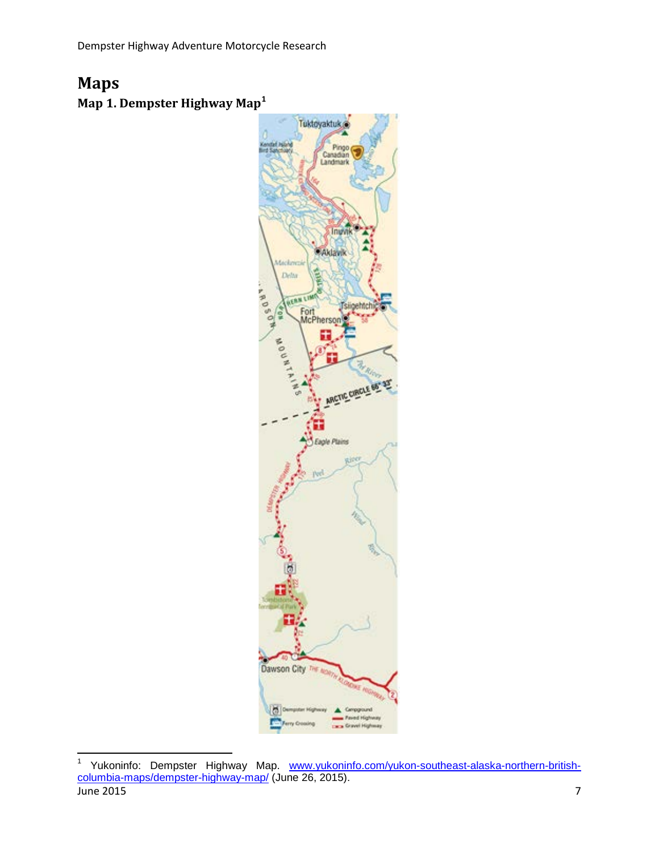## <span id="page-6-0"></span>**Maps**

**Map 1. Dempster Highway Map[1](#page-6-1)**



<span id="page-6-1"></span>June 2015 7 1 Yukoninfo: Dempster Highway Map. [www.yukoninfo.com/yukon-southeast-alaska-northern-british](http://www.yukoninfo.com/yukon-southeast-alaska-northern-british-columbia-maps/dempster-highway-map/)<u>[columbia-maps/dempster-highway-map/](http://www.yukoninfo.com/yukon-southeast-alaska-northern-british-columbia-maps/dempster-highway-map/)</u> (June 26, 2015).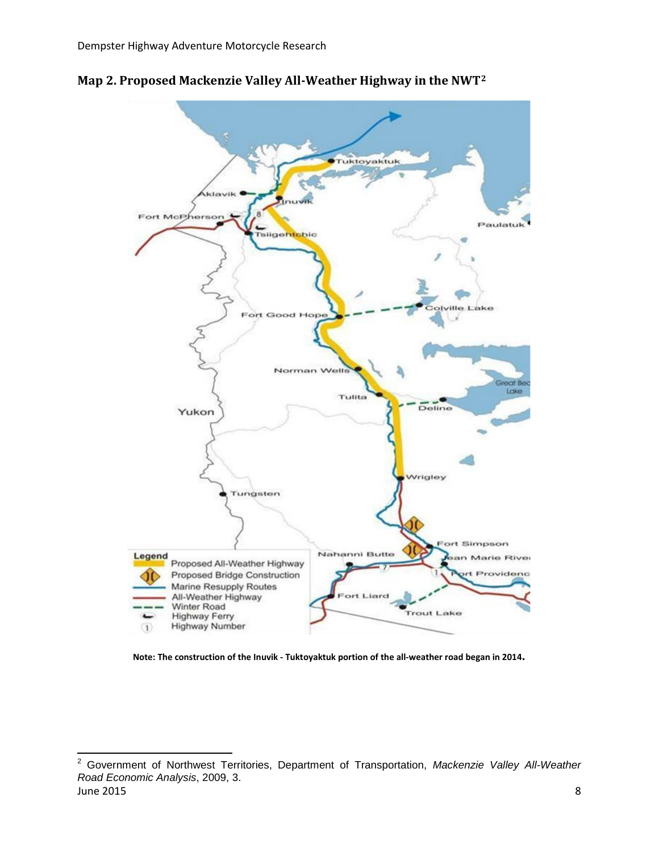

**Map 2. Proposed Mackenzie Valley All-Weather Highway in the NWT[2](#page-7-0)**

**Note: The construction of the Inuvik - Tuktoyaktuk portion of the all-weather road began in 2014.**

<span id="page-7-0"></span>June 2015 8 2 Government of Northwest Territories, Department of Transportation, *Mackenzie Valley All-Weather Road Economic Analysis*, 2009, 3.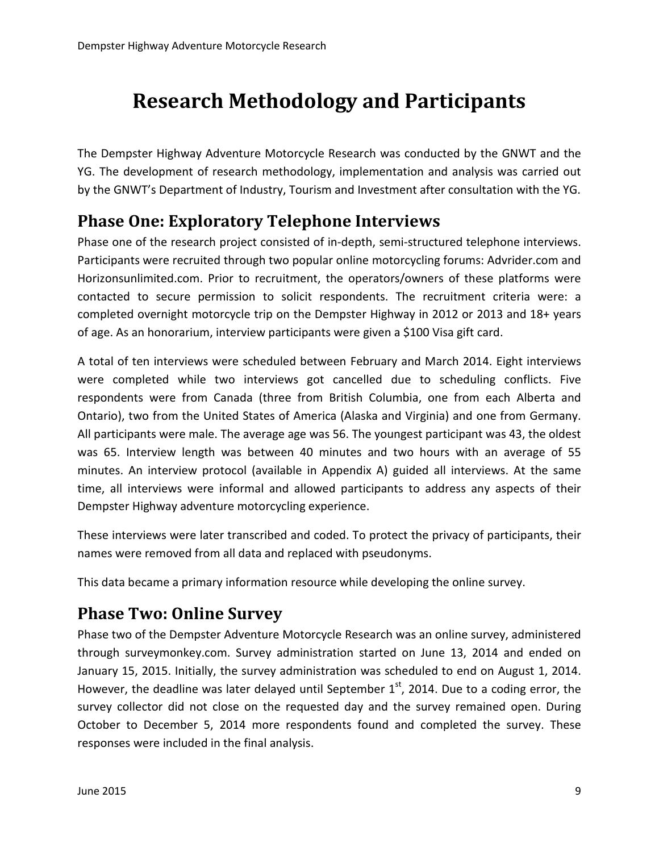# <span id="page-8-0"></span>**Research Methodology and Participants**

The Dempster Highway Adventure Motorcycle Research was conducted by the GNWT and the YG. The development of research methodology, implementation and analysis was carried out by the GNWT's Department of Industry, Tourism and Investment after consultation with the YG.

## <span id="page-8-1"></span>**Phase One: Exploratory Telephone Interviews**

Phase one of the research project consisted of in-depth, semi-structured telephone interviews. Participants were recruited through two popular online motorcycling forums: Advrider.com and Horizonsunlimited.com. Prior to recruitment, the operators/owners of these platforms were contacted to secure permission to solicit respondents. The recruitment criteria were: a completed overnight motorcycle trip on the Dempster Highway in 2012 or 2013 and 18+ years of age. As an honorarium, interview participants were given a \$100 Visa gift card.

A total of ten interviews were scheduled between February and March 2014. Eight interviews were completed while two interviews got cancelled due to scheduling conflicts. Five respondents were from Canada (three from British Columbia, one from each Alberta and Ontario), two from the United States of America (Alaska and Virginia) and one from Germany. All participants were male. The average age was 56. The youngest participant was 43, the oldest was 65. Interview length was between 40 minutes and two hours with an average of 55 minutes. An interview protocol (available in Appendix A) guided all interviews. At the same time, all interviews were informal and allowed participants to address any aspects of their Dempster Highway adventure motorcycling experience.

These interviews were later transcribed and coded. To protect the privacy of participants, their names were removed from all data and replaced with pseudonyms.

This data became a primary information resource while developing the online survey.

## <span id="page-8-2"></span>**Phase Two: Online Survey**

Phase two of the Dempster Adventure Motorcycle Research was an online survey, administered through surveymonkey.com. Survey administration started on June 13, 2014 and ended on January 15, 2015. Initially, the survey administration was scheduled to end on August 1, 2014. However, the deadline was later delayed until September  $1<sup>st</sup>$ , 2014. Due to a coding error, the survey collector did not close on the requested day and the survey remained open. During October to December 5, 2014 more respondents found and completed the survey. These responses were included in the final analysis.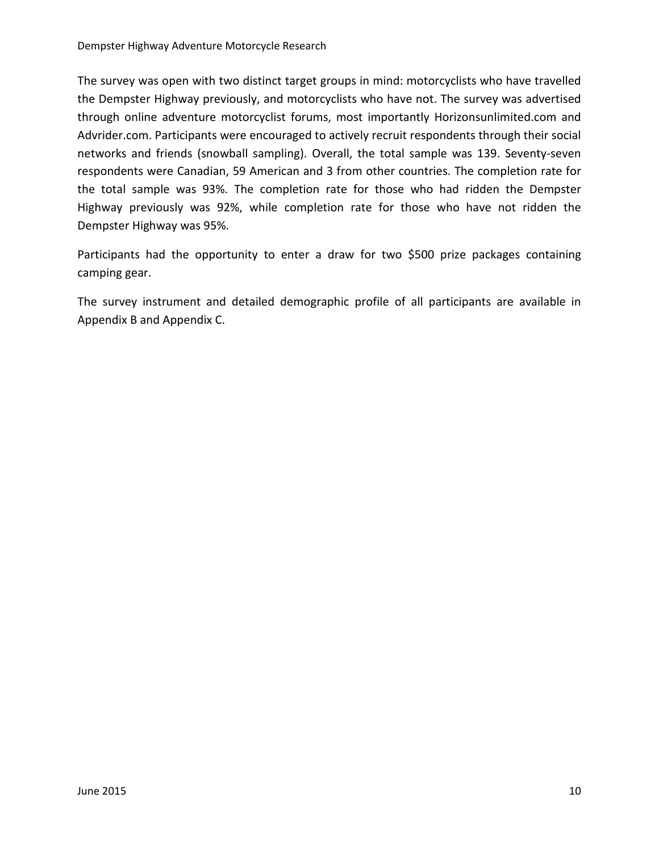The survey was open with two distinct target groups in mind: motorcyclists who have travelled the Dempster Highway previously, and motorcyclists who have not. The survey was advertised through online adventure motorcyclist forums, most importantly Horizonsunlimited.com and Advrider.com. Participants were encouraged to actively recruit respondents through their social networks and friends (snowball sampling). Overall, the total sample was 139. Seventy-seven respondents were Canadian, 59 American and 3 from other countries. The completion rate for the total sample was 93%. The completion rate for those who had ridden the Dempster Highway previously was 92%, while completion rate for those who have not ridden the Dempster Highway was 95%.

Participants had the opportunity to enter a draw for two \$500 prize packages containing camping gear.

The survey instrument and detailed demographic profile of all participants are available in Appendix B and Appendix C.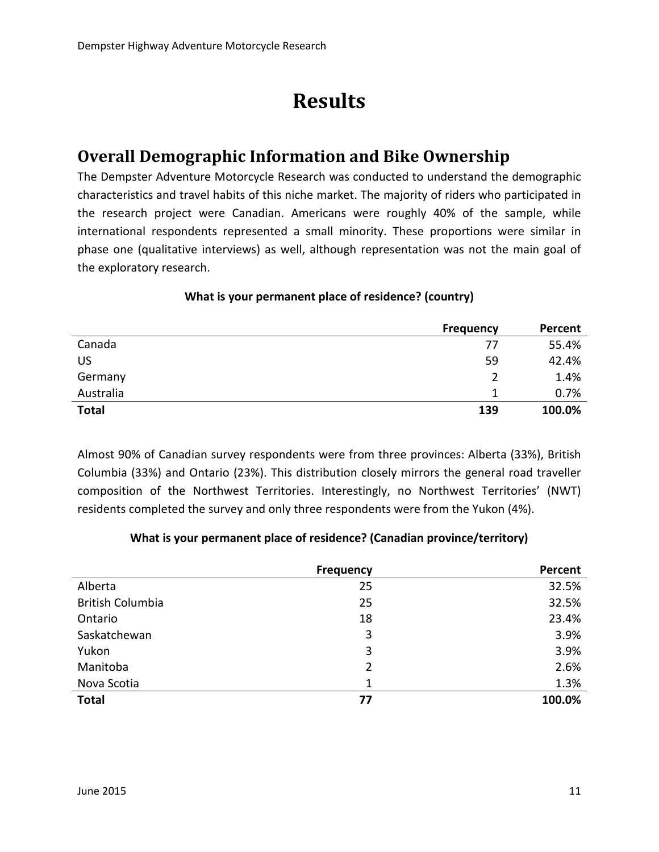# **Results**

## <span id="page-10-1"></span><span id="page-10-0"></span>**Overall Demographic Information and Bike Ownership**

The Dempster Adventure Motorcycle Research was conducted to understand the demographic characteristics and travel habits of this niche market. The majority of riders who participated in the research project were Canadian. Americans were roughly 40% of the sample, while international respondents represented a small minority. These proportions were similar in phase one (qualitative interviews) as well, although representation was not the main goal of the exploratory research.

|              | <b>Frequency</b> | Percent |
|--------------|------------------|---------|
| Canada       | 77               | 55.4%   |
| <b>US</b>    | 59               | 42.4%   |
| Germany      |                  | 1.4%    |
| Australia    |                  | 0.7%    |
| <b>Total</b> | 139              | 100.0%  |

#### **What is your permanent place of residence? (country)**

Almost 90% of Canadian survey respondents were from three provinces: Alberta (33%), British Columbia (33%) and Ontario (23%). This distribution closely mirrors the general road traveller composition of the Northwest Territories. Interestingly, no Northwest Territories' (NWT) residents completed the survey and only three respondents were from the Yukon (4%).

#### **What is your permanent place of residence? (Canadian province/territory)**

|                         | <b>Frequency</b> | Percent |
|-------------------------|------------------|---------|
| Alberta                 | 25               | 32.5%   |
| <b>British Columbia</b> | 25               | 32.5%   |
| Ontario                 | 18               | 23.4%   |
| Saskatchewan            | 3                | 3.9%    |
| Yukon                   | 3                | 3.9%    |
| Manitoba                | 2                | 2.6%    |
| Nova Scotia             | 1                | 1.3%    |
| <b>Total</b>            | 77               | 100.0%  |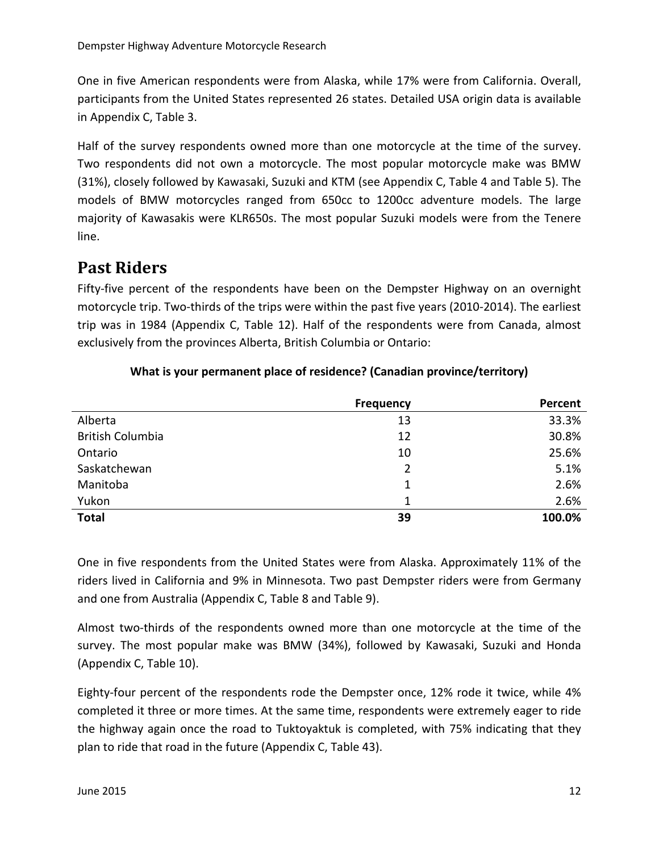One in five American respondents were from Alaska, while 17% were from California. Overall, participants from the United States represented 26 states. Detailed USA origin data is available in Appendix C, Table 3.

Half of the survey respondents owned more than one motorcycle at the time of the survey. Two respondents did not own a motorcycle. The most popular motorcycle make was BMW (31%), closely followed by Kawasaki, Suzuki and KTM (see Appendix C, Table 4 and Table 5). The models of BMW motorcycles ranged from 650cc to 1200cc adventure models. The large majority of Kawasakis were KLR650s. The most popular Suzuki models were from the Tenere line.

## <span id="page-11-0"></span>**Past Riders**

Fifty-five percent of the respondents have been on the Dempster Highway on an overnight motorcycle trip. Two-thirds of the trips were within the past five years (2010-2014). The earliest trip was in 1984 (Appendix C, Table 12). Half of the respondents were from Canada, almost exclusively from the provinces Alberta, British Columbia or Ontario:

|                         | <b>Frequency</b> | Percent |
|-------------------------|------------------|---------|
| Alberta                 | 13               | 33.3%   |
| <b>British Columbia</b> | 12               | 30.8%   |
| Ontario                 | 10               | 25.6%   |
| Saskatchewan            | 2                | 5.1%    |
| Manitoba                | 1                | 2.6%    |
| Yukon                   | 1                | 2.6%    |
| <b>Total</b>            | 39               | 100.0%  |

#### **What is your permanent place of residence? (Canadian province/territory)**

One in five respondents from the United States were from Alaska. Approximately 11% of the riders lived in California and 9% in Minnesota. Two past Dempster riders were from Germany and one from Australia (Appendix C, Table 8 and Table 9).

Almost two-thirds of the respondents owned more than one motorcycle at the time of the survey. The most popular make was BMW (34%), followed by Kawasaki, Suzuki and Honda (Appendix C, Table 10).

Eighty-four percent of the respondents rode the Dempster once, 12% rode it twice, while 4% completed it three or more times. At the same time, respondents were extremely eager to ride the highway again once the road to Tuktoyaktuk is completed, with 75% indicating that they plan to ride that road in the future (Appendix C, Table 43).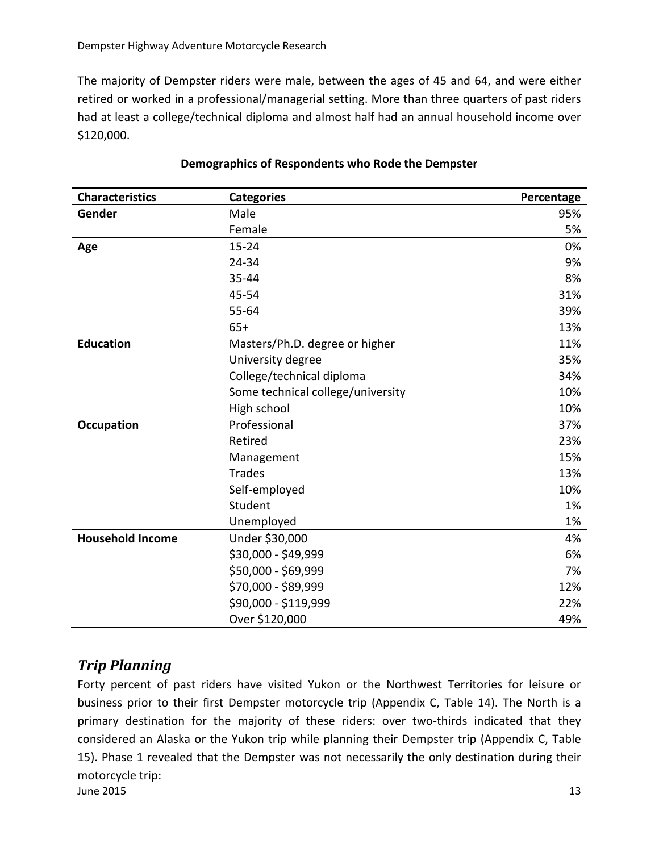The majority of Dempster riders were male, between the ages of 45 and 64, and were either retired or worked in a professional/managerial setting. More than three quarters of past riders had at least a college/technical diploma and almost half had an annual household income over \$120,000.

| <b>Characteristics</b>  | <b>Categories</b>                 | Percentage |
|-------------------------|-----------------------------------|------------|
| Gender                  | Male                              | 95%        |
|                         | Female                            | 5%         |
| Age                     | $15 - 24$                         | 0%         |
|                         | 24-34                             | 9%         |
|                         | 35-44                             | 8%         |
|                         | 45-54                             | 31%        |
|                         | $55 - 64$                         | 39%        |
|                         | $65+$                             | 13%        |
| <b>Education</b>        | Masters/Ph.D. degree or higher    | 11%        |
|                         | University degree                 | 35%        |
|                         | College/technical diploma         | 34%        |
|                         | Some technical college/university | 10%        |
|                         | High school                       | 10%        |
| <b>Occupation</b>       | Professional                      | 37%        |
|                         | Retired                           | 23%        |
|                         | Management                        | 15%        |
|                         | <b>Trades</b>                     | 13%        |
|                         | Self-employed                     | 10%        |
|                         | Student                           | 1%         |
|                         | Unemployed                        | 1%         |
| <b>Household Income</b> | Under \$30,000                    | 4%         |
|                         | \$30,000 - \$49,999               | 6%         |
|                         | \$50,000 - \$69,999               | 7%         |
|                         | \$70,000 - \$89,999               | 12%        |
|                         | \$90,000 - \$119,999              | 22%        |
|                         | Over \$120,000                    | 49%        |

#### **Demographics of Respondents who Rode the Dempster**

## <span id="page-12-0"></span>*Trip Planning*

 $\mu$  June 2015 13 Forty percent of past riders have visited Yukon or the Northwest Territories for leisure or business prior to their first Dempster motorcycle trip (Appendix C, Table 14). The North is a primary destination for the majority of these riders: over two-thirds indicated that they considered an Alaska or the Yukon trip while planning their Dempster trip (Appendix C, Table 15). Phase 1 revealed that the Dempster was not necessarily the only destination during their motorcycle trip: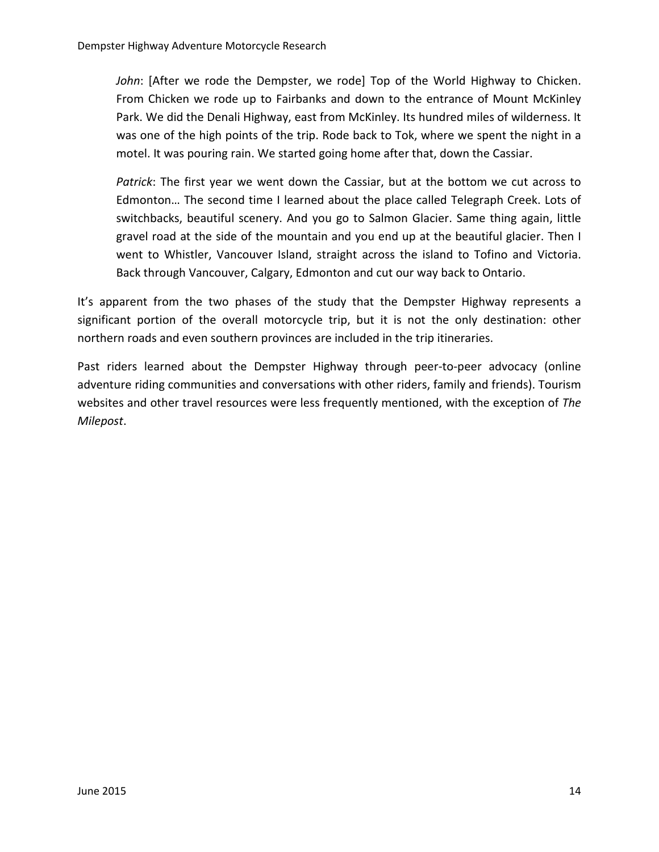*John*: [After we rode the Dempster, we rode] Top of the World Highway to Chicken. From Chicken we rode up to Fairbanks and down to the entrance of Mount McKinley Park. We did the Denali Highway, east from McKinley. Its hundred miles of wilderness. It was one of the high points of the trip. Rode back to Tok, where we spent the night in a motel. It was pouring rain. We started going home after that, down the Cassiar.

*Patrick*: The first year we went down the Cassiar, but at the bottom we cut across to Edmonton… The second time I learned about the place called Telegraph Creek. Lots of switchbacks, beautiful scenery. And you go to Salmon Glacier. Same thing again, little gravel road at the side of the mountain and you end up at the beautiful glacier. Then I went to Whistler, Vancouver Island, straight across the island to Tofino and Victoria. Back through Vancouver, Calgary, Edmonton and cut our way back to Ontario.

It's apparent from the two phases of the study that the Dempster Highway represents a significant portion of the overall motorcycle trip, but it is not the only destination: other northern roads and even southern provinces are included in the trip itineraries.

Past riders learned about the Dempster Highway through peer-to-peer advocacy (online adventure riding communities and conversations with other riders, family and friends). Tourism websites and other travel resources were less frequently mentioned, with the exception of *The Milepost*.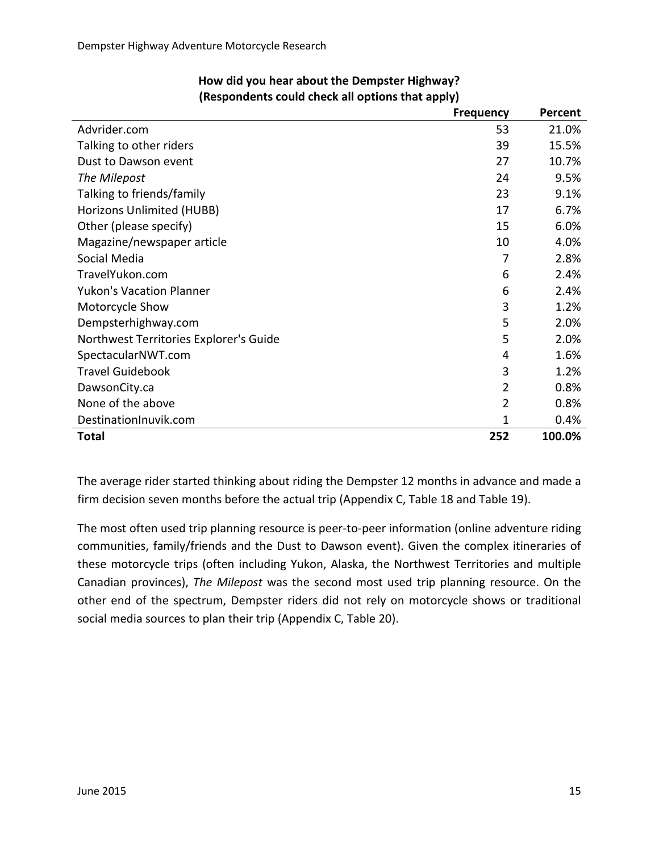|                                        | <b>Frequency</b> | Percent |
|----------------------------------------|------------------|---------|
| Advrider.com                           | 53               | 21.0%   |
| Talking to other riders                | 39               | 15.5%   |
| Dust to Dawson event                   | 27               | 10.7%   |
| The Milepost                           | 24               | 9.5%    |
| Talking to friends/family              | 23               | 9.1%    |
| Horizons Unlimited (HUBB)              | 17               | 6.7%    |
| Other (please specify)                 | 15               | 6.0%    |
| Magazine/newspaper article             | 10               | 4.0%    |
| Social Media                           | 7                | 2.8%    |
| TravelYukon.com                        | 6                | 2.4%    |
| <b>Yukon's Vacation Planner</b>        | 6                | 2.4%    |
| Motorcycle Show                        | 3                | 1.2%    |
| Dempsterhighway.com                    | 5                | 2.0%    |
| Northwest Territories Explorer's Guide | 5                | 2.0%    |
| SpectacularNWT.com                     | 4                | 1.6%    |
| <b>Travel Guidebook</b>                | 3                | 1.2%    |
| DawsonCity.ca                          | 2                | 0.8%    |
| None of the above                      | 2                | 0.8%    |
| DestinationInuvik.com                  | 1                | 0.4%    |
| <b>Total</b>                           | 252              | 100.0%  |

### **How did you hear about the Dempster Highway? (Respondents could check all options that apply)**

The average rider started thinking about riding the Dempster 12 months in advance and made a firm decision seven months before the actual trip (Appendix C, Table 18 and Table 19).

The most often used trip planning resource is peer-to-peer information (online adventure riding communities, family/friends and the Dust to Dawson event). Given the complex itineraries of these motorcycle trips (often including Yukon, Alaska, the Northwest Territories and multiple Canadian provinces), *The Milepost* was the second most used trip planning resource. On the other end of the spectrum, Dempster riders did not rely on motorcycle shows or traditional social media sources to plan their trip (Appendix C, Table 20).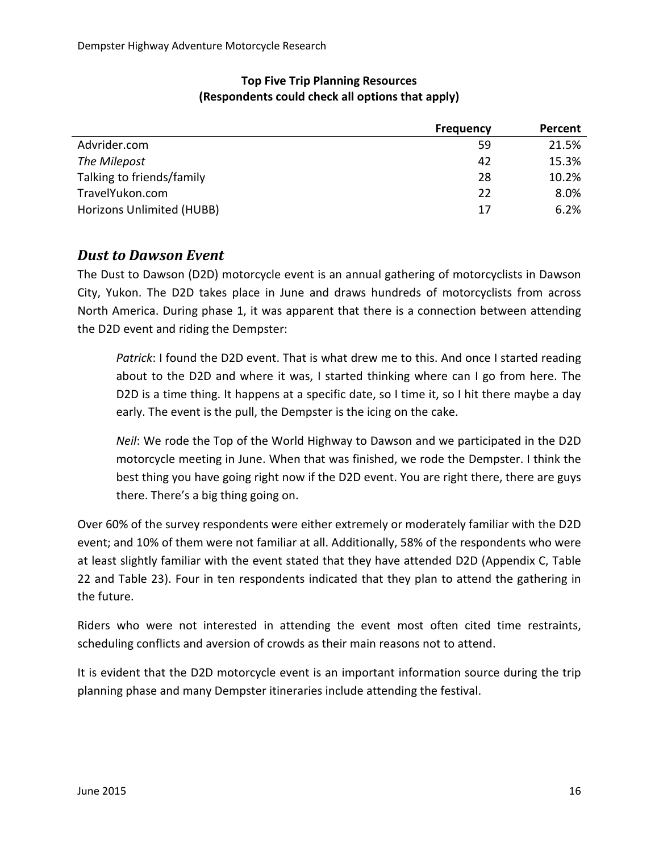|                           | <b>Frequency</b> | Percent |
|---------------------------|------------------|---------|
| Advrider.com              | 59               | 21.5%   |
| The Milepost              | 42               | 15.3%   |
| Talking to friends/family | 28               | 10.2%   |
| TravelYukon.com           | 22               | 8.0%    |
| Horizons Unlimited (HUBB) | 17               | 6.2%    |
|                           |                  |         |

#### **Top Five Trip Planning Resources (Respondents could check all options that apply)**

## <span id="page-15-0"></span>*Dust to Dawson Event*

The Dust to Dawson (D2D) motorcycle event is an annual gathering of motorcyclists in Dawson City, Yukon. The D2D takes place in June and draws hundreds of motorcyclists from across North America. During phase 1, it was apparent that there is a connection between attending the D2D event and riding the Dempster:

*Patrick*: I found the D2D event. That is what drew me to this. And once I started reading about to the D2D and where it was, I started thinking where can I go from here. The D2D is a time thing. It happens at a specific date, so I time it, so I hit there maybe a day early. The event is the pull, the Dempster is the icing on the cake.

*Neil*: We rode the Top of the World Highway to Dawson and we participated in the D2D motorcycle meeting in June. When that was finished, we rode the Dempster. I think the best thing you have going right now if the D2D event. You are right there, there are guys there. There's a big thing going on.

Over 60% of the survey respondents were either extremely or moderately familiar with the D2D event; and 10% of them were not familiar at all. Additionally, 58% of the respondents who were at least slightly familiar with the event stated that they have attended D2D (Appendix C, Table 22 and Table 23). Four in ten respondents indicated that they plan to attend the gathering in the future.

Riders who were not interested in attending the event most often cited time restraints, scheduling conflicts and aversion of crowds as their main reasons not to attend.

It is evident that the D2D motorcycle event is an important information source during the trip planning phase and many Dempster itineraries include attending the festival.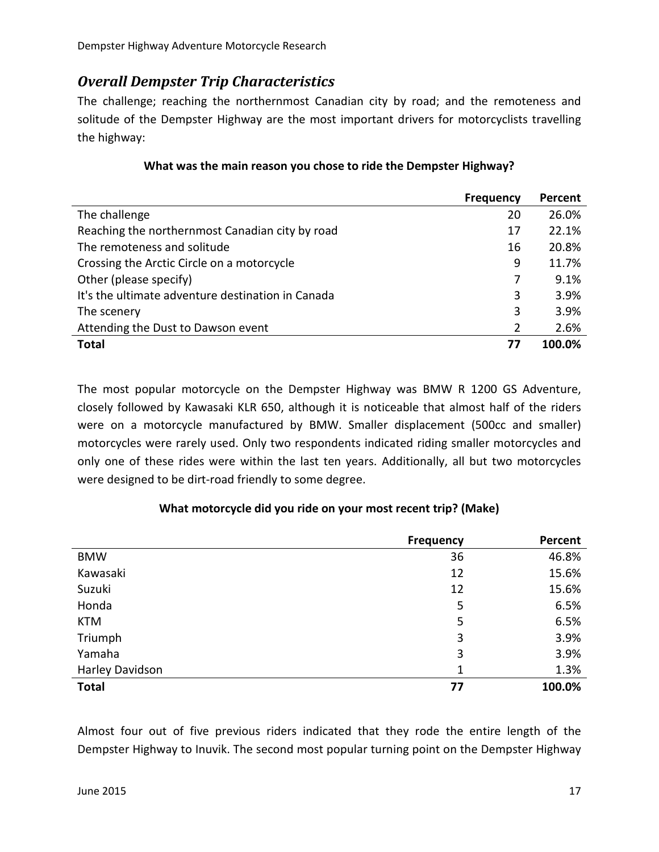## <span id="page-16-0"></span>*Overall Dempster Trip Characteristics*

The challenge; reaching the northernmost Canadian city by road; and the remoteness and solitude of the Dempster Highway are the most important drivers for motorcyclists travelling the highway:

|                                                   | <b>Frequency</b> | Percent |
|---------------------------------------------------|------------------|---------|
| The challenge                                     | 20               | 26.0%   |
| Reaching the northernmost Canadian city by road   | 17               | 22.1%   |
| The remoteness and solitude                       | 16               | 20.8%   |
| Crossing the Arctic Circle on a motorcycle        | 9                | 11.7%   |
| Other (please specify)                            | 7                | 9.1%    |
| It's the ultimate adventure destination in Canada | 3                | 3.9%    |
| The scenery                                       | 3                | 3.9%    |
| Attending the Dust to Dawson event                | 2                | 2.6%    |
| <b>Total</b>                                      | 77               | 100.0%  |

#### **What was the main reason you chose to ride the Dempster Highway?**

The most popular motorcycle on the Dempster Highway was BMW R 1200 GS Adventure, closely followed by Kawasaki KLR 650, although it is noticeable that almost half of the riders were on a motorcycle manufactured by BMW. Smaller displacement (500cc and smaller) motorcycles were rarely used. Only two respondents indicated riding smaller motorcycles and only one of these rides were within the last ten years. Additionally, all but two motorcycles were designed to be dirt-road friendly to some degree.

### **Frequency Percent** BMW 36 46.8% Kawasaki 12 15.6% Suzuki 12 15.6% Honda 5 6.5% KTM  $5$  6.5% Triumph 3 3.9% Yamaha 3 3.9% Harley Davidson 1 and 1.3% **Total 77 100.0%**

#### **What motorcycle did you ride on your most recent trip? (Make)**

Almost four out of five previous riders indicated that they rode the entire length of the Dempster Highway to Inuvik. The second most popular turning point on the Dempster Highway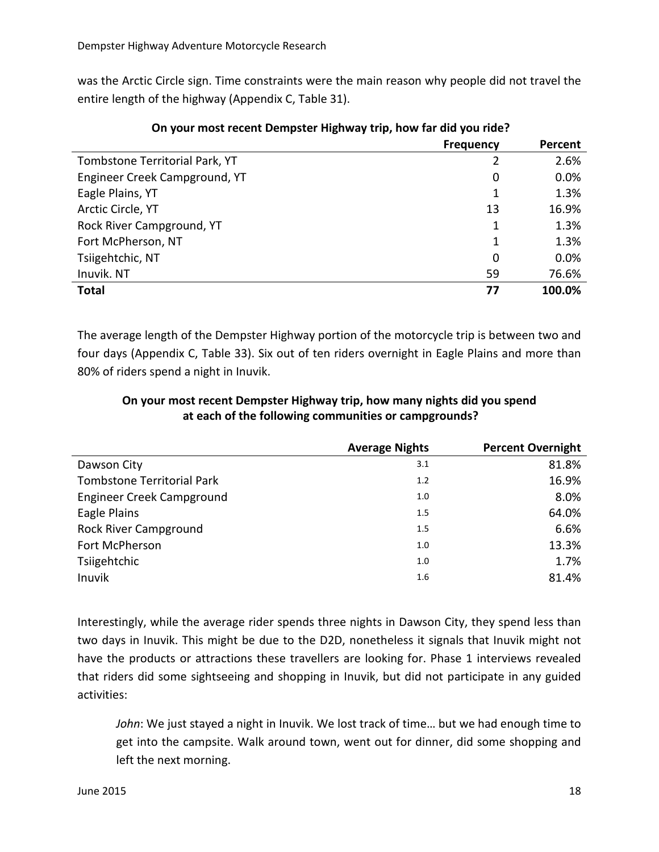was the Arctic Circle sign. Time constraints were the main reason why people did not travel the entire length of the highway (Appendix C, Table 31).

|                                | <b>Frequency</b> | Percent |
|--------------------------------|------------------|---------|
| Tombstone Territorial Park, YT |                  | 2.6%    |
| Engineer Creek Campground, YT  | 0                | 0.0%    |
| Eagle Plains, YT               | 1                | 1.3%    |
| Arctic Circle, YT              | 13               | 16.9%   |
| Rock River Campground, YT      | 1                | 1.3%    |
| Fort McPherson, NT             | 1                | 1.3%    |
| Tsiigehtchic, NT               | 0                | 0.0%    |
| Inuvik. NT                     | 59               | 76.6%   |
| <b>Total</b>                   | 77               | 100.0%  |

#### **On your most recent Dempster Highway trip, how far did you ride?**

The average length of the Dempster Highway portion of the motorcycle trip is between two and four days (Appendix C, Table 33). Six out of ten riders overnight in Eagle Plains and more than 80% of riders spend a night in Inuvik.

#### **On your most recent Dempster Highway trip, how many nights did you spend at each of the following communities or campgrounds?**

|                                   | <b>Average Nights</b> | <b>Percent Overnight</b> |
|-----------------------------------|-----------------------|--------------------------|
| Dawson City                       | 3.1                   | 81.8%                    |
| <b>Tombstone Territorial Park</b> | 1.2                   | 16.9%                    |
| Engineer Creek Campground         | 1.0                   | 8.0%                     |
| Eagle Plains                      | 1.5                   | 64.0%                    |
| <b>Rock River Campground</b>      | 1.5                   | 6.6%                     |
| Fort McPherson                    | 1.0                   | 13.3%                    |
| Tsiigehtchic                      | 1.0                   | 1.7%                     |
| Inuvik                            | 1.6                   | 81.4%                    |

Interestingly, while the average rider spends three nights in Dawson City, they spend less than two days in Inuvik. This might be due to the D2D, nonetheless it signals that Inuvik might not have the products or attractions these travellers are looking for. Phase 1 interviews revealed that riders did some sightseeing and shopping in Inuvik, but did not participate in any guided activities:

*John*: We just stayed a night in Inuvik. We lost track of time… but we had enough time to get into the campsite. Walk around town, went out for dinner, did some shopping and left the next morning.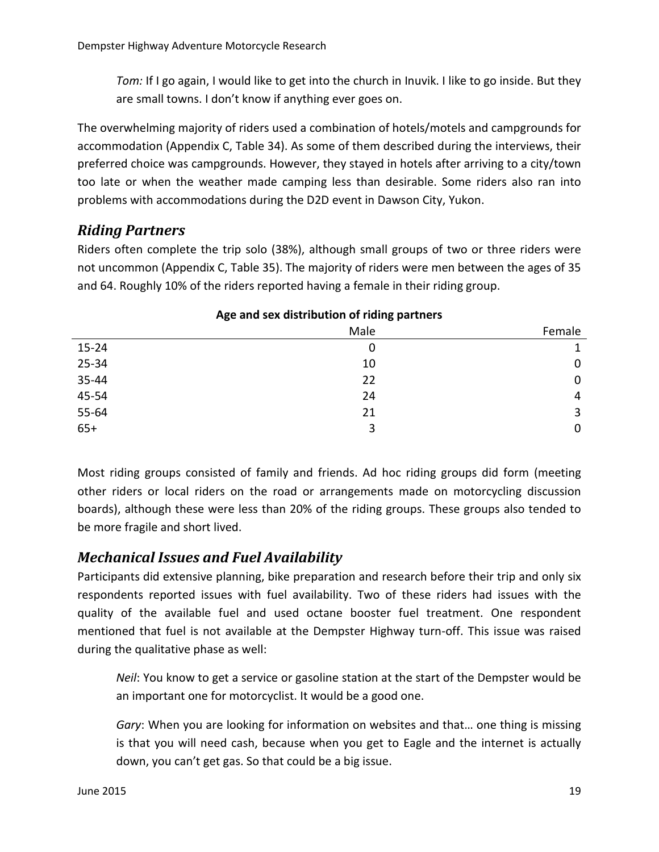*Tom:* If I go again, I would like to get into the church in Inuvik. I like to go inside. But they are small towns. I don't know if anything ever goes on.

The overwhelming majority of riders used a combination of hotels/motels and campgrounds for accommodation (Appendix C, Table 34). As some of them described during the interviews, their preferred choice was campgrounds. However, they stayed in hotels after arriving to a city/town too late or when the weather made camping less than desirable. Some riders also ran into problems with accommodations during the D2D event in Dawson City, Yukon.

## <span id="page-18-0"></span>*Riding Partners*

Riders often complete the trip solo (38%), although small groups of two or three riders were not uncommon (Appendix C, Table 35). The majority of riders were men between the ages of 35 and 64. Roughly 10% of the riders reported having a female in their riding group.

| Age and sex distribution of hung partners |      |        |  |
|-------------------------------------------|------|--------|--|
|                                           | Male | Female |  |
| $15 - 24$                                 | O    |        |  |
| $25 - 34$                                 | 10   | 0      |  |
| 35-44                                     | 22   | 0      |  |
| 45-54                                     | 24   | 4      |  |
| 55-64                                     | 21   | 3      |  |
| $65+$                                     | 3    | 0      |  |
|                                           |      |        |  |

### **Age and sex distribution of riding partners**

Most riding groups consisted of family and friends. Ad hoc riding groups did form (meeting other riders or local riders on the road or arrangements made on motorcycling discussion boards), although these were less than 20% of the riding groups. These groups also tended to be more fragile and short lived.

## <span id="page-18-1"></span>*Mechanical Issues and Fuel Availability*

Participants did extensive planning, bike preparation and research before their trip and only six respondents reported issues with fuel availability. Two of these riders had issues with the quality of the available fuel and used octane booster fuel treatment. One respondent mentioned that fuel is not available at the Dempster Highway turn-off. This issue was raised during the qualitative phase as well:

*Neil*: You know to get a service or gasoline station at the start of the Dempster would be an important one for motorcyclist. It would be a good one.

*Gary*: When you are looking for information on websites and that… one thing is missing is that you will need cash, because when you get to Eagle and the internet is actually down, you can't get gas. So that could be a big issue.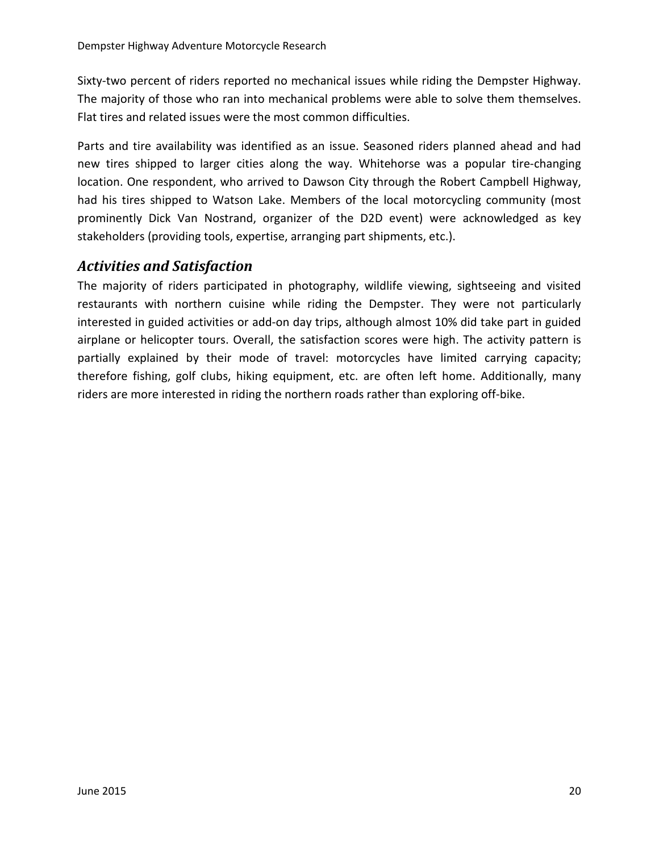Sixty-two percent of riders reported no mechanical issues while riding the Dempster Highway. The majority of those who ran into mechanical problems were able to solve them themselves. Flat tires and related issues were the most common difficulties.

Parts and tire availability was identified as an issue. Seasoned riders planned ahead and had new tires shipped to larger cities along the way. Whitehorse was a popular tire-changing location. One respondent, who arrived to Dawson City through the Robert Campbell Highway, had his tires shipped to Watson Lake. Members of the local motorcycling community (most prominently Dick Van Nostrand, organizer of the D2D event) were acknowledged as key stakeholders (providing tools, expertise, arranging part shipments, etc.).

## <span id="page-19-0"></span>*Activities and Satisfaction*

The majority of riders participated in photography, wildlife viewing, sightseeing and visited restaurants with northern cuisine while riding the Dempster. They were not particularly interested in guided activities or add-on day trips, although almost 10% did take part in guided airplane or helicopter tours. Overall, the satisfaction scores were high. The activity pattern is partially explained by their mode of travel: motorcycles have limited carrying capacity; therefore fishing, golf clubs, hiking equipment, etc. are often left home. Additionally, many riders are more interested in riding the northern roads rather than exploring off-bike.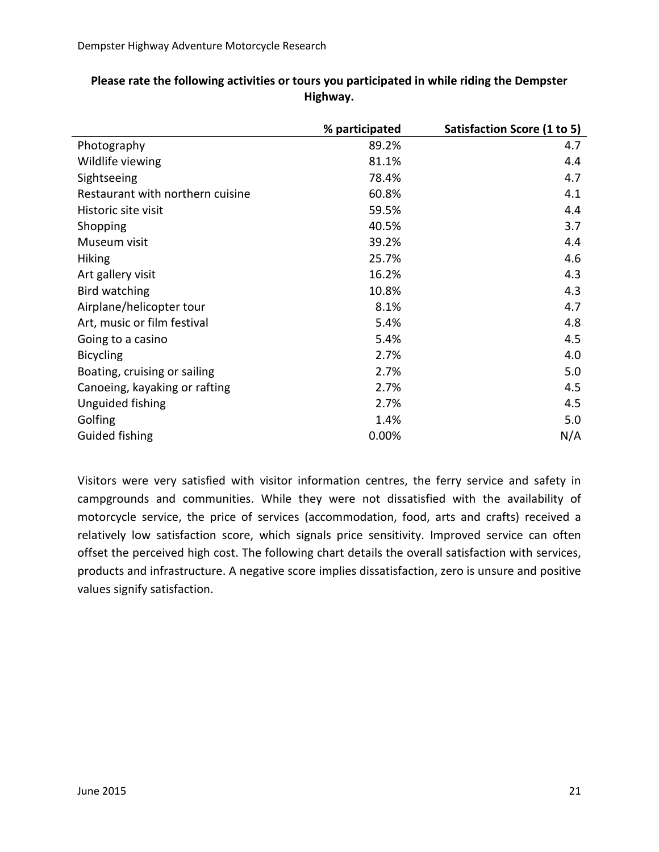|                                  | % participated | Satisfaction Score (1 to 5) |
|----------------------------------|----------------|-----------------------------|
| Photography                      | 89.2%          | 4.7                         |
| Wildlife viewing                 | 81.1%          | 4.4                         |
| Sightseeing                      | 78.4%          | 4.7                         |
| Restaurant with northern cuisine | 60.8%          | 4.1                         |
| Historic site visit              | 59.5%          | 4.4                         |
| Shopping                         | 40.5%          | 3.7                         |
| Museum visit                     | 39.2%          | 4.4                         |
| <b>Hiking</b>                    | 25.7%          | 4.6                         |
| Art gallery visit                | 16.2%          | 4.3                         |
| Bird watching                    | 10.8%          | 4.3                         |
| Airplane/helicopter tour         | 8.1%           | 4.7                         |
| Art, music or film festival      | 5.4%           | 4.8                         |
| Going to a casino                | 5.4%           | 4.5                         |
| <b>Bicycling</b>                 | 2.7%           | 4.0                         |
| Boating, cruising or sailing     | 2.7%           | 5.0                         |
| Canoeing, kayaking or rafting    | 2.7%           | 4.5                         |
| Unguided fishing                 | 2.7%           | 4.5                         |
| Golfing                          | 1.4%           | 5.0                         |
| Guided fishing                   | 0.00%          | N/A                         |

#### **Please rate the following activities or tours you participated in while riding the Dempster Highway.**

Visitors were very satisfied with visitor information centres, the ferry service and safety in campgrounds and communities. While they were not dissatisfied with the availability of motorcycle service, the price of services (accommodation, food, arts and crafts) received a relatively low satisfaction score, which signals price sensitivity. Improved service can often offset the perceived high cost. The following chart details the overall satisfaction with services, products and infrastructure. A negative score implies dissatisfaction, zero is unsure and positive values signify satisfaction.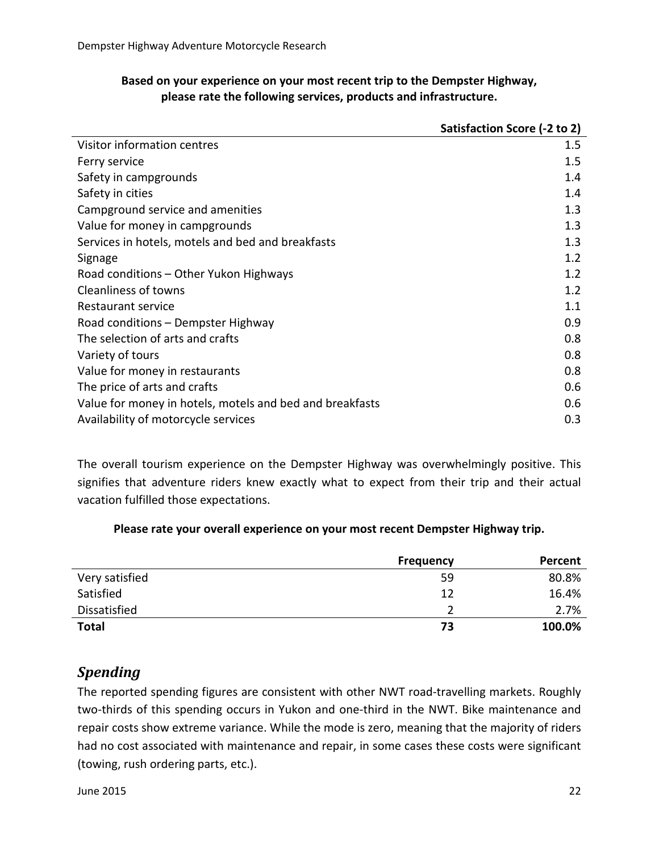#### **Based on your experience on your most recent trip to the Dempster Highway, please rate the following services, products and infrastructure.**

|                                                          | Satisfaction Score (-2 to 2) |
|----------------------------------------------------------|------------------------------|
| Visitor information centres                              | $1.5\,$                      |
| Ferry service                                            | 1.5                          |
| Safety in campgrounds                                    | 1.4                          |
| Safety in cities                                         | 1.4                          |
| Campground service and amenities                         | 1.3                          |
| Value for money in campgrounds                           | 1.3                          |
| Services in hotels, motels and bed and breakfasts        | 1.3                          |
| Signage                                                  | 1.2                          |
| Road conditions – Other Yukon Highways                   | 1.2                          |
| <b>Cleanliness of towns</b>                              | 1.2                          |
| Restaurant service                                       | 1.1                          |
| Road conditions - Dempster Highway                       | 0.9                          |
| The selection of arts and crafts                         | 0.8                          |
| Variety of tours                                         | 0.8                          |
| Value for money in restaurants                           | 0.8                          |
| The price of arts and crafts                             | 0.6                          |
| Value for money in hotels, motels and bed and breakfasts | 0.6                          |
| Availability of motorcycle services                      | 0.3                          |

The overall tourism experience on the Dempster Highway was overwhelmingly positive. This signifies that adventure riders knew exactly what to expect from their trip and their actual vacation fulfilled those expectations.

#### **Please rate your overall experience on your most recent Dempster Highway trip.**

|                | <b>Frequency</b> | Percent |
|----------------|------------------|---------|
| Very satisfied | 59               | 80.8%   |
| Satisfied      | 12               | 16.4%   |
| Dissatisfied   |                  | 2.7%    |
| <b>Total</b>   | 73               | 100.0%  |

## <span id="page-21-0"></span>*Spending*

The reported spending figures are consistent with other NWT road-travelling markets. Roughly two-thirds of this spending occurs in Yukon and one-third in the NWT. Bike maintenance and repair costs show extreme variance. While the mode is zero, meaning that the majority of riders had no cost associated with maintenance and repair, in some cases these costs were significant (towing, rush ordering parts, etc.).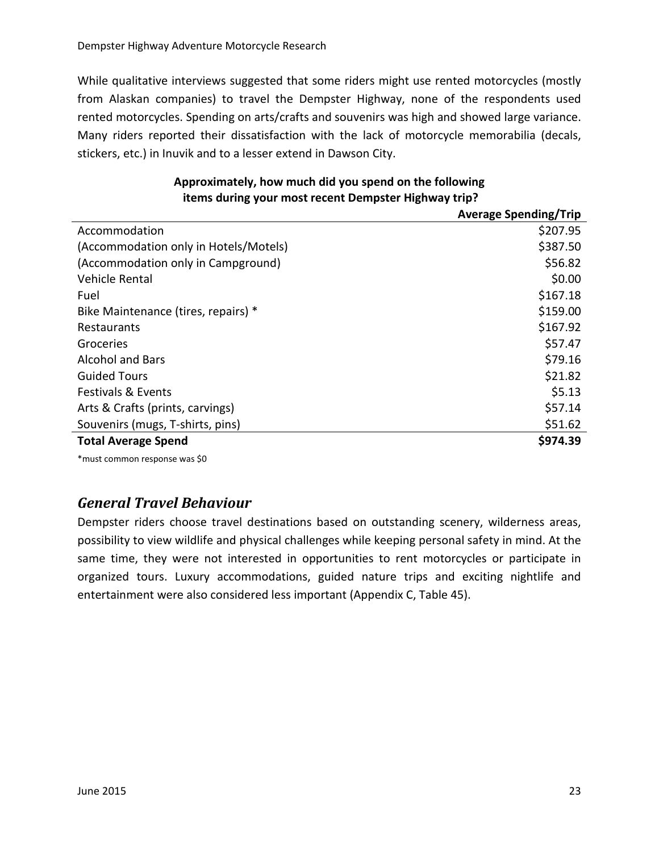While qualitative interviews suggested that some riders might use rented motorcycles (mostly from Alaskan companies) to travel the Dempster Highway, none of the respondents used rented motorcycles. Spending on arts/crafts and souvenirs was high and showed large variance. Many riders reported their dissatisfaction with the lack of motorcycle memorabilia (decals, stickers, etc.) in Inuvik and to a lesser extend in Dawson City.

|                                       | <b>Average Spending/Trip</b> |
|---------------------------------------|------------------------------|
| Accommodation                         | \$207.95                     |
| (Accommodation only in Hotels/Motels) | \$387.50                     |
| (Accommodation only in Campground)    | \$56.82                      |
| Vehicle Rental                        | \$0.00                       |
| Fuel                                  | \$167.18                     |
| Bike Maintenance (tires, repairs) *   | \$159.00                     |
| Restaurants                           | \$167.92                     |
| Groceries                             | \$57.47                      |
| <b>Alcohol and Bars</b>               | \$79.16                      |
| <b>Guided Tours</b>                   | \$21.82                      |
| <b>Festivals &amp; Events</b>         | \$5.13                       |
| Arts & Crafts (prints, carvings)      | \$57.14                      |
| Souvenirs (mugs, T-shirts, pins)      | \$51.62                      |
| <b>Total Average Spend</b>            | \$974.39                     |

#### **Approximately, how much did you spend on the following items during your most recent Dempster Highway trip?**

\*must common response was \$0

## <span id="page-22-0"></span>*General Travel Behaviour*

Dempster riders choose travel destinations based on outstanding scenery, wilderness areas, possibility to view wildlife and physical challenges while keeping personal safety in mind. At the same time, they were not interested in opportunities to rent motorcycles or participate in organized tours. Luxury accommodations, guided nature trips and exciting nightlife and entertainment were also considered less important (Appendix C, Table 45).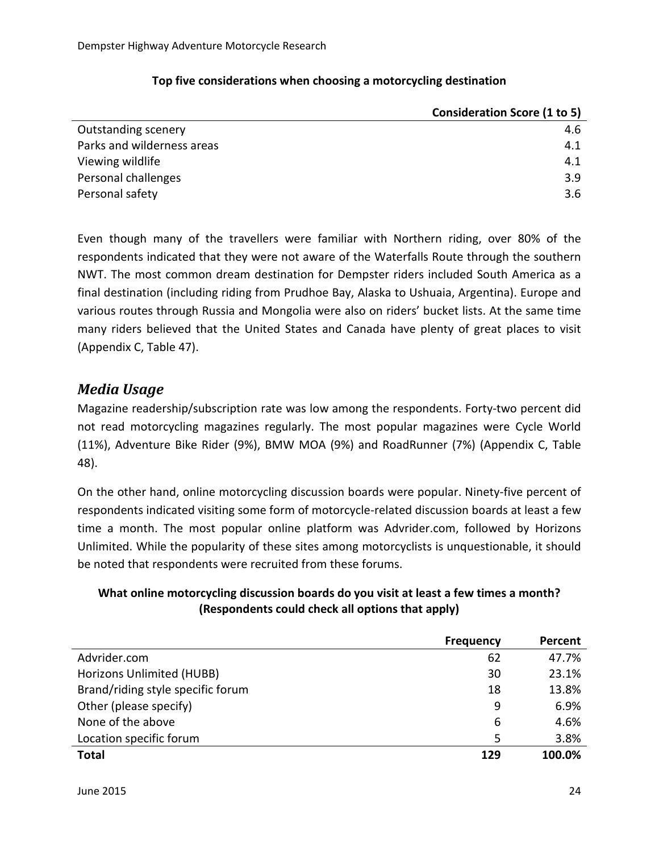|                            | <b>Consideration Score (1 to 5)</b> |
|----------------------------|-------------------------------------|
| <b>Outstanding scenery</b> | 4.6                                 |
| Parks and wilderness areas | 4.1                                 |
| Viewing wildlife           | 4.1                                 |
| Personal challenges        | 3.9                                 |
| Personal safety            | 3.6                                 |

#### **Top five considerations when choosing a motorcycling destination**

Even though many of the travellers were familiar with Northern riding, over 80% of the respondents indicated that they were not aware of the Waterfalls Route through the southern NWT. The most common dream destination for Dempster riders included South America as a final destination (including riding from Prudhoe Bay, Alaska to Ushuaia, Argentina). Europe and various routes through Russia and Mongolia were also on riders' bucket lists. At the same time many riders believed that the United States and Canada have plenty of great places to visit (Appendix C, Table 47).

## <span id="page-23-0"></span>*Media Usage*

Magazine readership/subscription rate was low among the respondents. Forty-two percent did not read motorcycling magazines regularly. The most popular magazines were Cycle World (11%), Adventure Bike Rider (9%), BMW MOA (9%) and RoadRunner (7%) (Appendix C, Table 48).

On the other hand, online motorcycling discussion boards were popular. Ninety-five percent of respondents indicated visiting some form of motorcycle-related discussion boards at least a few time a month. The most popular online platform was Advrider.com, followed by Horizons Unlimited. While the popularity of these sites among motorcyclists is unquestionable, it should be noted that respondents were recruited from these forums.

### **What online motorcycling discussion boards do you visit at least a few times a month? (Respondents could check all options that apply)**

|                                   | <b>Frequency</b> | Percent |
|-----------------------------------|------------------|---------|
| Advrider.com                      | 62               | 47.7%   |
| Horizons Unlimited (HUBB)         | 30               | 23.1%   |
| Brand/riding style specific forum | 18               | 13.8%   |
| Other (please specify)            | 9                | 6.9%    |
| None of the above                 | 6                | 4.6%    |
| Location specific forum           | 5                | 3.8%    |
| <b>Total</b>                      | 129              | 100.0%  |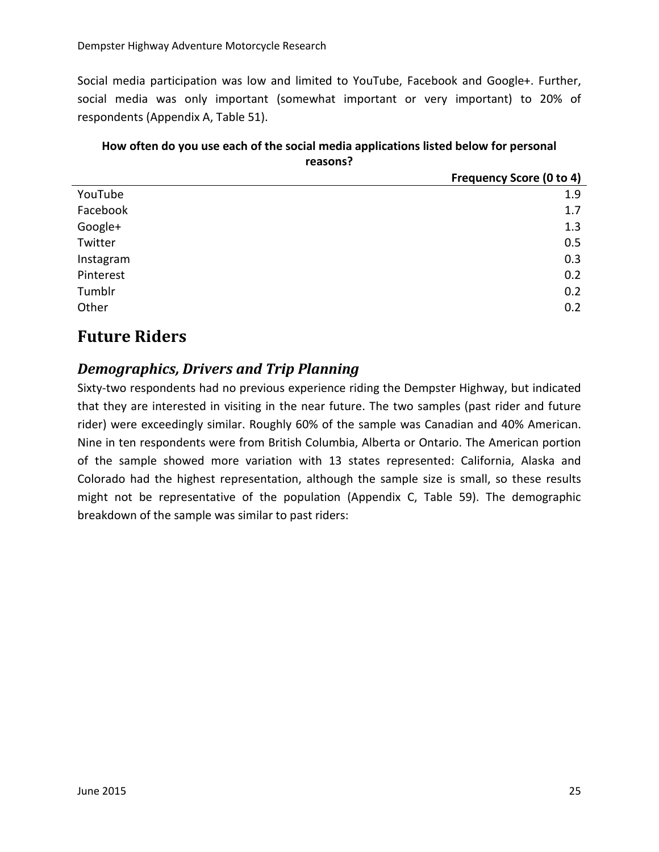Social media participation was low and limited to YouTube, Facebook and Google+. Further, social media was only important (somewhat important or very important) to 20% of respondents (Appendix A, Table 51).

#### **How often do you use each of the social media applications listed below for personal reasons?**

|           | <b>Frequency Score (0 to 4)</b> |
|-----------|---------------------------------|
| YouTube   | 1.9                             |
| Facebook  | 1.7                             |
| Google+   | 1.3                             |
| Twitter   | 0.5                             |
| Instagram | 0.3                             |
| Pinterest | 0.2                             |
| Tumblr    | 0.2                             |
| Other     | 0.2                             |

## <span id="page-24-0"></span>**Future Riders**

## <span id="page-24-1"></span>*Demographics, Drivers and Trip Planning*

Sixty-two respondents had no previous experience riding the Dempster Highway, but indicated that they are interested in visiting in the near future. The two samples (past rider and future rider) were exceedingly similar. Roughly 60% of the sample was Canadian and 40% American. Nine in ten respondents were from British Columbia, Alberta or Ontario. The American portion of the sample showed more variation with 13 states represented: California, Alaska and Colorado had the highest representation, although the sample size is small, so these results might not be representative of the population (Appendix C, Table 59). The demographic breakdown of the sample was similar to past riders: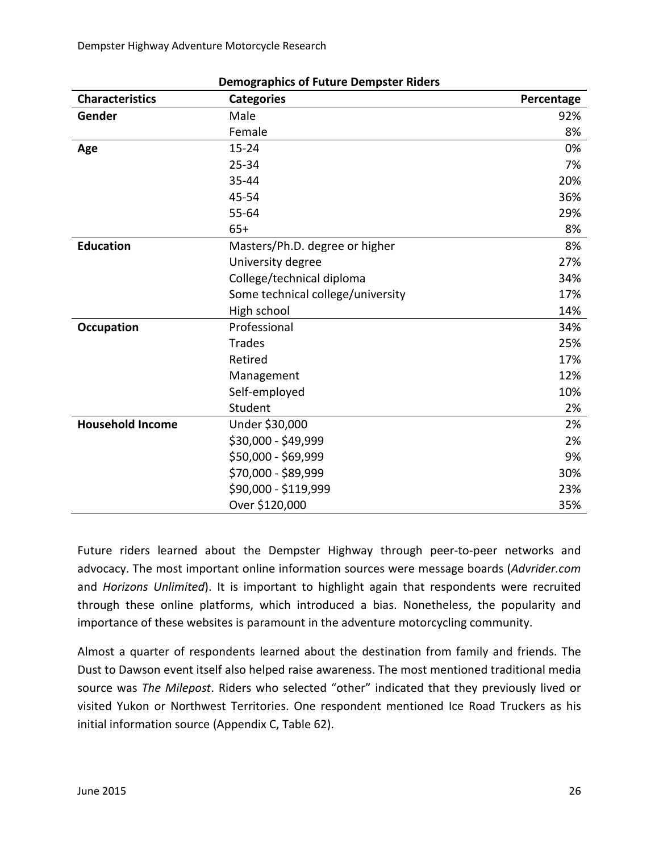Dempster Highway Adventure Motorcycle Research

| <b>Characteristics</b>  | <b>Categories</b>                 | Percentage |
|-------------------------|-----------------------------------|------------|
| Gender                  | Male                              | 92%        |
|                         | Female                            | 8%         |
| Age                     | $15 - 24$                         | 0%         |
|                         | $25 - 34$                         | 7%         |
|                         | 35-44                             | 20%        |
|                         | 45-54                             | 36%        |
|                         | $55 - 64$                         | 29%        |
|                         | $65+$                             | 8%         |
| <b>Education</b>        | Masters/Ph.D. degree or higher    | 8%         |
|                         | University degree                 | 27%        |
|                         | College/technical diploma         | 34%        |
|                         | Some technical college/university | 17%        |
|                         | High school                       | 14%        |
| <b>Occupation</b>       | Professional                      | 34%        |
|                         | <b>Trades</b>                     | 25%        |
|                         | Retired                           | 17%        |
|                         | Management                        | 12%        |
|                         | Self-employed                     | 10%        |
|                         | Student                           | 2%         |
| <b>Household Income</b> | Under \$30,000                    | 2%         |
|                         | \$30,000 - \$49,999               | 2%         |
|                         | \$50,000 - \$69,999               | 9%         |
|                         | \$70,000 - \$89,999               | 30%        |
|                         | \$90,000 - \$119,999              | 23%        |
|                         | Over \$120,000                    | 35%        |

#### **Demographics of Future Dempster Riders**

Future riders learned about the Dempster Highway through peer-to-peer networks and advocacy. The most important online information sources were message boards (*Advrider.com* and *Horizons Unlimited*). It is important to highlight again that respondents were recruited through these online platforms, which introduced a bias. Nonetheless, the popularity and importance of these websites is paramount in the adventure motorcycling community.

Almost a quarter of respondents learned about the destination from family and friends. The Dust to Dawson event itself also helped raise awareness. The most mentioned traditional media source was *The Milepost*. Riders who selected "other" indicated that they previously lived or visited Yukon or Northwest Territories. One respondent mentioned Ice Road Truckers as his initial information source (Appendix C, Table 62).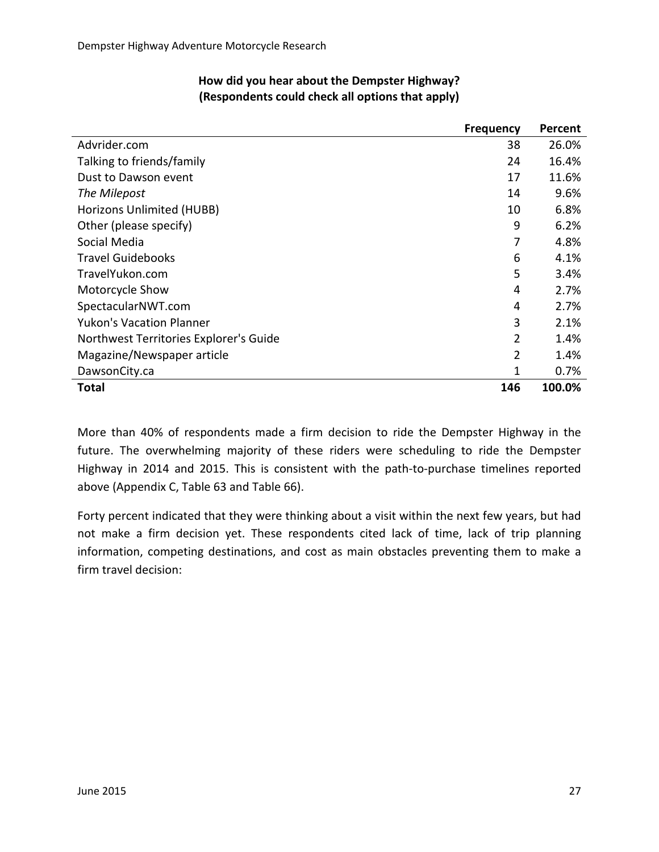|                                        | <b>Frequency</b> | Percent |
|----------------------------------------|------------------|---------|
| Advrider.com                           | 38               | 26.0%   |
| Talking to friends/family              | 24               | 16.4%   |
| Dust to Dawson event                   | 17               | 11.6%   |
| The Milepost                           | 14               | 9.6%    |
| Horizons Unlimited (HUBB)              | 10               | 6.8%    |
| Other (please specify)                 | 9                | 6.2%    |
| Social Media                           | 7                | 4.8%    |
| <b>Travel Guidebooks</b>               | 6                | 4.1%    |
| TravelYukon.com                        | 5                | 3.4%    |
| Motorcycle Show                        | 4                | 2.7%    |
| SpectacularNWT.com                     | 4                | 2.7%    |
| <b>Yukon's Vacation Planner</b>        | 3                | 2.1%    |
| Northwest Territories Explorer's Guide | 2                | 1.4%    |
| Magazine/Newspaper article             | $\overline{2}$   | 1.4%    |
| DawsonCity.ca                          | 1                | 0.7%    |
| <b>Total</b>                           | 146              | 100.0%  |

#### **How did you hear about the Dempster Highway? (Respondents could check all options that apply)**

More than 40% of respondents made a firm decision to ride the Dempster Highway in the future. The overwhelming majority of these riders were scheduling to ride the Dempster Highway in 2014 and 2015. This is consistent with the path-to-purchase timelines reported above (Appendix C, Table 63 and Table 66).

Forty percent indicated that they were thinking about a visit within the next few years, but had not make a firm decision yet. These respondents cited lack of time, lack of trip planning information, competing destinations, and cost as main obstacles preventing them to make a firm travel decision: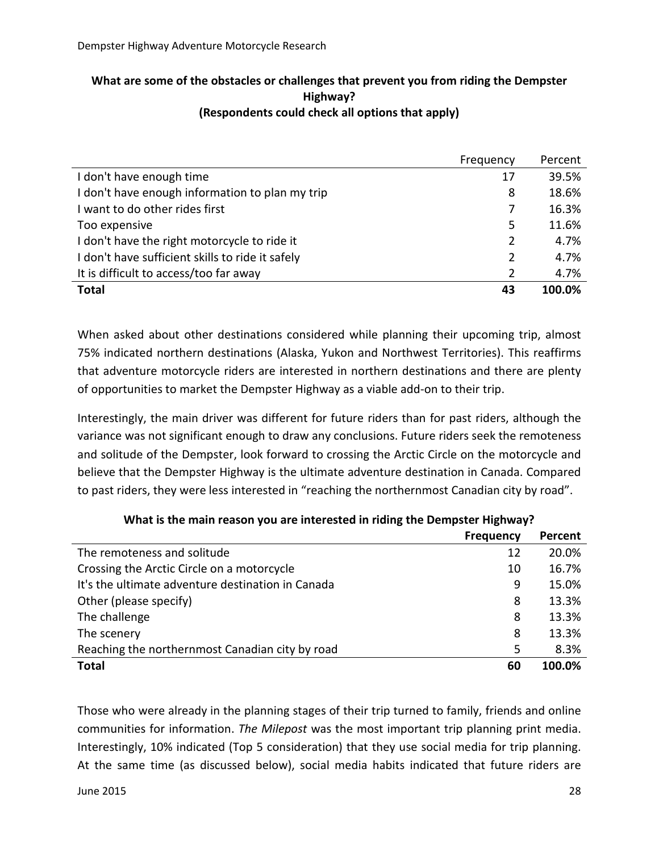#### **What are some of the obstacles or challenges that prevent you from riding the Dempster Highway? (Respondents could check all options that apply)**

|                                                  | Frequency | Percent |
|--------------------------------------------------|-----------|---------|
| I don't have enough time                         | 17        | 39.5%   |
| I don't have enough information to plan my trip  | 8         | 18.6%   |
| I want to do other rides first                   | 7         | 16.3%   |
| Too expensive                                    | 5         | 11.6%   |
| I don't have the right motorcycle to ride it     | 2         | 4.7%    |
| I don't have sufficient skills to ride it safely | 2         | 4.7%    |
| It is difficult to access/too far away           | 2         | 4.7%    |
| <b>Total</b>                                     | 43        | 100.0%  |

When asked about other destinations considered while planning their upcoming trip, almost 75% indicated northern destinations (Alaska, Yukon and Northwest Territories). This reaffirms that adventure motorcycle riders are interested in northern destinations and there are plenty of opportunities to market the Dempster Highway as a viable add-on to their trip.

Interestingly, the main driver was different for future riders than for past riders, although the variance was not significant enough to draw any conclusions. Future riders seek the remoteness and solitude of the Dempster, look forward to crossing the Arctic Circle on the motorcycle and believe that the Dempster Highway is the ultimate adventure destination in Canada. Compared to past riders, they were less interested in "reaching the northernmost Canadian city by road".

|                                                   | <b>Frequency</b> | Percent |
|---------------------------------------------------|------------------|---------|
| The remoteness and solitude                       | 12               | 20.0%   |
| Crossing the Arctic Circle on a motorcycle        | 10               | 16.7%   |
| It's the ultimate adventure destination in Canada | 9                | 15.0%   |
| Other (please specify)                            | 8                | 13.3%   |
| The challenge                                     | 8                | 13.3%   |
| The scenery                                       | 8                | 13.3%   |
| Reaching the northernmost Canadian city by road   | 5                | 8.3%    |
| <b>Total</b>                                      | 60               | 100.0%  |

| What is the main reason you are interested in riding the Dempster Highway? |  |  |  |
|----------------------------------------------------------------------------|--|--|--|
|----------------------------------------------------------------------------|--|--|--|

Those who were already in the planning stages of their trip turned to family, friends and online communities for information. *The Milepost* was the most important trip planning print media. Interestingly, 10% indicated (Top 5 consideration) that they use social media for trip planning. At the same time (as discussed below), social media habits indicated that future riders are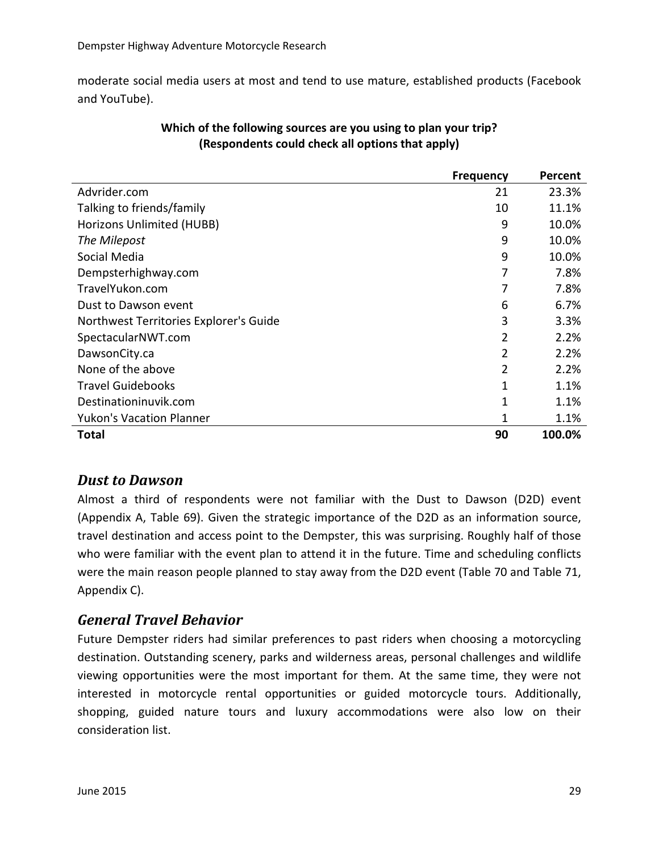moderate social media users at most and tend to use mature, established products (Facebook and YouTube).

|                                        | <b>Frequency</b> | Percent |
|----------------------------------------|------------------|---------|
| Advrider.com                           | 21               | 23.3%   |
| Talking to friends/family              | 10               | 11.1%   |
| Horizons Unlimited (HUBB)              | 9                | 10.0%   |
| The Milepost                           | 9                | 10.0%   |
| Social Media                           | 9                | 10.0%   |
| Dempsterhighway.com                    |                  | 7.8%    |
| TravelYukon.com                        | 7                | 7.8%    |
| Dust to Dawson event                   | 6                | 6.7%    |
| Northwest Territories Explorer's Guide | 3                | 3.3%    |
| SpectacularNWT.com                     | 2                | 2.2%    |
| DawsonCity.ca                          | 2                | 2.2%    |
| None of the above                      | 2                | 2.2%    |
| <b>Travel Guidebooks</b>               | 1                | 1.1%    |
| Destinationinuvik.com                  | 1                | 1.1%    |
| <b>Yukon's Vacation Planner</b>        | 1                | 1.1%    |
| Total                                  | 90               | 100.0%  |

#### **Which of the following sources are you using to plan your trip? (Respondents could check all options that apply)**

## <span id="page-28-0"></span>*Dust to Dawson*

Almost a third of respondents were not familiar with the Dust to Dawson (D2D) event (Appendix A, Table 69). Given the strategic importance of the D2D as an information source, travel destination and access point to the Dempster, this was surprising. Roughly half of those who were familiar with the event plan to attend it in the future. Time and scheduling conflicts were the main reason people planned to stay away from the D2D event (Table 70 and Table 71, Appendix C).

## <span id="page-28-1"></span>*General Travel Behavior*

Future Dempster riders had similar preferences to past riders when choosing a motorcycling destination. Outstanding scenery, parks and wilderness areas, personal challenges and wildlife viewing opportunities were the most important for them. At the same time, they were not interested in motorcycle rental opportunities or guided motorcycle tours. Additionally, shopping, guided nature tours and luxury accommodations were also low on their consideration list.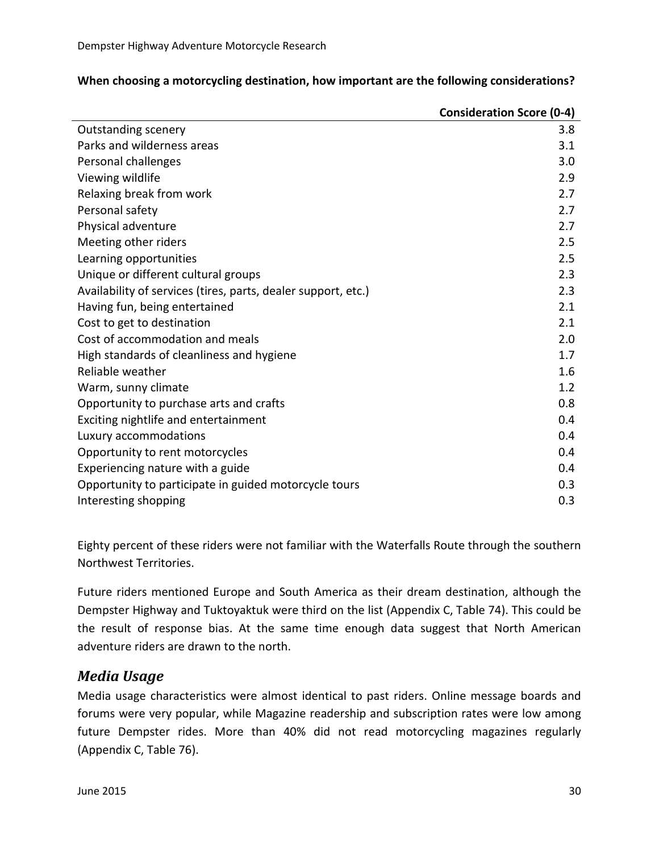|                                                               | <b>Consideration Score (0-4)</b> |
|---------------------------------------------------------------|----------------------------------|
| <b>Outstanding scenery</b>                                    | 3.8                              |
| Parks and wilderness areas                                    | 3.1                              |
| Personal challenges                                           | 3.0                              |
| Viewing wildlife                                              | 2.9                              |
| Relaxing break from work                                      | 2.7                              |
| Personal safety                                               | 2.7                              |
| Physical adventure                                            | 2.7                              |
| Meeting other riders                                          | 2.5                              |
| Learning opportunities                                        | 2.5                              |
| Unique or different cultural groups                           | 2.3                              |
| Availability of services (tires, parts, dealer support, etc.) | 2.3                              |
| Having fun, being entertained                                 | 2.1                              |
| Cost to get to destination                                    | 2.1                              |
| Cost of accommodation and meals                               | 2.0                              |
| High standards of cleanliness and hygiene                     | 1.7                              |
| Reliable weather                                              | 1.6                              |
| Warm, sunny climate                                           | 1.2                              |
| Opportunity to purchase arts and crafts                       | 0.8                              |
| Exciting nightlife and entertainment                          | 0.4                              |
| Luxury accommodations                                         | 0.4                              |
| Opportunity to rent motorcycles                               | 0.4                              |
| Experiencing nature with a guide                              | 0.4                              |
| Opportunity to participate in guided motorcycle tours         | 0.3                              |
| Interesting shopping                                          | 0.3                              |

#### **When choosing a motorcycling destination, how important are the following considerations?**

Eighty percent of these riders were not familiar with the Waterfalls Route through the southern Northwest Territories.

Future riders mentioned Europe and South America as their dream destination, although the Dempster Highway and Tuktoyaktuk were third on the list (Appendix C, Table 74). This could be the result of response bias. At the same time enough data suggest that North American adventure riders are drawn to the north.

## <span id="page-29-0"></span>*Media Usage*

Media usage characteristics were almost identical to past riders. Online message boards and forums were very popular, while Magazine readership and subscription rates were low among future Dempster rides. More than 40% did not read motorcycling magazines regularly (Appendix C, Table 76).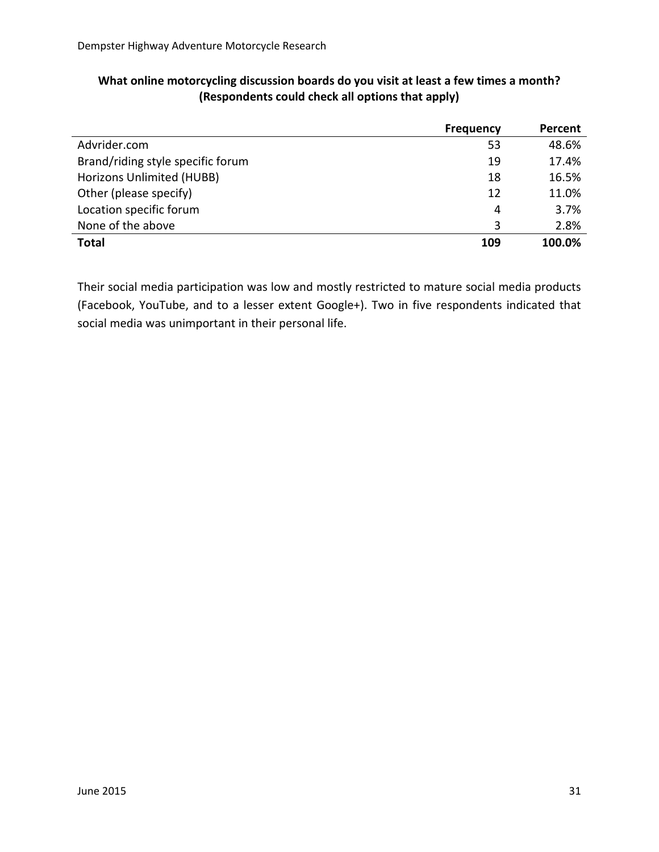|                                   | <b>Frequency</b> | Percent |
|-----------------------------------|------------------|---------|
| Advrider.com                      | 53               | 48.6%   |
| Brand/riding style specific forum | 19               | 17.4%   |
| Horizons Unlimited (HUBB)         | 18               | 16.5%   |
| Other (please specify)            | 12               | 11.0%   |
| Location specific forum           | 4                | 3.7%    |
| None of the above                 | 3                | 2.8%    |
| <b>Total</b>                      | 109              | 100.0%  |

#### **What online motorcycling discussion boards do you visit at least a few times a month? (Respondents could check all options that apply)**

Their social media participation was low and mostly restricted to mature social media products (Facebook, YouTube, and to a lesser extent Google+). Two in five respondents indicated that social media was unimportant in their personal life.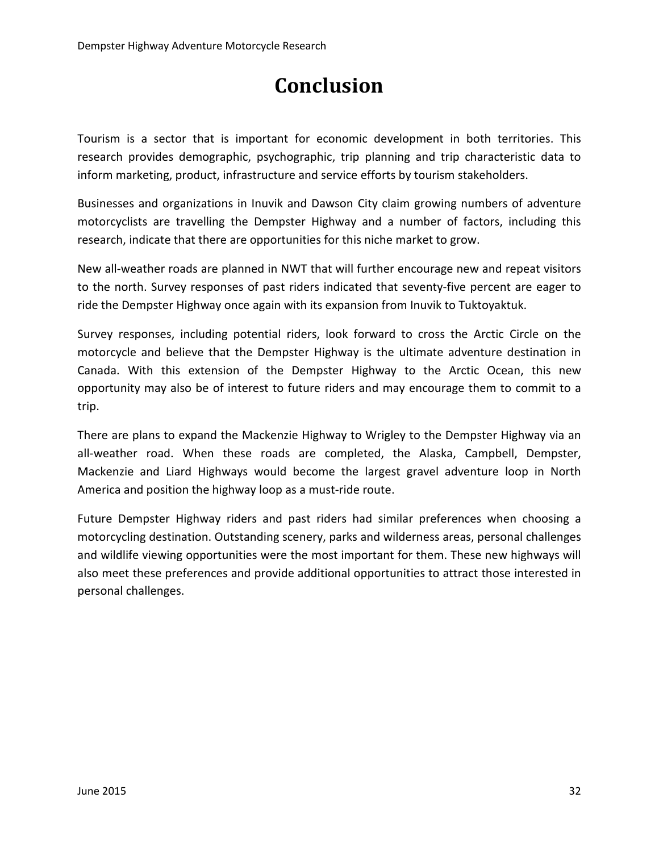# **Conclusion**

<span id="page-31-0"></span>Tourism is a sector that is important for economic development in both territories. This research provides demographic, psychographic, trip planning and trip characteristic data to inform marketing, product, infrastructure and service efforts by tourism stakeholders.

Businesses and organizations in Inuvik and Dawson City claim growing numbers of adventure motorcyclists are travelling the Dempster Highway and a number of factors, including this research, indicate that there are opportunities for this niche market to grow.

New all-weather roads are planned in NWT that will further encourage new and repeat visitors to the north. Survey responses of past riders indicated that seventy-five percent are eager to ride the Dempster Highway once again with its expansion from Inuvik to Tuktoyaktuk.

Survey responses, including potential riders, look forward to cross the Arctic Circle on the motorcycle and believe that the Dempster Highway is the ultimate adventure destination in Canada. With this extension of the Dempster Highway to the Arctic Ocean, this new opportunity may also be of interest to future riders and may encourage them to commit to a trip.

There are plans to expand the Mackenzie Highway to Wrigley to the Dempster Highway via an all-weather road. When these roads are completed, the Alaska, Campbell, Dempster, Mackenzie and Liard Highways would become the largest gravel adventure loop in North America and position the highway loop as a must-ride route.

Future Dempster Highway riders and past riders had similar preferences when choosing a motorcycling destination. Outstanding scenery, parks and wilderness areas, personal challenges and wildlife viewing opportunities were the most important for them. These new highways will also meet these preferences and provide additional opportunities to attract those interested in personal challenges.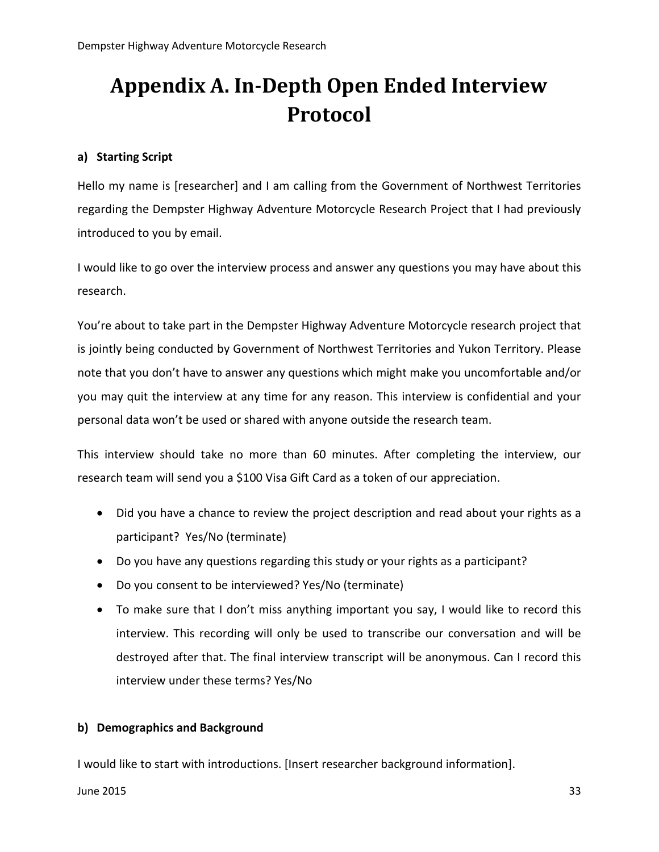# <span id="page-32-0"></span>**Appendix A. In-Depth Open Ended Interview Protocol**

#### **a) Starting Script**

Hello my name is [researcher] and I am calling from the Government of Northwest Territories regarding the Dempster Highway Adventure Motorcycle Research Project that I had previously introduced to you by email.

I would like to go over the interview process and answer any questions you may have about this research.

You're about to take part in the Dempster Highway Adventure Motorcycle research project that is jointly being conducted by Government of Northwest Territories and Yukon Territory. Please note that you don't have to answer any questions which might make you uncomfortable and/or you may quit the interview at any time for any reason. This interview is confidential and your personal data won't be used or shared with anyone outside the research team.

This interview should take no more than 60 minutes. After completing the interview, our research team will send you a \$100 Visa Gift Card as a token of our appreciation.

- Did you have a chance to review the project description and read about your rights as a participant? Yes/No (terminate)
- Do you have any questions regarding this study or your rights as a participant?
- Do you consent to be interviewed? Yes/No (terminate)
- To make sure that I don't miss anything important you say, I would like to record this interview. This recording will only be used to transcribe our conversation and will be destroyed after that. The final interview transcript will be anonymous. Can I record this interview under these terms? Yes/No

#### **b) Demographics and Background**

I would like to start with introductions. [Insert researcher background information].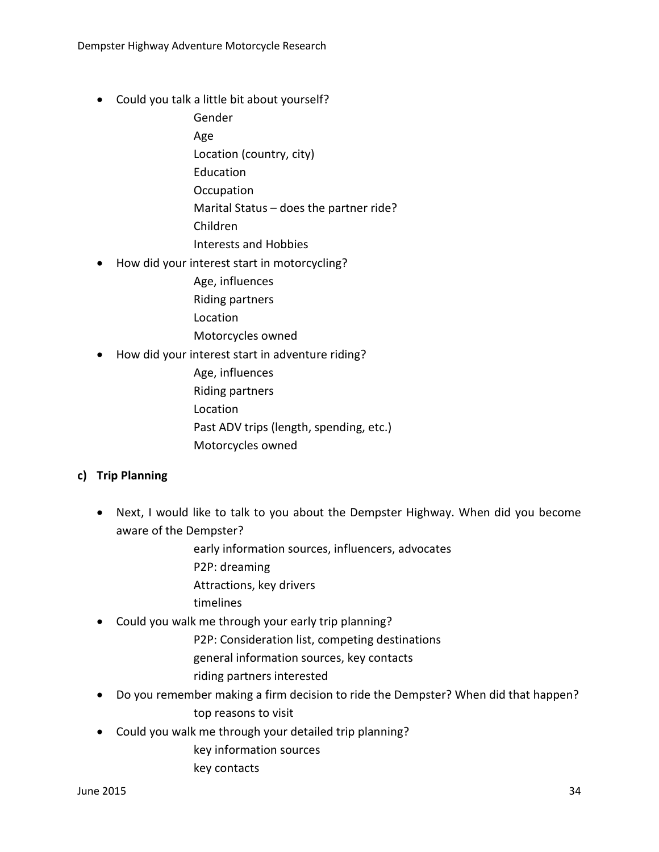- Could you talk a little bit about yourself?
	- Gender Age Location (country, city) Education **Occupation** Marital Status – does the partner ride? Children Interests and Hobbies
- How did your interest start in motorcycling?
	- Age, influences Riding partners Location Motorcycles owned
- How did your interest start in adventure riding?
	- Age, influences Riding partners Location Past ADV trips (length, spending, etc.) Motorcycles owned

#### **c) Trip Planning**

- Next, I would like to talk to you about the Dempster Highway. When did you become aware of the Dempster?
	- early information sources, influencers, advocates P2P: dreaming
	- Attractions, key drivers
	- timelines
- Could you walk me through your early trip planning?
	- P2P: Consideration list, competing destinations
	- general information sources, key contacts
	- riding partners interested
- Do you remember making a firm decision to ride the Dempster? When did that happen? top reasons to visit
- Could you walk me through your detailed trip planning?
	- key information sources
	- key contacts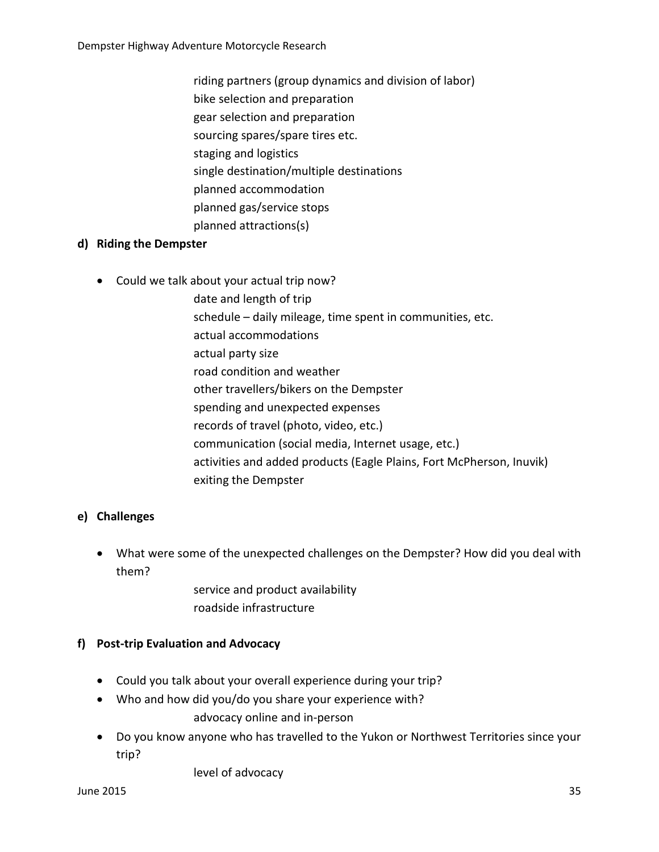- riding partners (group dynamics and division of labor)
- bike selection and preparation
- gear selection and preparation
- sourcing spares/spare tires etc.
- staging and logistics
- single destination/multiple destinations
- planned accommodation
- planned gas/service stops
- planned attractions(s)

#### **d) Riding the Dempster**

- Could we talk about your actual trip now?
	- date and length of trip
		- schedule daily mileage, time spent in communities, etc.
		- actual accommodations
	- actual party size
	- road condition and weather
	- other travellers/bikers on the Dempster
	- spending and unexpected expenses
	- records of travel (photo, video, etc.)
	- communication (social media, Internet usage, etc.)
	- activities and added products (Eagle Plains, Fort McPherson, Inuvik) exiting the Dempster

#### **e) Challenges**

• What were some of the unexpected challenges on the Dempster? How did you deal with them?

> service and product availability roadside infrastructure

#### **f) Post-trip Evaluation and Advocacy**

- Could you talk about your overall experience during your trip?
- Who and how did you/do you share your experience with?

advocacy online and in-person

• Do you know anyone who has travelled to the Yukon or Northwest Territories since your trip?

level of advocacy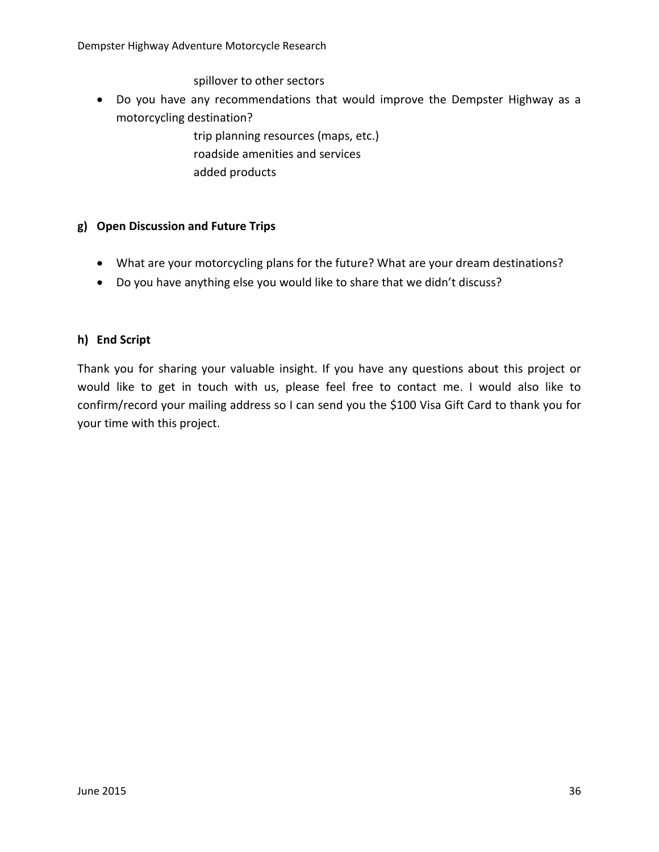spillover to other sectors

- Do you have any recommendations that would improve the Dempster Highway as a motorcycling destination?
	- trip planning resources (maps, etc.) roadside amenities and services added products

#### **g) Open Discussion and Future Trips**

- What are your motorcycling plans for the future? What are your dream destinations?
- Do you have anything else you would like to share that we didn't discuss?

#### **h) End Script**

Thank you for sharing your valuable insight. If you have any questions about this project or would like to get in touch with us, please feel free to contact me. I would also like to confirm/record your mailing address so I can send you the \$100 Visa Gift Card to thank you for your time with this project.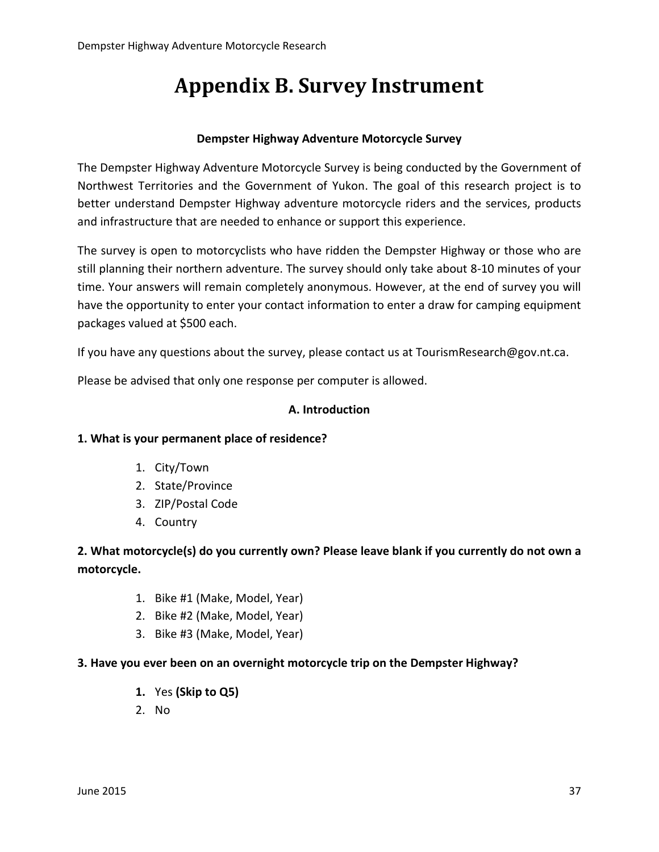# **Appendix B. Survey Instrument**

#### **Dempster Highway Adventure Motorcycle Survey**

The Dempster Highway Adventure Motorcycle Survey is being conducted by the Government of Northwest Territories and the Government of Yukon. The goal of this research project is to better understand Dempster Highway adventure motorcycle riders and the services, products and infrastructure that are needed to enhance or support this experience.

The survey is open to motorcyclists who have ridden the Dempster Highway or those who are still planning their northern adventure. The survey should only take about 8-10 minutes of your time. Your answers will remain completely anonymous. However, at the end of survey you will have the opportunity to enter your contact information to enter a draw for camping equipment packages valued at \$500 each.

If you have any questions about the survey, please contact us at TourismResearch@gov.nt.ca.

Please be advised that only one response per computer is allowed.

#### **A. Introduction**

#### **1. What is your permanent place of residence?**

- 1. City/Town
- 2. State/Province
- 3. ZIP/Postal Code
- 4. Country

## **2. What motorcycle(s) do you currently own? Please leave blank if you currently do not own a motorcycle.**

- 1. Bike #1 (Make, Model, Year)
- 2. Bike #2 (Make, Model, Year)
- 3. Bike #3 (Make, Model, Year)

#### **3. Have you ever been on an overnight motorcycle trip on the Dempster Highway?**

- **1.** Yes **(Skip to Q5)**
- 2. No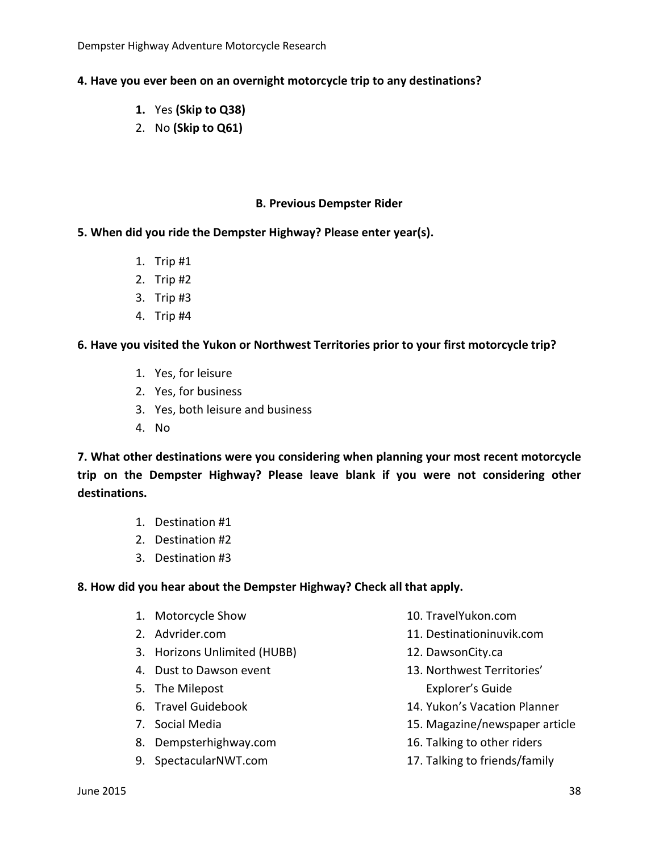Dempster Highway Adventure Motorcycle Research

#### **4. Have you ever been on an overnight motorcycle trip to any destinations?**

- **1.** Yes **(Skip to Q38)**
- 2. No **(Skip to Q61)**

#### **B. Previous Dempster Rider**

**5. When did you ride the Dempster Highway? Please enter year(s).**

- 1. Trip #1
- 2. Trip #2
- 3. Trip #3
- 4. Trip #4

#### **6. Have you visited the Yukon or Northwest Territories prior to your first motorcycle trip?**

- 1. Yes, for leisure
- 2. Yes, for business
- 3. Yes, both leisure and business
- 4. No

**7. What other destinations were you considering when planning your most recent motorcycle trip on the Dempster Highway? Please leave blank if you were not considering other destinations.**

- 1. Destination #1
- 2. Destination #2
- 3. Destination #3

#### **8. How did you hear about the Dempster Highway? Check all that apply.**

- 1. Motorcycle Show
- 2. Advrider.com
- 3. Horizons Unlimited (HUBB)
- 4. Dust to Dawson event
- 5. The Milepost
- 6. Travel Guidebook
- 7. Social Media
- 8. Dempsterhighway.com
- 9. SpectacularNWT.com
- 10. TravelYukon.com
- 11. Destinationinuvik.com
- 12. DawsonCity.ca
- 13. Northwest Territories' Explorer's Guide
- 14. Yukon's Vacation Planner
- 15. Magazine/newspaper article
- 16. Talking to other riders
- 17. Talking to friends/family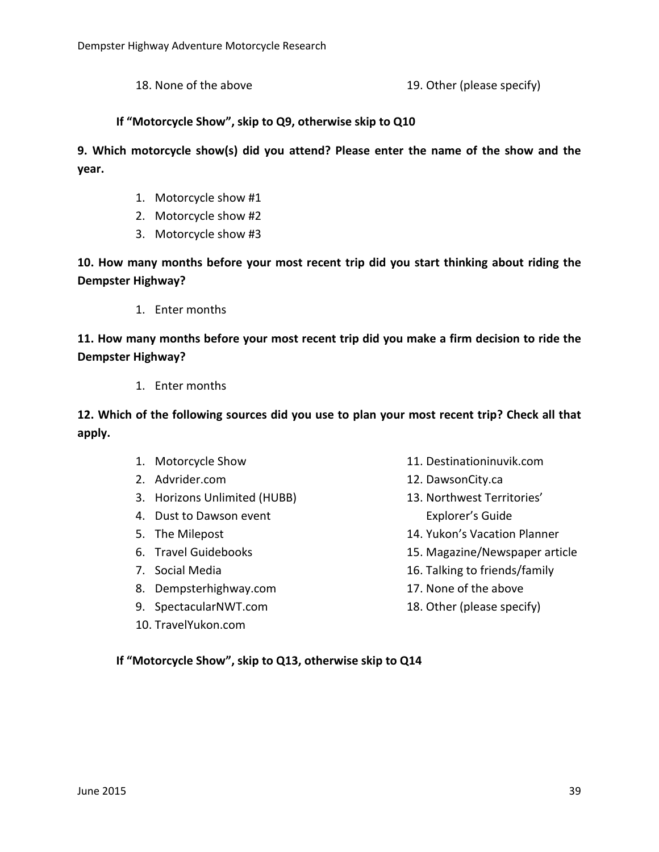18. None of the above 19. Other (please specify)

#### **If "Motorcycle Show", skip to Q9, otherwise skip to Q10**

**9. Which motorcycle show(s) did you attend? Please enter the name of the show and the year.**

- 1. Motorcycle show #1
- 2. Motorcycle show #2
- 3. Motorcycle show #3

**10. How many months before your most recent trip did you start thinking about riding the Dempster Highway?**

1. Enter months

**11. How many months before your most recent trip did you make a firm decision to ride the Dempster Highway?**

1. Enter months

**12. Which of the following sources did you use to plan your most recent trip? Check all that apply.**

- 1. Motorcycle Show
- 2. Advrider.com
- 3. Horizons Unlimited (HUBB)
- 4. Dust to Dawson event
- 5. The Milepost
- 6. Travel Guidebooks
- 7. Social Media
- 8. Dempsterhighway.com
- 9. SpectacularNWT.com
- 10. TravelYukon.com
- 11. Destinationinuvik.com
- 12. DawsonCity.ca
- 13. Northwest Territories' Explorer's Guide
- 14. Yukon's Vacation Planner
- 15. Magazine/Newspaper article
- 16. Talking to friends/family
- 17. None of the above
- 18. Other (please specify)

**If "Motorcycle Show", skip to Q13, otherwise skip to Q14**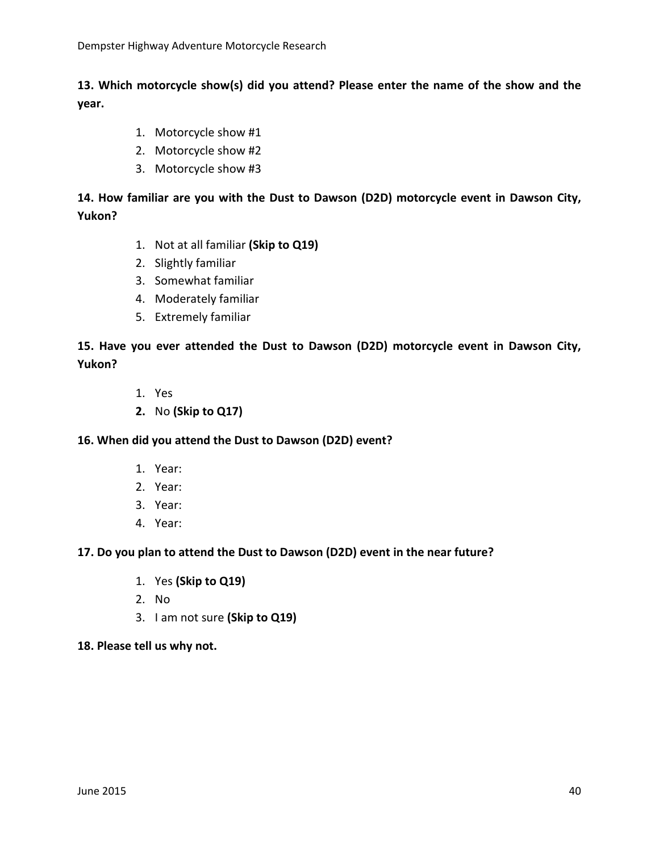## **13. Which motorcycle show(s) did you attend? Please enter the name of the show and the year.**

- 1. Motorcycle show #1
- 2. Motorcycle show #2
- 3. Motorcycle show #3

## **14. How familiar are you with the Dust to Dawson (D2D) motorcycle event in Dawson City, Yukon?**

- 1. Not at all familiar **(Skip to Q19)**
- 2. Slightly familiar
- 3. Somewhat familiar
- 4. Moderately familiar
- 5. Extremely familiar

### **15. Have you ever attended the Dust to Dawson (D2D) motorcycle event in Dawson City, Yukon?**

- 1. Yes
- **2.** No **(Skip to Q17)**

#### **16. When did you attend the Dust to Dawson (D2D) event?**

- 1. Year:
- 2. Year:
- 3. Year:
- 4. Year:

#### **17. Do you plan to attend the Dust to Dawson (D2D) event in the near future?**

- 1. Yes **(Skip to Q19)**
- 2. No
- 3. I am not sure **(Skip to Q19)**

#### **18. Please tell us why not.**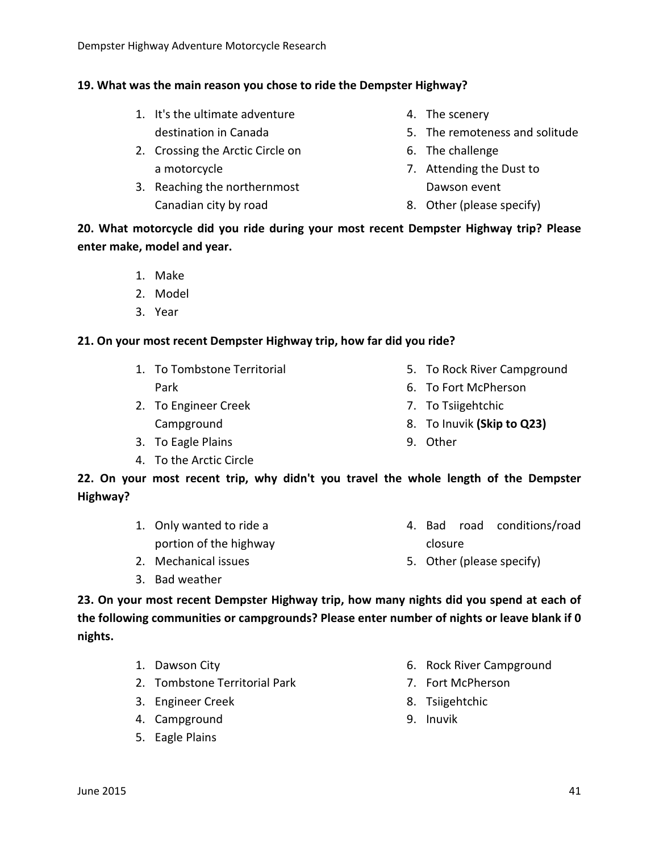## **19. What was the main reason you chose to ride the Dempster Highway?**

- 1. It's the ultimate adventure destination in Canada
- 2. Crossing the Arctic Circle on a motorcycle
- 3. Reaching the northernmost Canadian city by road
- 4. The scenery
- 5. The remoteness and solitude
- 6. The challenge
- 7. Attending the Dust to Dawson event
- 8. Other (please specify)

**20. What motorcycle did you ride during your most recent Dempster Highway trip? Please enter make, model and year.**

- 1. Make
- 2. Model
- 3. Year

### **21. On your most recent Dempster Highway trip, how far did you ride?**

- 1. To Tombstone Territorial Park
- 2. To Engineer Creek Campground
- 3. To Eagle Plains
- 4. To the Arctic Circle
- 5. To Rock River Campground
- 6. To Fort McPherson
- 7. To Tsiigehtchic
- 8. To Inuvik **(Skip to Q23)**
- 9. Other

**22. On your most recent trip, why didn't you travel the whole length of the Dempster Highway?**

- 1. Only wanted to ride a portion of the highway 4. Bad road conditions/road closure
- 2. Mechanical issues
- 3. Bad weather

5. Other (please specify)

**23. On your most recent Dempster Highway trip, how many nights did you spend at each of the following communities or campgrounds? Please enter number of nights or leave blank if 0 nights.**

- 1. Dawson City
- 2. Tombstone Territorial Park
- 3. Engineer Creek
- 4. Campground
- 5. Eagle Plains
- 6. Rock River Campground
- 7. Fort McPherson
- 8. Tsiigehtchic
- 9. Inuvik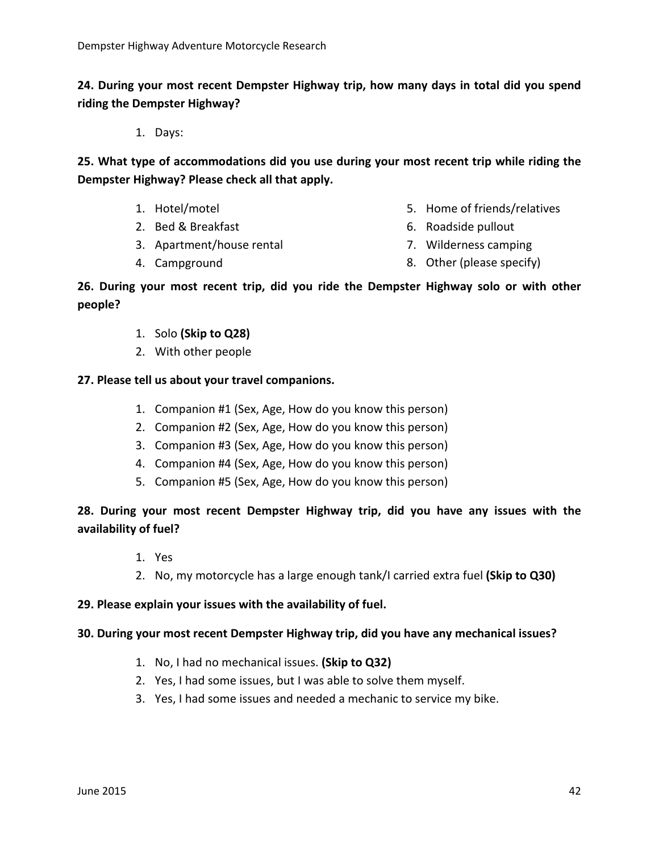**24. During your most recent Dempster Highway trip, how many days in total did you spend riding the Dempster Highway?**

1. Days:

**25. What type of accommodations did you use during your most recent trip while riding the Dempster Highway? Please check all that apply.**

- 1. Hotel/motel
- 2. Bed & Breakfast
- 3. Apartment/house rental
- 4. Campground
- 5. Home of friends/relatives
- 6. Roadside pullout
- 7. Wilderness camping
- 8. Other (please specify)

#### **26. During your most recent trip, did you ride the Dempster Highway solo or with other people?**

- 1. Solo **(Skip to Q28)**
- 2. With other people

#### **27. Please tell us about your travel companions.**

- 1. Companion #1 (Sex, Age, How do you know this person)
- 2. Companion #2 (Sex, Age, How do you know this person)
- 3. Companion #3 (Sex, Age, How do you know this person)
- 4. Companion #4 (Sex, Age, How do you know this person)
- 5. Companion #5 (Sex, Age, How do you know this person)

## **28. During your most recent Dempster Highway trip, did you have any issues with the availability of fuel?**

- 1. Yes
- 2. No, my motorcycle has a large enough tank/I carried extra fuel **(Skip to Q30)**

#### **29. Please explain your issues with the availability of fuel.**

#### **30. During your most recent Dempster Highway trip, did you have any mechanical issues?**

- 1. No, I had no mechanical issues. **(Skip to Q32)**
- 2. Yes, I had some issues, but I was able to solve them myself.
- 3. Yes, I had some issues and needed a mechanic to service my bike.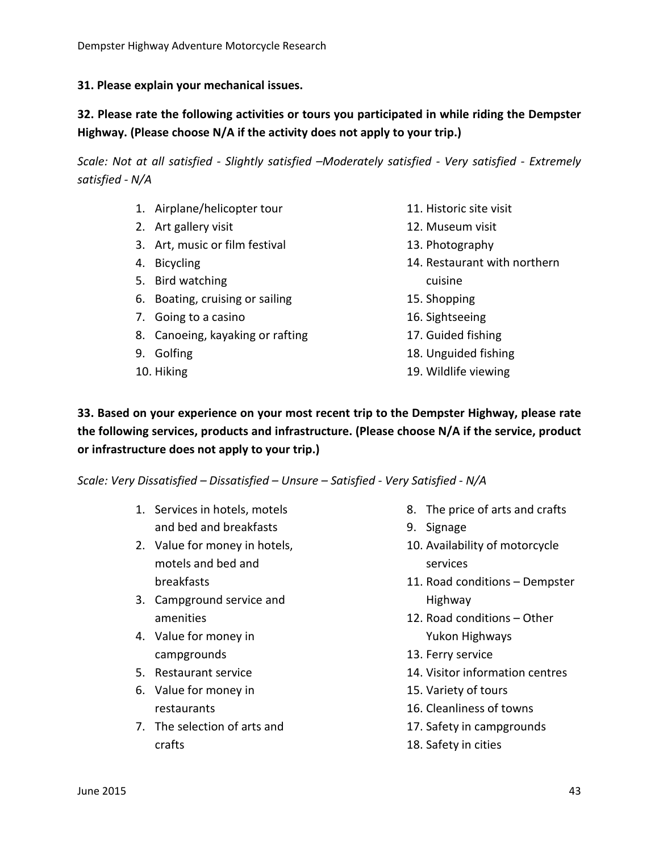#### **31. Please explain your mechanical issues.**

## **32. Please rate the following activities or tours you participated in while riding the Dempster Highway. (Please choose N/A if the activity does not apply to your trip.)**

*Scale: Not at all satisfied - Slightly satisfied –Moderately satisfied - Very satisfied - Extremely satisfied - N/A*

- 1. Airplane/helicopter tour
- 2. Art gallery visit
- 3. Art, music or film festival
- 4. Bicycling
- 5. Bird watching
- 6. Boating, cruising or sailing
- 7. Going to a casino
- 8. Canoeing, kayaking or rafting
- 9. Golfing
- 10. Hiking
- 11. Historic site visit
- 12. Museum visit
- 13. Photography
- 14. Restaurant with northern cuisine
- 15. Shopping
- 16. Sightseeing
- 17. Guided fishing
- 18. Unguided fishing
- 19. Wildlife viewing

**33. Based on your experience on your most recent trip to the Dempster Highway, please rate the following services, products and infrastructure. (Please choose N/A if the service, product or infrastructure does not apply to your trip.)**

*Scale: Very Dissatisfied – Dissatisfied – Unsure – Satisfied - Very Satisfied - N/A*

- 1. Services in hotels, motels and bed and breakfasts
- 2. Value for money in hotels, motels and bed and breakfasts
- 3. Campground service and amenities
- 4. Value for money in campgrounds
- 5. Restaurant service
- 6. Value for money in restaurants
- 7. The selection of arts and crafts
- 8. The price of arts and crafts
- 9. Signage
- 10. Availability of motorcycle services
- 11. Road conditions Dempster Highway
- 12. Road conditions Other Yukon Highways
- 13. Ferry service
- 14. Visitor information centres
- 15. Variety of tours
- 16. Cleanliness of towns
- 17. Safety in campgrounds
- 18. Safety in cities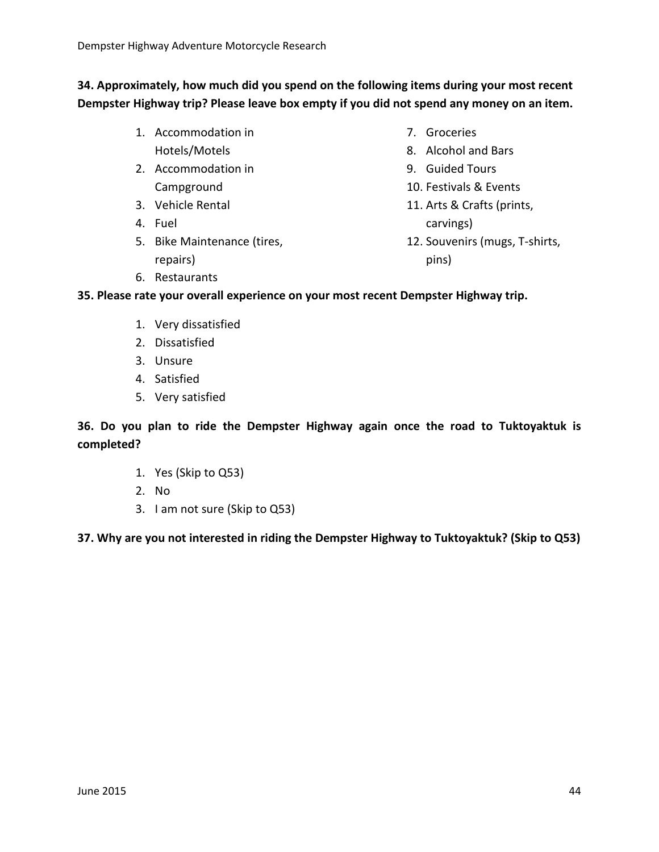**34. Approximately, how much did you spend on the following items during your most recent Dempster Highway trip? Please leave box empty if you did not spend any money on an item.**

- 1. Accommodation in Hotels/Motels
- 2. Accommodation in Campground
- 3. Vehicle Rental
- 4. Fuel
- 5. Bike Maintenance (tires, repairs)
- 7. Groceries
- 8. Alcohol and Bars
- 9. Guided Tours
- 10. Festivals & Events
- 11. Arts & Crafts (prints, carvings)
- 12. Souvenirs (mugs, T-shirts, pins)

6. Restaurants

**35. Please rate your overall experience on your most recent Dempster Highway trip.**

- 1. Very dissatisfied
- 2. Dissatisfied
- 3. Unsure
- 4. Satisfied
- 5. Very satisfied

**36. Do you plan to ride the Dempster Highway again once the road to Tuktoyaktuk is completed?**

- 1. Yes (Skip to Q53)
- 2. No
- 3. I am not sure (Skip to Q53)

**37. Why are you not interested in riding the Dempster Highway to Tuktoyaktuk? (Skip to Q53)**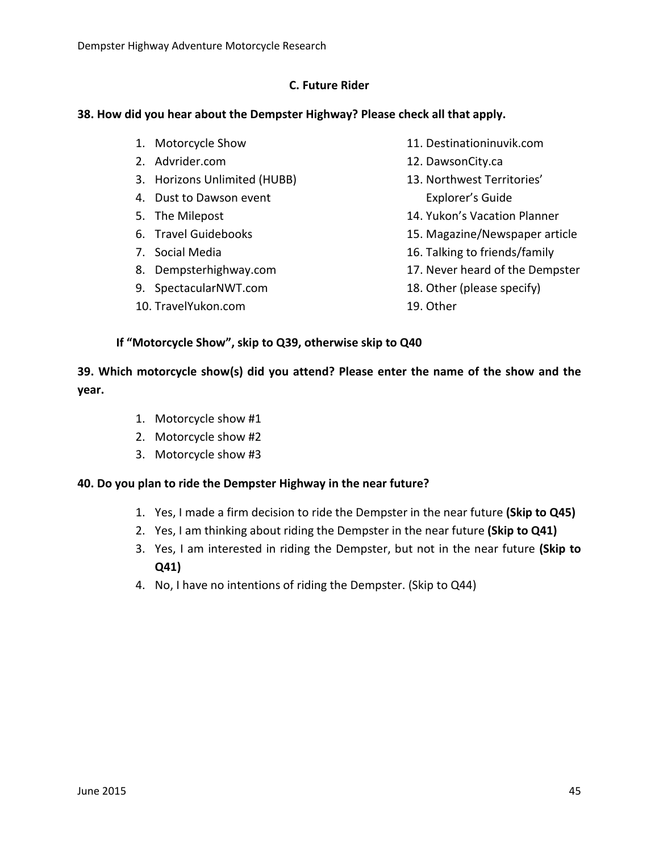#### **C. Future Rider**

#### **38. How did you hear about the Dempster Highway? Please check all that apply.**

- 1. Motorcycle Show
- 2. Advrider.com
- 3. Horizons Unlimited (HUBB)
- 4. Dust to Dawson event
- 5. The Milepost
- 6. Travel Guidebooks
- 7. Social Media
- 8. Dempsterhighway.com
- 9. SpectacularNWT.com
- 10. TravelYukon.com
- 11. Destinationinuvik.com
- 12. DawsonCity.ca
- 13. Northwest Territories' Explorer's Guide
- 14. Yukon's Vacation Planner
- 15. Magazine/Newspaper article
- 16. Talking to friends/family
- 17. Never heard of the Dempster
- 18. Other (please specify)
- 19. Other

**If "Motorcycle Show", skip to Q39, otherwise skip to Q40**

**39. Which motorcycle show(s) did you attend? Please enter the name of the show and the year.**

- 1. Motorcycle show #1
- 2. Motorcycle show #2
- 3. Motorcycle show #3

#### **40. Do you plan to ride the Dempster Highway in the near future?**

- 1. Yes, I made a firm decision to ride the Dempster in the near future **(Skip to Q45)**
- 2. Yes, I am thinking about riding the Dempster in the near future **(Skip to Q41)**
- 3. Yes, I am interested in riding the Dempster, but not in the near future **(Skip to Q41)**
- 4. No, I have no intentions of riding the Dempster. (Skip to Q44)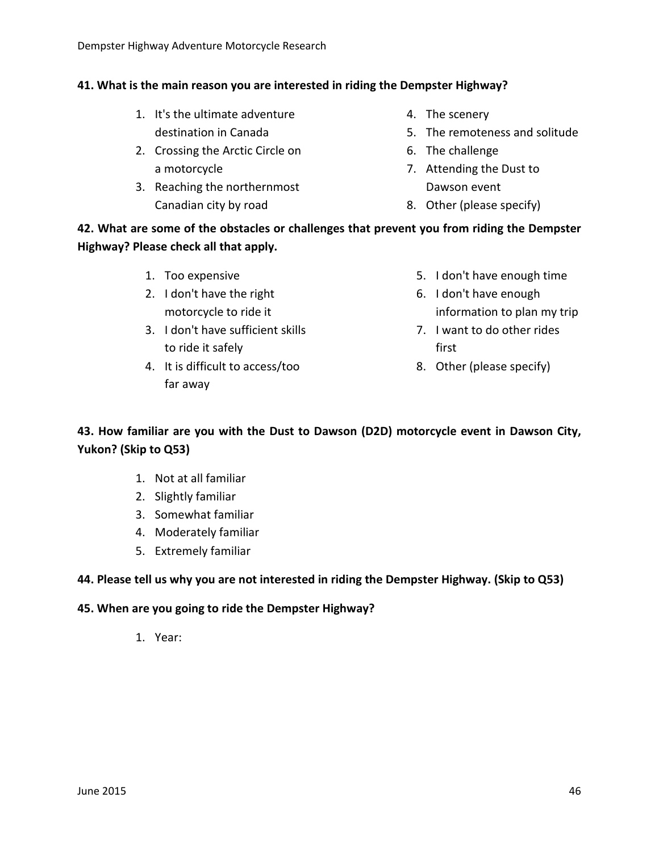## **41. What is the main reason you are interested in riding the Dempster Highway?**

- 1. It's the ultimate adventure destination in Canada
- 2. Crossing the Arctic Circle on a motorcycle
- 3. Reaching the northernmost Canadian city by road
- 4. The scenery
- 5. The remoteness and solitude
- 6. The challenge
- 7. Attending the Dust to Dawson event
- 8. Other (please specify)

**42. What are some of the obstacles or challenges that prevent you from riding the Dempster Highway? Please check all that apply.**

- 1. Too expensive
- 2. I don't have the right motorcycle to ride it
- 3. I don't have sufficient skills to ride it safely
- 4. It is difficult to access/too far away
- 5. I don't have enough time
- 6. I don't have enough information to plan my trip
- 7. I want to do other rides first
- 8. Other (please specify)

## **43. How familiar are you with the Dust to Dawson (D2D) motorcycle event in Dawson City, Yukon? (Skip to Q53)**

- 1. Not at all familiar
- 2. Slightly familiar
- 3. Somewhat familiar
- 4. Moderately familiar
- 5. Extremely familiar

## **44. Please tell us why you are not interested in riding the Dempster Highway. (Skip to Q53)**

#### **45. When are you going to ride the Dempster Highway?**

1. Year: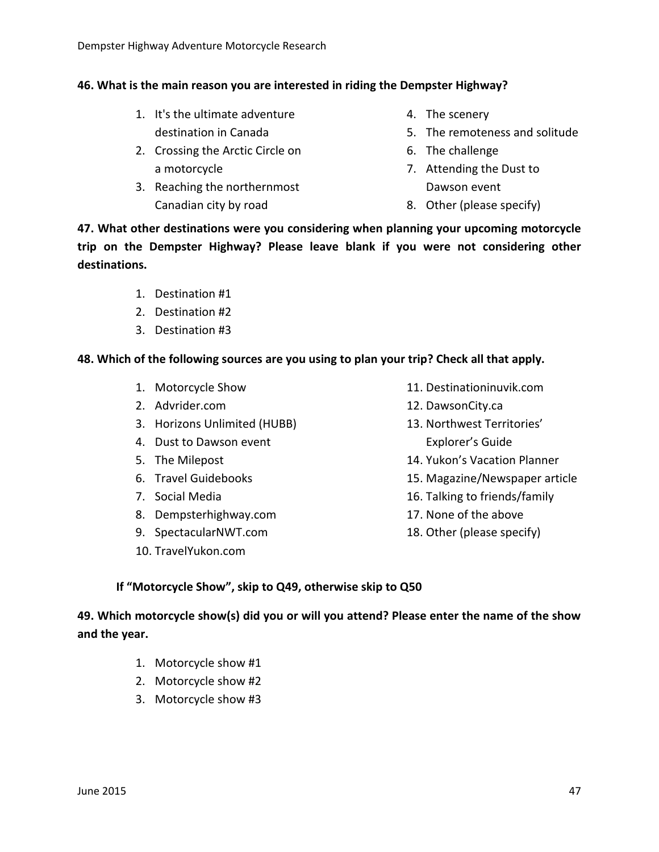## **46. What is the main reason you are interested in riding the Dempster Highway?**

- 1. It's the ultimate adventure destination in Canada
- 2. Crossing the Arctic Circle on a motorcycle
- 3. Reaching the northernmost Canadian city by road
- 4. The scenery
- 5. The remoteness and solitude
- 6. The challenge
- 7. Attending the Dust to Dawson event
- 8. Other (please specify)

**47. What other destinations were you considering when planning your upcoming motorcycle trip on the Dempster Highway? Please leave blank if you were not considering other destinations.**

- 1. Destination #1
- 2. Destination #2
- 3. Destination #3

## **48. Which of the following sources are you using to plan your trip? Check all that apply.**

- 1. Motorcycle Show
- 2. Advrider.com
- 3. Horizons Unlimited (HUBB)
- 4. Dust to Dawson event
- 5. The Milepost
- 6. Travel Guidebooks
- 7. Social Media
- 8. Dempsterhighway.com
- 9. SpectacularNWT.com
- 10. TravelYukon.com
- 11. Destinationinuvik.com
- 12. DawsonCity.ca
- 13. Northwest Territories' Explorer's Guide
- 14. Yukon's Vacation Planner
- 15. Magazine/Newspaper article
- 16. Talking to friends/family
- 17. None of the above
- 18. Other (please specify)

## **If "Motorcycle Show", skip to Q49, otherwise skip to Q50**

**49. Which motorcycle show(s) did you or will you attend? Please enter the name of the show and the year.**

- 1. Motorcycle show #1
- 2. Motorcycle show #2
- 3. Motorcycle show #3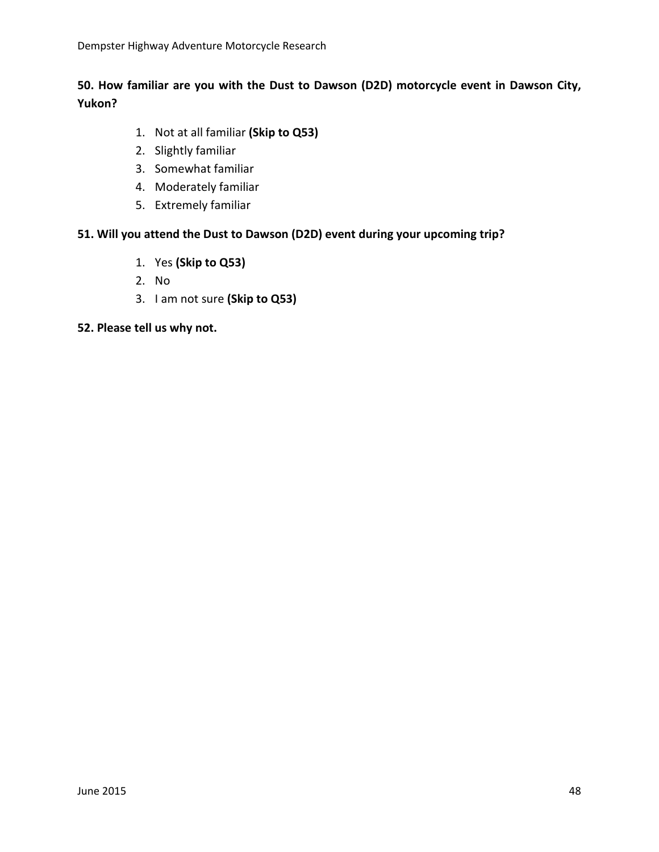## **50. How familiar are you with the Dust to Dawson (D2D) motorcycle event in Dawson City, Yukon?**

- 1. Not at all familiar **(Skip to Q53)**
- 2. Slightly familiar
- 3. Somewhat familiar
- 4. Moderately familiar
- 5. Extremely familiar

#### **51. Will you attend the Dust to Dawson (D2D) event during your upcoming trip?**

- 1. Yes **(Skip to Q53)**
- 2. No
- 3. I am not sure **(Skip to Q53)**

#### **52. Please tell us why not.**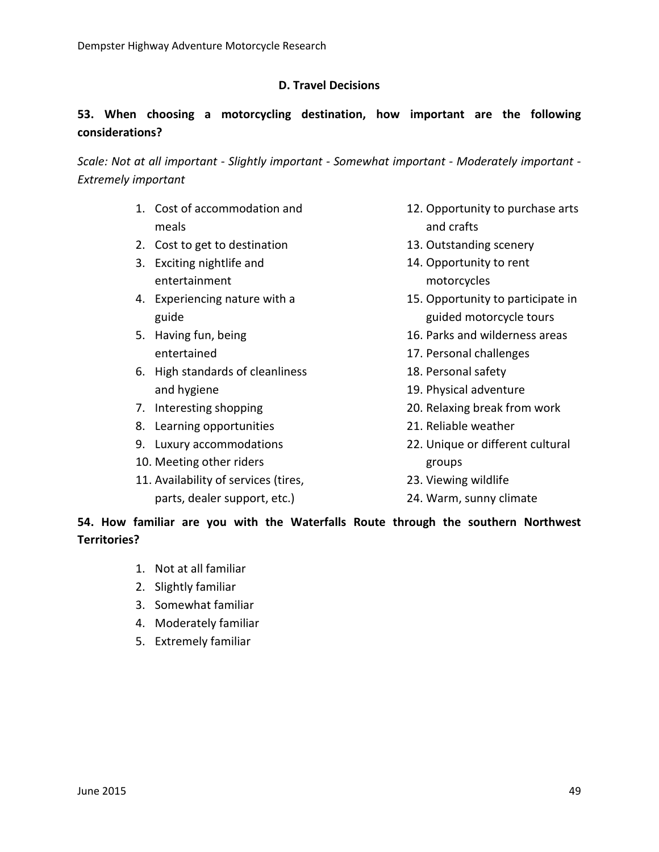## **D. Travel Decisions**

## **53. When choosing a motorcycling destination, how important are the following considerations?**

*Scale: Not at all important - Slightly important - Somewhat important - Moderately important - Extremely important*

- 1. Cost of accommodation and meals
- 2. Cost to get to destination
- 3. Exciting nightlife and entertainment
- 4. Experiencing nature with a guide
- 5. Having fun, being entertained
- 6. High standards of cleanliness and hygiene
- 7. Interesting shopping
- 8. Learning opportunities
- 9. Luxury accommodations
- 10. Meeting other riders
- 11. Availability of services (tires, parts, dealer support, etc.)
- 12. Opportunity to purchase arts and crafts
- 13. Outstanding scenery
- 14. Opportunity to rent motorcycles
- 15. Opportunity to participate in guided motorcycle tours
- 16. Parks and wilderness areas
- 17. Personal challenges
- 18. Personal safety
- 19. Physical adventure
- 20. Relaxing break from work
- 21. Reliable weather
- 22. Unique or different cultural groups
- 23. Viewing wildlife
- 24. Warm, sunny climate

### **54. How familiar are you with the Waterfalls Route through the southern Northwest Territories?**

- 1. Not at all familiar
- 2. Slightly familiar
- 3. Somewhat familiar
- 4. Moderately familiar
- 5. Extremely familiar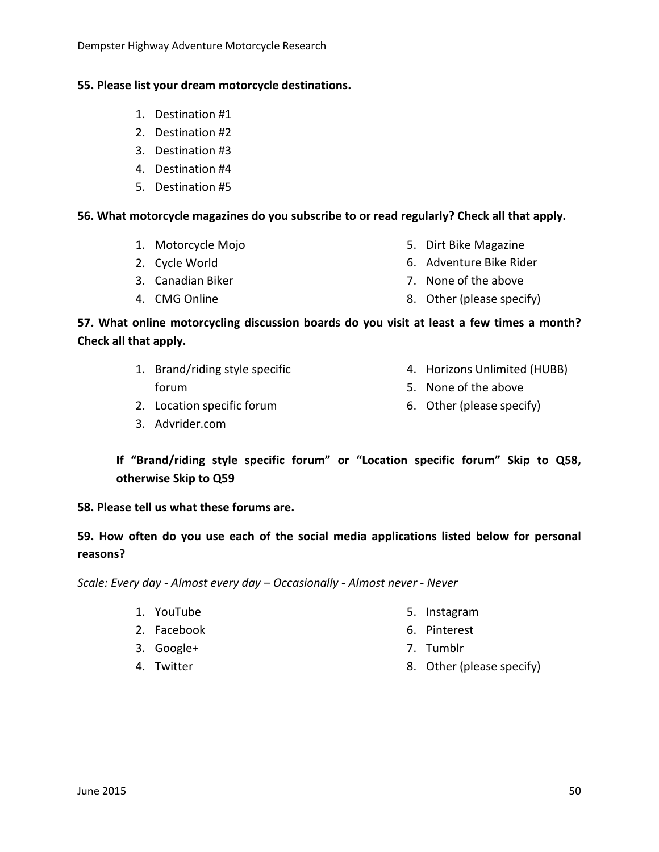## **55. Please list your dream motorcycle destinations.**

- 1. Destination #1
- 2. Destination #2
- 3. Destination #3
- 4. Destination #4
- 5. Destination #5

## **56. What motorcycle magazines do you subscribe to or read regularly? Check all that apply.**

- 1. Motorcycle Mojo
- 2. Cycle World
- 3. Canadian Biker
- 4. CMG Online
- 5. Dirt Bike Magazine
- 6. Adventure Bike Rider
- 7. None of the above
- 8. Other (please specify)

## **57. What online motorcycling discussion boards do you visit at least a few times a month? Check all that apply.**

- 1. Brand/riding style specific forum 4. Horizons Unlimited (HUBB) 5. None of the above
- 2. Location specific forum
- 3. Advrider.com

6. Other (please specify)

**If "Brand/riding style specific forum" or "Location specific forum" Skip to Q58, otherwise Skip to Q59**

**58. Please tell us what these forums are.**

## **59. How often do you use each of the social media applications listed below for personal reasons?**

*Scale: Every day - Almost every day – Occasionally - Almost never - Never*

- 1. YouTube
- 2. Facebook
- 3. Google+
- 4. Twitter
- 5. Instagram
- 6. Pinterest
- 7. Tumblr
- 8. Other (please specify)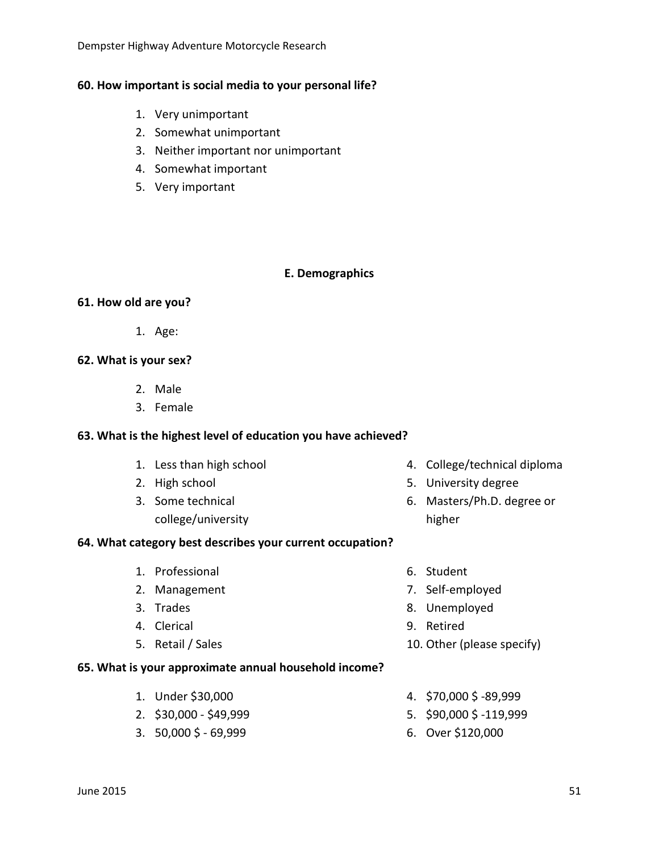Dempster Highway Adventure Motorcycle Research

## **60. How important is social media to your personal life?**

- 1. Very unimportant
- 2. Somewhat unimportant
- 3. Neither important nor unimportant
- 4. Somewhat important
- 5. Very important

## **E. Demographics**

## **61. How old are you?**

1. Age:

## **62. What is your sex?**

- 2. Male
- 3. Female

## **63. What is the highest level of education you have achieved?**

- 1. Less than high school
- 2. High school
- 3. Some technical college/university

## **64. What category best describes your current occupation?**

- 1. Professional
- 2. Management
- 3. Trades
- 4. Clerical
- 5. Retail / Sales

## **65. What is your approximate annual household income?**

- 1. Under \$30,000
- 2. \$30,000 \$49,999
- 3. 50,000 \$ 69,999
- 4. College/technical diploma
- 5. University degree
- 6. Masters/Ph.D. degree or higher
- 6. Student
- 7. Self-employed
- 8. Unemployed
- 9. Retired
- 10. Other (please specify)
- 4. \$70,000 \$ -89,999
- 5. \$90,000 \$ -119,999
- 6. Over \$120,000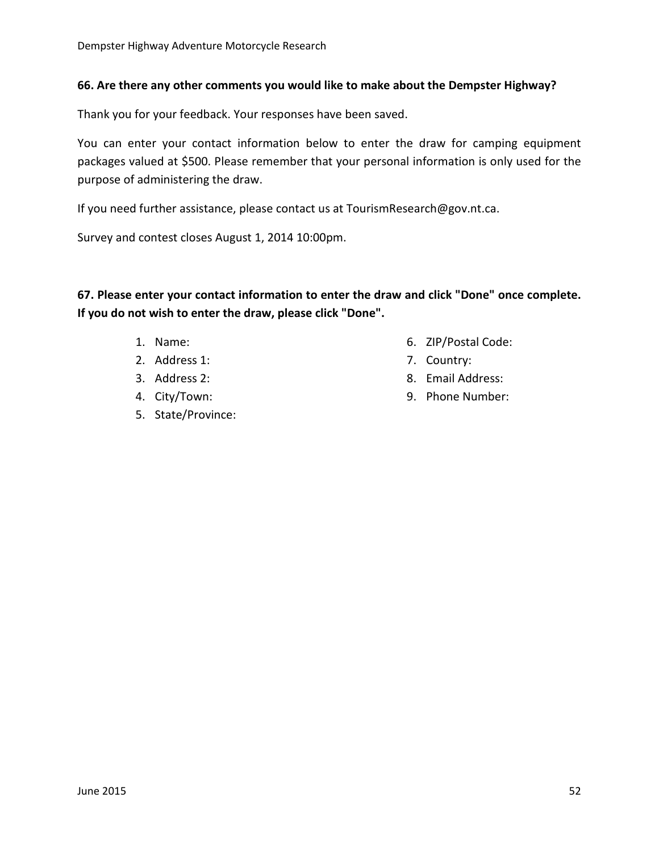#### **66. Are there any other comments you would like to make about the Dempster Highway?**

Thank you for your feedback. Your responses have been saved.

You can enter your contact information below to enter the draw for camping equipment packages valued at \$500. Please remember that your personal information is only used for the purpose of administering the draw.

If you need further assistance, please contact us at TourismResearch@gov.nt.ca.

Survey and contest closes August 1, 2014 10:00pm.

**67. Please enter your contact information to enter the draw and click "Done" once complete. If you do not wish to enter the draw, please click "Done".**

- 1. Name:
- 2. Address 1:
- 3. Address 2:
- 4. City/Town:
- 5. State/Province:
- 6. ZIP/Postal Code:
- 7. Country:
- 8. Email Address:
- 9. Phone Number: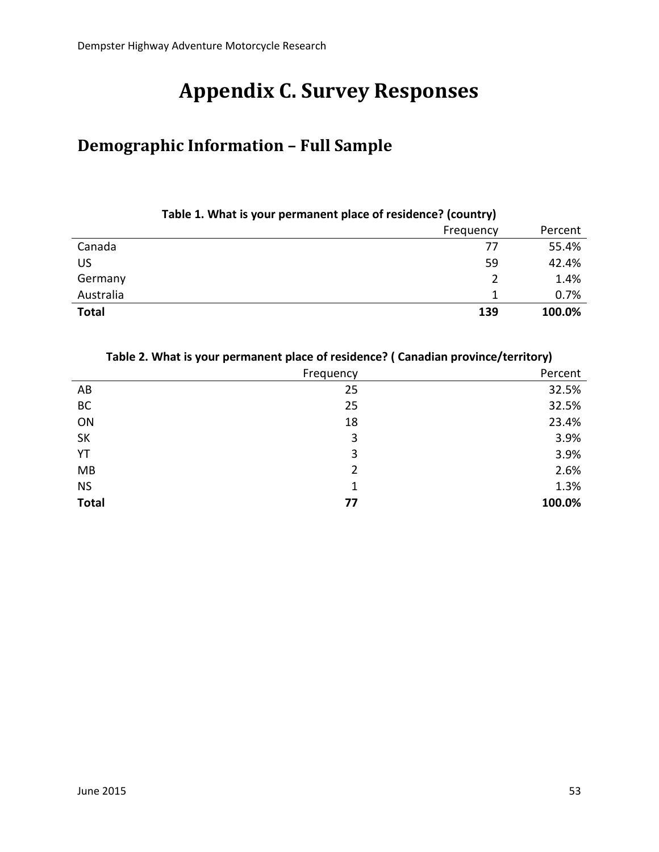# **Appendix C. Survey Responses**

## **Demographic Information – Full Sample**

|              | . . | .         |         |
|--------------|-----|-----------|---------|
|              |     | Frequency | Percent |
| Canada       |     | 77        | 55.4%   |
| <b>US</b>    |     | 59        | 42.4%   |
| Germany      |     |           | 1.4%    |
| Australia    |     |           | 0.7%    |
| <b>Total</b> |     | 139       | 100.0%  |
|              |     |           |         |

#### **Table 1. What is your permanent place of residence? (country)**

#### **Table 2. What is your permanent place of residence? ( Canadian province/territory)**

|              | Frequency | Percent |
|--------------|-----------|---------|
| AB           | 25        | 32.5%   |
| BC           | 25        | 32.5%   |
| ON           | 18        | 23.4%   |
| <b>SK</b>    | 3         | 3.9%    |
| YT           | 3         | 3.9%    |
| MB           | 2         | 2.6%    |
| <b>NS</b>    | 1         | 1.3%    |
| <b>Total</b> | 77        | 100.0%  |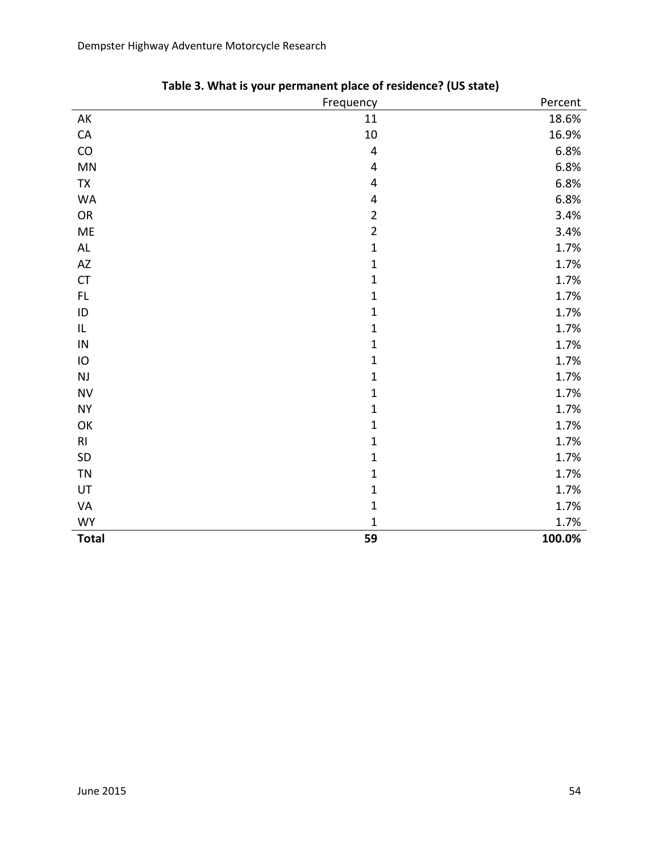Dempster Highway Adventure Motorcycle Research

|                        | Frequency      | Percent |
|------------------------|----------------|---------|
| AK                     | 11             | 18.6%   |
| ${\sf CA}$             | $10\,$         | 16.9%   |
| CO                     | $\pmb{4}$      | 6.8%    |
| $\mathsf{M}\mathsf{N}$ | 4              | 6.8%    |
| <b>TX</b>              | $\pmb{4}$      | 6.8%    |
| WA                     | 4              | 6.8%    |
| OR                     | $\overline{2}$ | 3.4%    |
| ME                     | $\overline{2}$ | 3.4%    |
| $\mathsf{AL}$          | $\mathbf{1}$   | 1.7%    |
| $\mathsf{A}\mathsf{Z}$ | $\mathbf{1}$   | 1.7%    |
| ${\sf CT}$             | $\mathbf{1}$   | 1.7%    |
| $\mathsf{FL}$          | $\mathbf{1}$   | 1.7%    |
| $\sf ID$               | $\mathbf 1$    | 1.7%    |
| IL                     | $\mathbf 1$    | 1.7%    |
| ${\sf IN}$             | $\mathbf{1}$   | 1.7%    |
| $\mathsf{IO}$          | $\mathbf{1}$   | 1.7%    |
| $\mathsf{NJ}$          | $\mathbf{1}$   | 1.7%    |
| ${\sf NV}$             | $\mathbf 1$    | 1.7%    |
| <b>NY</b>              | $\mathbf{1}$   | 1.7%    |
| OK                     | $\mathbf{1}$   | 1.7%    |
| R <sub>l</sub>         | $\mathbf 1$    | 1.7%    |
| SD                     | $\mathbf{1}$   | 1.7%    |
| <b>TN</b>              | $\mathbf 1$    | 1.7%    |
| UT                     | $\mathbf 1$    | 1.7%    |
| VA                     | $\mathbf 1$    | 1.7%    |
| <b>WY</b>              | $\mathbf 1$    | 1.7%    |
| <b>Total</b>           | 59             | 100.0%  |

| Table 3. What is your permanent place of residence? (US state) |  |  |  |
|----------------------------------------------------------------|--|--|--|
|----------------------------------------------------------------|--|--|--|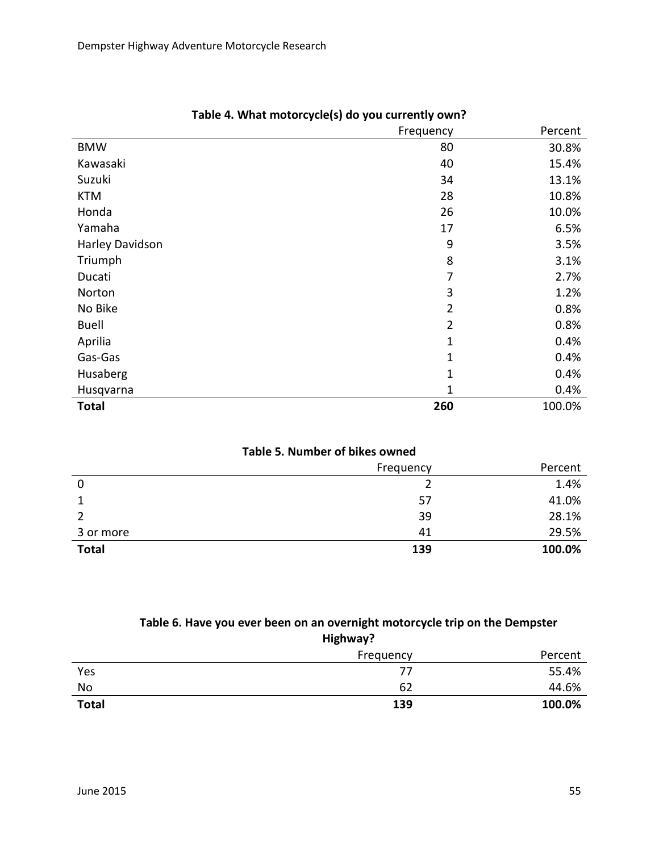|                 | Frequency      | Percent |
|-----------------|----------------|---------|
| <b>BMW</b>      | 80             | 30.8%   |
| Kawasaki        | 40             | 15.4%   |
| Suzuki          | 34             | 13.1%   |
| <b>KTM</b>      | 28             | 10.8%   |
| Honda           | 26             | 10.0%   |
| Yamaha          | 17             | 6.5%    |
| Harley Davidson | 9              | 3.5%    |
| Triumph         | 8              | 3.1%    |
| Ducati          | 7              | 2.7%    |
| Norton          | 3              | 1.2%    |
| No Bike         | $\overline{2}$ | 0.8%    |
| <b>Buell</b>    | $\overline{2}$ | 0.8%    |
| Aprilia         | 1              | 0.4%    |
| Gas-Gas         | 1              | 0.4%    |
| Husaberg        | 1              | 0.4%    |
| Husqvarna       | 1              | 0.4%    |
| <b>Total</b>    | 260            | 100.0%  |

## **Table 4. What motorcycle(s) do you currently own?**

#### **Table 5. Number of bikes owned**

|              | Frequency | Percent |
|--------------|-----------|---------|
| 0            |           | 1.4%    |
|              | 57        | 41.0%   |
|              | 39        | 28.1%   |
| 3 or more    | 41        | 29.5%   |
| <b>Total</b> | 139       | 100.0%  |

#### **Table 6. Have you ever been on an overnight motorcycle trip on the Dempster Highway?**

|              | -<br>Frequency | Percent |
|--------------|----------------|---------|
| Yes          | 77             | 55.4%   |
| No           | 62             | 44.6%   |
| <b>Total</b> | 139            | 100.0%  |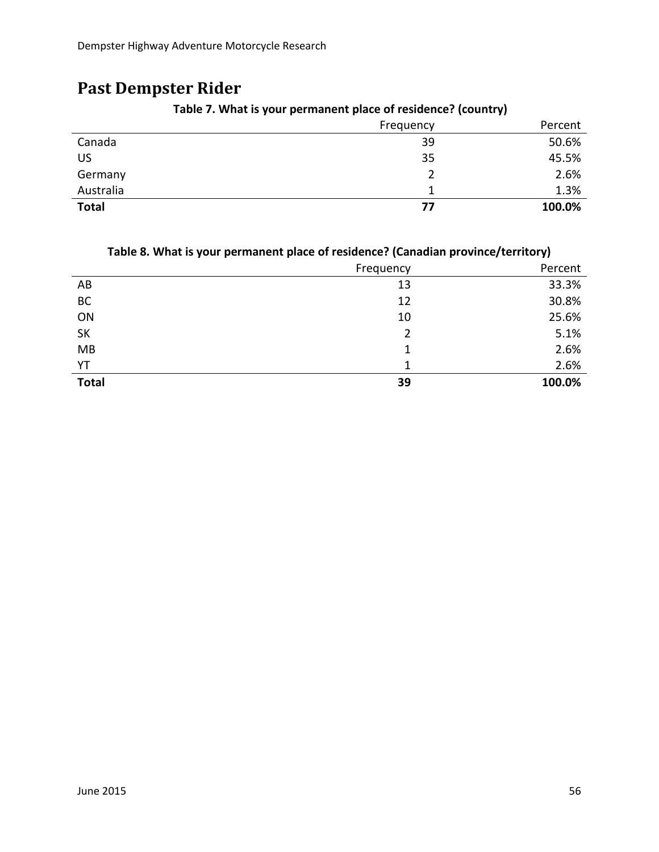## **Past Dempster Rider**

|              | Frequency | Percent |
|--------------|-----------|---------|
| Canada       | 39        | 50.6%   |
| US           | 35        | 45.5%   |
| Germany      |           | 2.6%    |
| Australia    |           | 1.3%    |
| <b>Total</b> | 77        | 100.0%  |

**Table 7. What is your permanent place of residence? (country)**

#### **Table 8. What is your permanent place of residence? (Canadian province/territory)**

|              | Frequency | Percent |
|--------------|-----------|---------|
| AB           | 13        | 33.3%   |
| BC           | 12        | 30.8%   |
| ON           | 10        | 25.6%   |
| <b>SK</b>    | 2         | 5.1%    |
| MB           |           | 2.6%    |
| YT           |           | 2.6%    |
| <b>Total</b> | 39        | 100.0%  |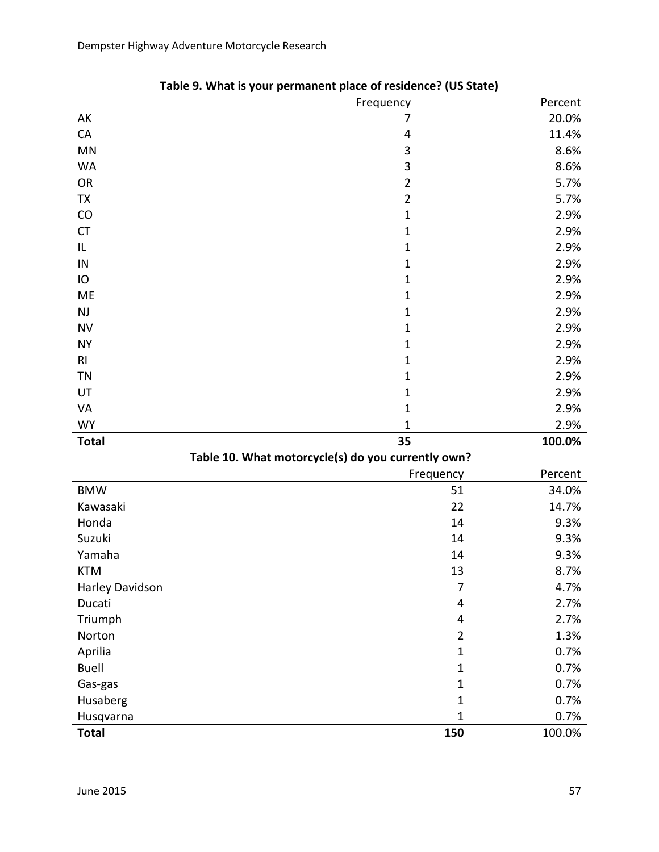|                 | Frequency                                          | Percent |
|-----------------|----------------------------------------------------|---------|
| AK              | 7                                                  | 20.0%   |
| CA              | 4                                                  | 11.4%   |
| MN              | $\mathbf{3}$                                       | 8.6%    |
| <b>WA</b>       | 3                                                  | 8.6%    |
| OR              | $\overline{2}$                                     | 5.7%    |
| TX              | $\overline{2}$                                     | 5.7%    |
| CO              | $\mathbf 1$                                        | 2.9%    |
| <b>CT</b>       | $\mathbf{1}$                                       | 2.9%    |
| IL              | $\mathbf 1$                                        | 2.9%    |
| ${\sf IN}$      | $\mathbf 1$                                        | 2.9%    |
| IO              | $\mathbf 1$                                        | 2.9%    |
| ME              | $\mathbf{1}$                                       | 2.9%    |
| NJ              | $\mathbf{1}$                                       | 2.9%    |
| <b>NV</b>       | $\mathbf 1$                                        | 2.9%    |
| <b>NY</b>       | $\mathbf 1$                                        | 2.9%    |
| R <sub>l</sub>  | $\mathbf 1$                                        | 2.9%    |
| TN              | $\mathbf{1}$                                       | 2.9%    |
| UT              | $\mathbf 1$                                        | 2.9%    |
| VA              | $\mathbf 1$                                        | 2.9%    |
| <b>WY</b>       | $\mathbf 1$                                        | 2.9%    |
| <b>Total</b>    | 35                                                 | 100.0%  |
|                 | Table 10. What motorcycle(s) do you currently own? |         |
|                 | Frequency                                          | Percent |
| <b>BMW</b>      | 51                                                 | 34.0%   |
| Kawasaki        | 22                                                 | 14.7%   |
| Honda           | 14                                                 | 9.3%    |
| Suzuki          | 14                                                 | 9.3%    |
| Yamaha          | 14                                                 | 9.3%    |
| <b>KTM</b>      | 13                                                 | 8.7%    |
| Harley Davidson | 7                                                  | 4.7%    |
| Ducati          | 4                                                  | 2.7%    |
| Triumph         | 4                                                  | 2.7%    |
| Norton          | $\overline{2}$                                     | 1.3%    |
| Aprilia         | $\mathbf{1}$                                       | 0.7%    |
| <b>Buell</b>    | $\mathbf 1$                                        | 0.7%    |
| Gas-gas         | $\mathbf{1}$                                       | 0.7%    |
| Husaberg        | $\mathbf{1}$                                       | 0.7%    |
| Husqvarna       | $\mathbf 1$                                        | 0.7%    |
| <b>Total</b>    | 150                                                | 100.0%  |

|  |  | Table 9. What is your permanent place of residence? (US State) |
|--|--|----------------------------------------------------------------|
|--|--|----------------------------------------------------------------|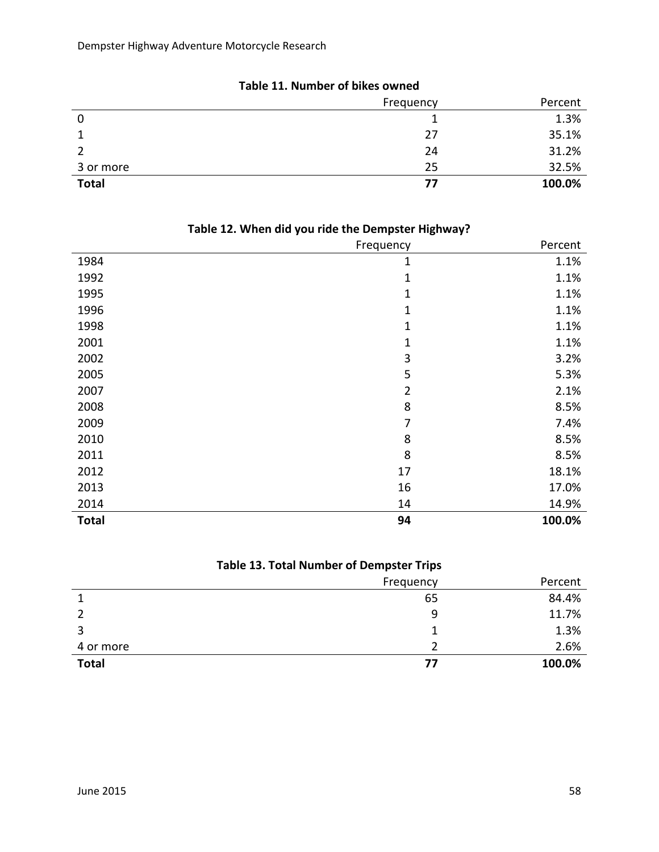|              | Frequency | Percent |
|--------------|-----------|---------|
| 0            |           | 1.3%    |
|              | 27        | 35.1%   |
|              | 24        | 31.2%   |
| 3 or more    | 25        | 32.5%   |
| <b>Total</b> | 77        | 100.0%  |

**Table 11. Number of bikes owned**

| $-$          | $ -$<br>$\blacksquare$<br>ັ<br>Frequency | Percent |
|--------------|------------------------------------------|---------|
|              |                                          |         |
| 1984         | $\mathbf{1}$                             | 1.1%    |
| 1992         | $\mathbf{1}$                             | 1.1%    |
| 1995         | $\mathbf{1}$                             | 1.1%    |
| 1996         | $\mathbf{1}$                             | 1.1%    |
| 1998         | $\mathbf{1}$                             | 1.1%    |
| 2001         | $\mathbf{1}$                             | 1.1%    |
| 2002         | 3                                        | 3.2%    |
| 2005         | 5                                        | 5.3%    |
| 2007         | $\overline{2}$                           | 2.1%    |
| 2008         | 8                                        | 8.5%    |
| 2009         | 7                                        | 7.4%    |
| 2010         | 8                                        | 8.5%    |
| 2011         | 8                                        | 8.5%    |
| 2012         | 17                                       | 18.1%   |
| 2013         | 16                                       | 17.0%   |
| 2014         | 14                                       | 14.9%   |
| <b>Total</b> | 94                                       | 100.0%  |

## **Table 12. When did you ride the Dempster Highway?**

## **Table 13. Total Number of Dempster Trips**

|              | Frequency | Percent |
|--------------|-----------|---------|
|              | 65        | 84.4%   |
|              | 9         | 11.7%   |
|              |           | 1.3%    |
| 4 or more    |           | 2.6%    |
| <b>Total</b> | 77        | 100.0%  |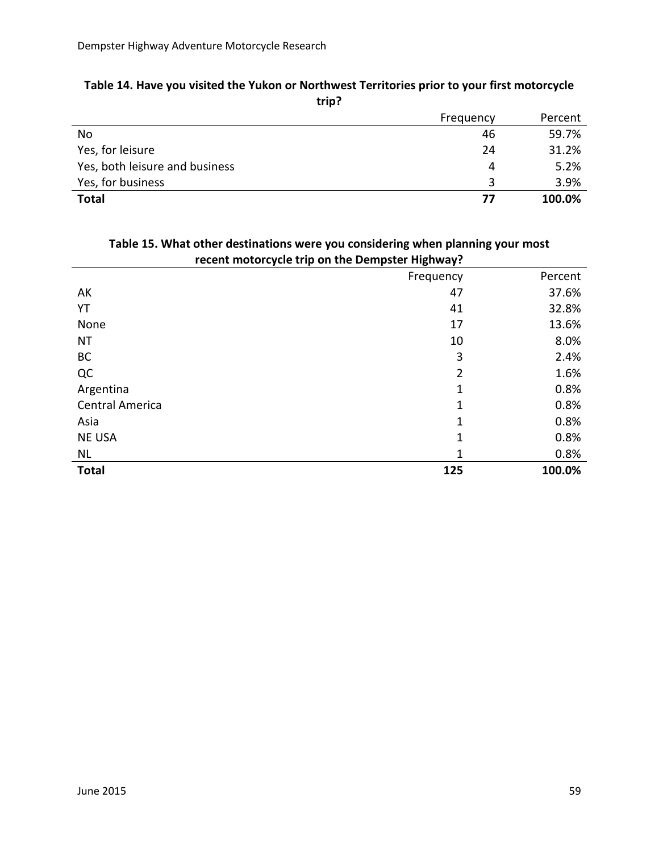|                                | Frequency | Percent |
|--------------------------------|-----------|---------|
| No                             | 46        | 59.7%   |
| Yes, for leisure               | 24        | 31.2%   |
| Yes, both leisure and business | 4         | 5.2%    |
| Yes, for business              |           | 3.9%    |
| <b>Total</b>                   | 77        | 100.0%  |

#### **Table 14. Have you visited the Yukon or Northwest Territories prior to your first motorcycle trip?**

| recent motorcycle trip on the Dempster Highway? |           |         |
|-------------------------------------------------|-----------|---------|
|                                                 | Frequency | Percent |
| AK                                              | 47        | 37.6%   |
| YT                                              | 41        | 32.8%   |
| None                                            | 17        | 13.6%   |
| <b>NT</b>                                       | 10        | 8.0%    |
| <b>BC</b>                                       | 3         | 2.4%    |
| QC                                              | 2         | 1.6%    |
| Argentina                                       | 1         | 0.8%    |
| <b>Central America</b>                          | 1         | 0.8%    |
| Asia                                            | 1         | 0.8%    |
| <b>NE USA</b>                                   | 1         | 0.8%    |
| <b>NL</b>                                       | 1         | 0.8%    |
| <b>Total</b>                                    | 125       | 100.0%  |

# **Table 15. What other destinations were you considering when planning your most**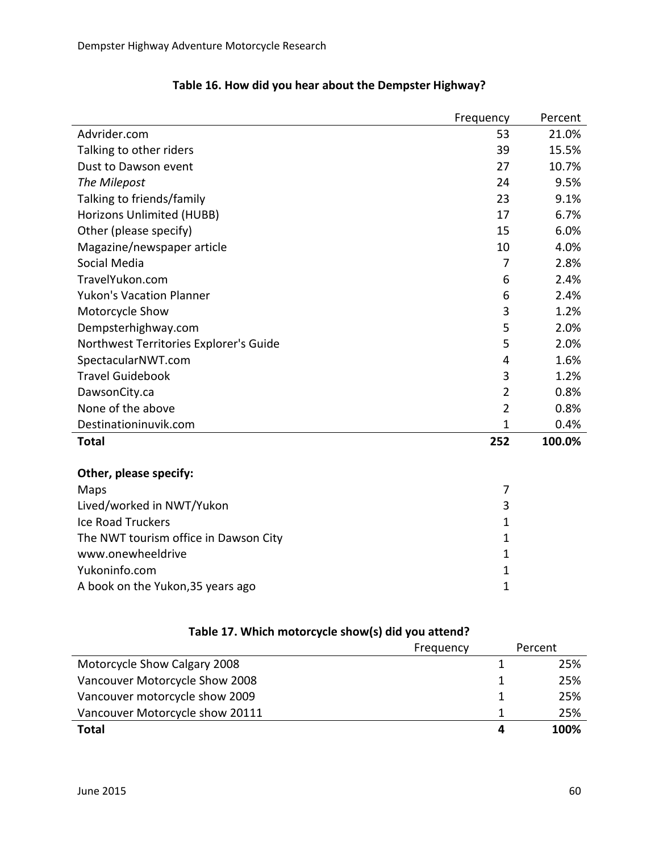|                                        | Frequency      | Percent |
|----------------------------------------|----------------|---------|
| Advrider.com                           | 53             | 21.0%   |
| Talking to other riders                | 39             | 15.5%   |
| Dust to Dawson event                   | 27             | 10.7%   |
| The Milepost                           | 24             | 9.5%    |
| Talking to friends/family              | 23             | 9.1%    |
| Horizons Unlimited (HUBB)              | 17             | 6.7%    |
| Other (please specify)                 | 15             | 6.0%    |
| Magazine/newspaper article             | 10             | 4.0%    |
| Social Media                           | 7              | 2.8%    |
| TravelYukon.com                        | 6              | 2.4%    |
| <b>Yukon's Vacation Planner</b>        | 6              | 2.4%    |
| Motorcycle Show                        | 3              | 1.2%    |
| Dempsterhighway.com                    | 5              | 2.0%    |
| Northwest Territories Explorer's Guide | 5              | 2.0%    |
| SpectacularNWT.com                     | 4              | 1.6%    |
| <b>Travel Guidebook</b>                | 3              | 1.2%    |
| DawsonCity.ca                          | $\overline{2}$ | 0.8%    |
| None of the above                      | $\overline{2}$ | 0.8%    |
| Destinationinuvik.com                  | $\mathbf{1}$   | 0.4%    |
| <b>Total</b>                           | 252            | 100.0%  |
| Other, please specify:                 |                |         |
| Maps                                   | 7              |         |
| Lived/worked in NWT/Yukon              | 3              |         |
| <b>Ice Road Truckers</b>               | $\mathbf{1}$   |         |
| The NWT tourism office in Dawson City  | $\mathbf{1}$   |         |
| www.onewheeldrive                      | $\mathbf{1}$   |         |
| Yukoninfo.com                          | $\mathbf{1}$   |         |
| A book on the Yukon, 35 years ago      | $\mathbf 1$    |         |
|                                        |                |         |

## **Table 16. How did you hear about the Dempster Highway?**

|                                 | Frequency | Percent |
|---------------------------------|-----------|---------|
| Motorcycle Show Calgary 2008    |           | 25%     |
| Vancouver Motorcycle Show 2008  |           | 25%     |
| Vancouver motorcycle show 2009  |           | 25%     |
| Vancouver Motorcycle show 20111 |           | 25%     |
| Total                           | 4         | 100%    |

## **Table 17. Which motorcycle show(s) did you attend?**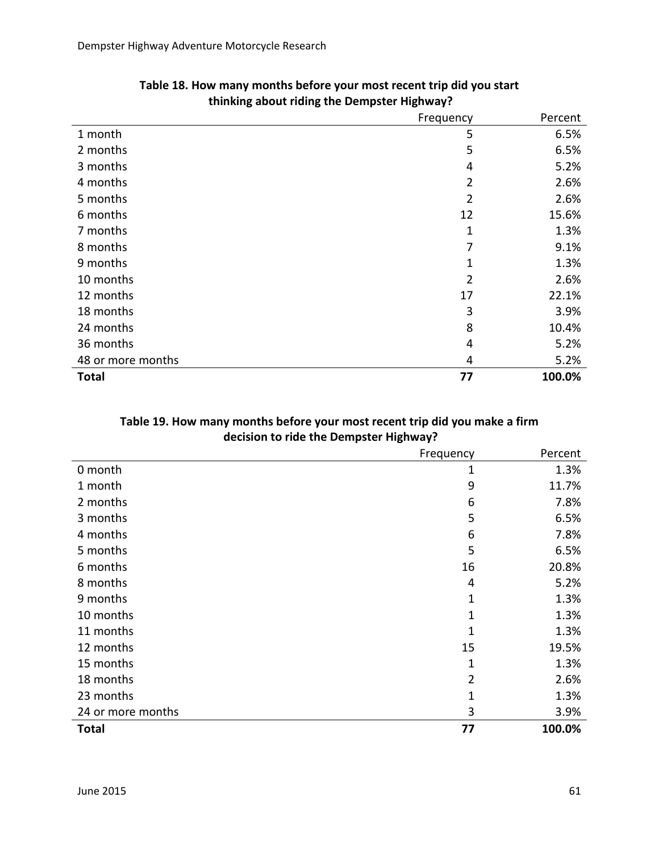|                   | Frequency      | Percent |
|-------------------|----------------|---------|
| 1 month           | 5              | 6.5%    |
| 2 months          | 5              | 6.5%    |
| 3 months          | 4              | 5.2%    |
| 4 months          | $\overline{2}$ | 2.6%    |
| 5 months          | $\overline{2}$ | 2.6%    |
| 6 months          | 12             | 15.6%   |
| 7 months          | 1              | 1.3%    |
| 8 months          | 7              | 9.1%    |
| 9 months          | 1              | 1.3%    |
| 10 months         | $\overline{2}$ | 2.6%    |
| 12 months         | 17             | 22.1%   |
| 18 months         | 3              | 3.9%    |
| 24 months         | 8              | 10.4%   |
| 36 months         | 4              | 5.2%    |
| 48 or more months | 4              | 5.2%    |
| <b>Total</b>      | 77             | 100.0%  |

| Table 18. How many months before your most recent trip did you start |
|----------------------------------------------------------------------|
| thinking about riding the Dempster Highway?                          |

## **Table 19. How many months before your most recent trip did you make a firm decision to ride the Dempster Highway?**

|                   | Frequency | Percent |
|-------------------|-----------|---------|
| 0 month           | 1         | 1.3%    |
| 1 month           | 9         | 11.7%   |
| 2 months          | 6         | 7.8%    |
| 3 months          | 5         | 6.5%    |
| 4 months          | 6         | 7.8%    |
| 5 months          | 5         | 6.5%    |
| 6 months          | 16        | 20.8%   |
| 8 months          | 4         | 5.2%    |
| 9 months          | 1         | 1.3%    |
| 10 months         | 1         | 1.3%    |
| 11 months         | 1         | 1.3%    |
| 12 months         | 15        | 19.5%   |
| 15 months         | 1         | 1.3%    |
| 18 months         | 2         | 2.6%    |
| 23 months         |           | 1.3%    |
| 24 or more months | 3         | 3.9%    |
| <b>Total</b>      | 77        | 100.0%  |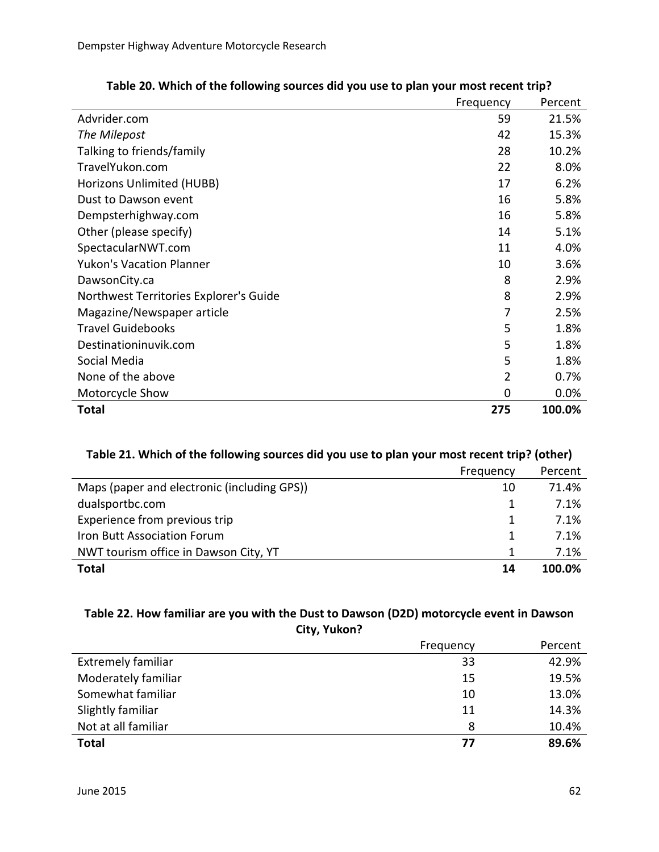|                                        | Frequency | Percent |
|----------------------------------------|-----------|---------|
| Advrider.com                           | 59        | 21.5%   |
| The Milepost                           | 42        | 15.3%   |
| Talking to friends/family              | 28        | 10.2%   |
| TravelYukon.com                        | 22        | 8.0%    |
| Horizons Unlimited (HUBB)              | 17        | 6.2%    |
| Dust to Dawson event                   | 16        | 5.8%    |
| Dempsterhighway.com                    | 16        | 5.8%    |
| Other (please specify)                 | 14        | 5.1%    |
| SpectacularNWT.com                     | 11        | 4.0%    |
| <b>Yukon's Vacation Planner</b>        | 10        | 3.6%    |
| DawsonCity.ca                          | 8         | 2.9%    |
| Northwest Territories Explorer's Guide | 8         | 2.9%    |
| Magazine/Newspaper article             | 7         | 2.5%    |
| <b>Travel Guidebooks</b>               | 5         | 1.8%    |
| Destinationinuvik.com                  | 5         | 1.8%    |
| Social Media                           | 5         | 1.8%    |
| None of the above                      | 2         | 0.7%    |
| Motorcycle Show                        | 0         | 0.0%    |
| Total                                  | 275       | 100.0%  |

## **Table 20. Which of the following sources did you use to plan your most recent trip?**

#### **Table 21. Which of the following sources did you use to plan your most recent trip? (other)**

|                                             | Frequency | Percent |
|---------------------------------------------|-----------|---------|
| Maps (paper and electronic (including GPS)) | 10        | 71.4%   |
| dualsportbc.com                             |           | 7.1%    |
| Experience from previous trip               | 1         | 7.1%    |
| Iron Butt Association Forum                 | 1         | 7.1%    |
| NWT tourism office in Dawson City, YT       |           | 7.1%    |
| Total                                       | 14        | 100.0%  |

#### **Table 22. How familiar are you with the Dust to Dawson (D2D) motorcycle event in Dawson City, Yukon?**

|                           | Frequency | Percent |
|---------------------------|-----------|---------|
| <b>Extremely familiar</b> | 33        | 42.9%   |
| Moderately familiar       | 15        | 19.5%   |
| Somewhat familiar         | 10        | 13.0%   |
| Slightly familiar         | 11        | 14.3%   |
| Not at all familiar       | 8         | 10.4%   |
| <b>Total</b>              | 77        | 89.6%   |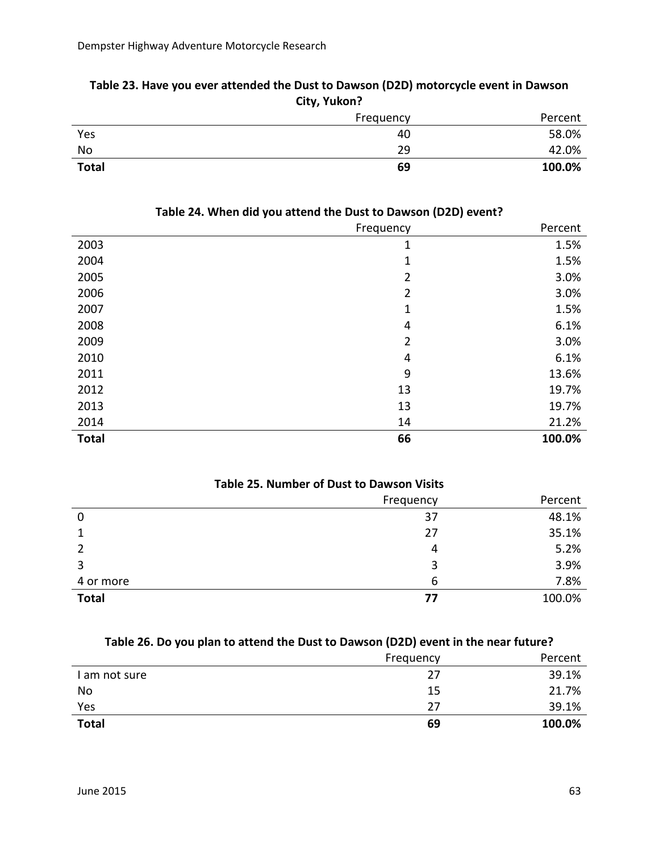| City, Yukon? |           |         |
|--------------|-----------|---------|
|              | Frequency | Percent |
| Yes          | 40        | 58.0%   |
| No           | 29        | 42.0%   |
| <b>Total</b> | 69        | 100.0%  |

# **Table 23. Have you ever attended the Dust to Dawson (D2D) motorcycle event in Dawson**

|              | Frequency      | Percent |
|--------------|----------------|---------|
| 2003         | 1              | 1.5%    |
| 2004         | 1              | 1.5%    |
| 2005         | $\overline{2}$ | 3.0%    |
| 2006         | 2              | 3.0%    |
| 2007         | $\mathbf{1}$   | 1.5%    |
| 2008         | 4              | 6.1%    |
| 2009         | $\overline{2}$ | 3.0%    |
| 2010         | 4              | 6.1%    |
| 2011         | 9              | 13.6%   |
| 2012         | 13             | 19.7%   |
| 2013         | 13             | 19.7%   |
| 2014         | 14             | 21.2%   |
| <b>Total</b> | 66             | 100.0%  |

#### **Table 24. When did you attend the Dust to Dawson (D2D) event?**

| <b>Table 25. Number of Dust to Dawson Visits</b> |           |         |
|--------------------------------------------------|-----------|---------|
|                                                  | Frequency | Percent |
| 0                                                | 37        | 48.1%   |
|                                                  | 27        | 35.1%   |
|                                                  | 4         | 5.2%    |
| 3                                                | 3         | 3.9%    |
| 4 or more                                        | 6         | 7.8%    |
| <b>Total</b>                                     | 77        | 100.0%  |

#### **Table 26. Do you plan to attend the Dust to Dawson (D2D) event in the near future?**

|               | Frequency | Percent |
|---------------|-----------|---------|
| I am not sure | 27        | 39.1%   |
| No            | 15        | 21.7%   |
| Yes           | 27        | 39.1%   |
| <b>Total</b>  | 69        | 100.0%  |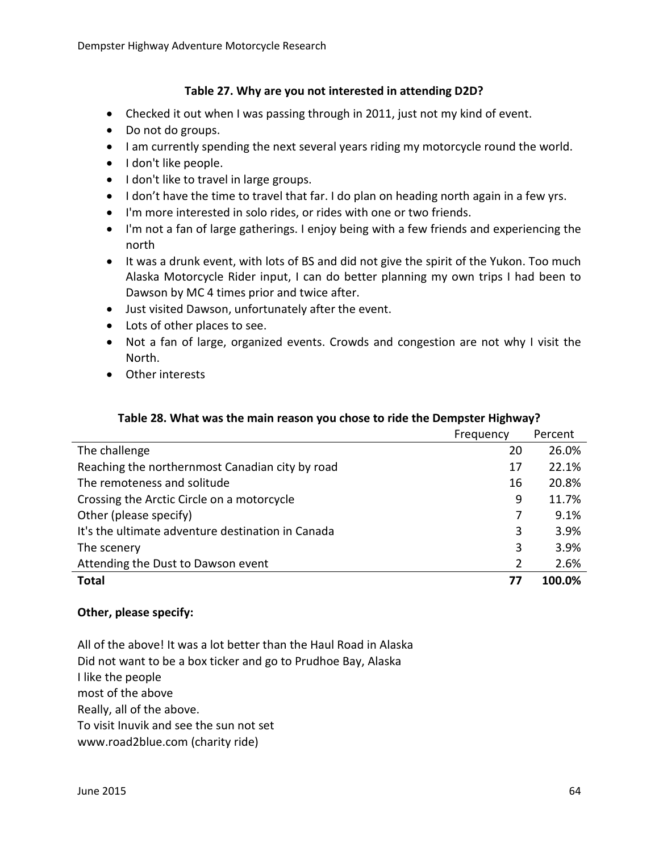#### **Table 27. Why are you not interested in attending D2D?**

- Checked it out when I was passing through in 2011, just not my kind of event.
- Do not do groups.
- I am currently spending the next several years riding my motorcycle round the world.
- I don't like people.
- I don't like to travel in large groups.
- I don't have the time to travel that far. I do plan on heading north again in a few yrs.
- I'm more interested in solo rides, or rides with one or two friends.
- I'm not a fan of large gatherings. I enjoy being with a few friends and experiencing the north
- It was a drunk event, with lots of BS and did not give the spirit of the Yukon. Too much Alaska Motorcycle Rider input, I can do better planning my own trips I had been to Dawson by MC 4 times prior and twice after.
- Just visited Dawson, unfortunately after the event.
- Lots of other places to see.
- Not a fan of large, organized events. Crowds and congestion are not why I visit the North.
- Other interests

#### **Table 28. What was the main reason you chose to ride the Dempster Highway?**

|                                                   | Frequency | Percent |
|---------------------------------------------------|-----------|---------|
| The challenge                                     | 20        | 26.0%   |
| Reaching the northernmost Canadian city by road   | 17        | 22.1%   |
| The remoteness and solitude                       | 16        | 20.8%   |
| Crossing the Arctic Circle on a motorcycle        | 9         | 11.7%   |
| Other (please specify)                            |           | 9.1%    |
| It's the ultimate adventure destination in Canada | 3         | 3.9%    |
| The scenery                                       | 3         | 3.9%    |
| Attending the Dust to Dawson event                |           | 2.6%    |
| <b>Total</b>                                      | 77        | 100.0%  |

#### **Other, please specify:**

All of the above! It was a lot better than the Haul Road in Alaska Did not want to be a box ticker and go to Prudhoe Bay, Alaska I like the people most of the above Really, all of the above. To visit Inuvik and see the sun not set www.road2blue.com (charity ride)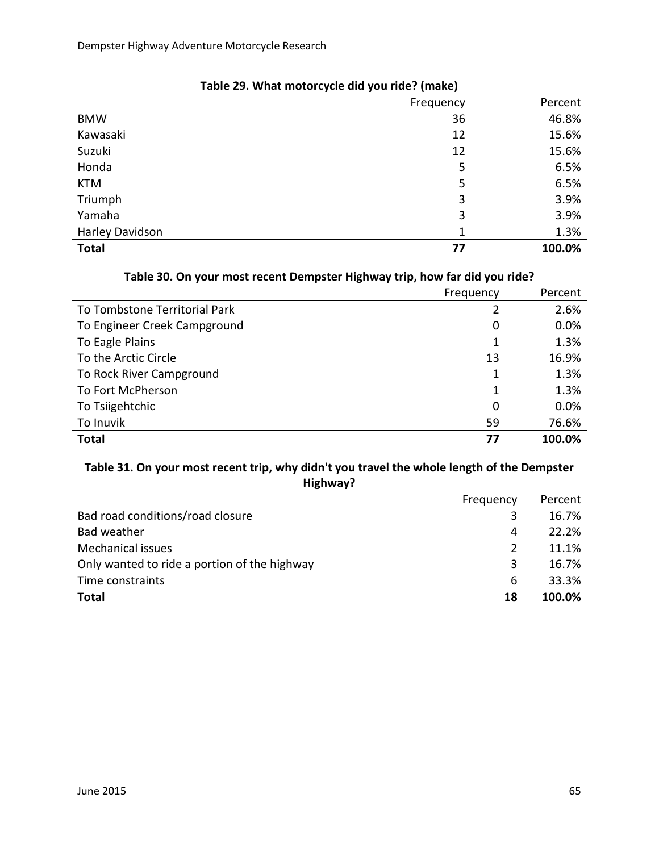|                 | Frequency | Percent |
|-----------------|-----------|---------|
| <b>BMW</b>      | 36        | 46.8%   |
| Kawasaki        | 12        | 15.6%   |
| Suzuki          | 12        | 15.6%   |
| Honda           | 5         | 6.5%    |
| <b>KTM</b>      | 5         | 6.5%    |
| Triumph         | 3         | 3.9%    |
| Yamaha          | 3         | 3.9%    |
| Harley Davidson | 1         | 1.3%    |
| <b>Total</b>    | 77        | 100.0%  |

## **Table 29. What motorcycle did you ride? (make)**

#### **Table 30. On your most recent Dempster Highway trip, how far did you ride?**

|                               | Frequency | Percent |
|-------------------------------|-----------|---------|
| To Tombstone Territorial Park | 2         | 2.6%    |
| To Engineer Creek Campground  | 0         | 0.0%    |
| To Eagle Plains               |           | 1.3%    |
| To the Arctic Circle          | 13        | 16.9%   |
| To Rock River Campground      | 1         | 1.3%    |
| To Fort McPherson             | 1         | 1.3%    |
| To Tsiigehtchic               | 0         | 0.0%    |
| To Inuvik                     | 59        | 76.6%   |
| <b>Total</b>                  | 77        | 100.0%  |

#### **Table 31. On your most recent trip, why didn't you travel the whole length of the Dempster Highway?**

|                                              | Frequency | Percent |
|----------------------------------------------|-----------|---------|
| Bad road conditions/road closure             | 3         | 16.7%   |
| Bad weather                                  | 4         | 22.2%   |
| Mechanical issues                            | 2         | 11.1%   |
| Only wanted to ride a portion of the highway | 3         | 16.7%   |
| Time constraints                             | 6         | 33.3%   |
| <b>Total</b>                                 | 18        | 100.0%  |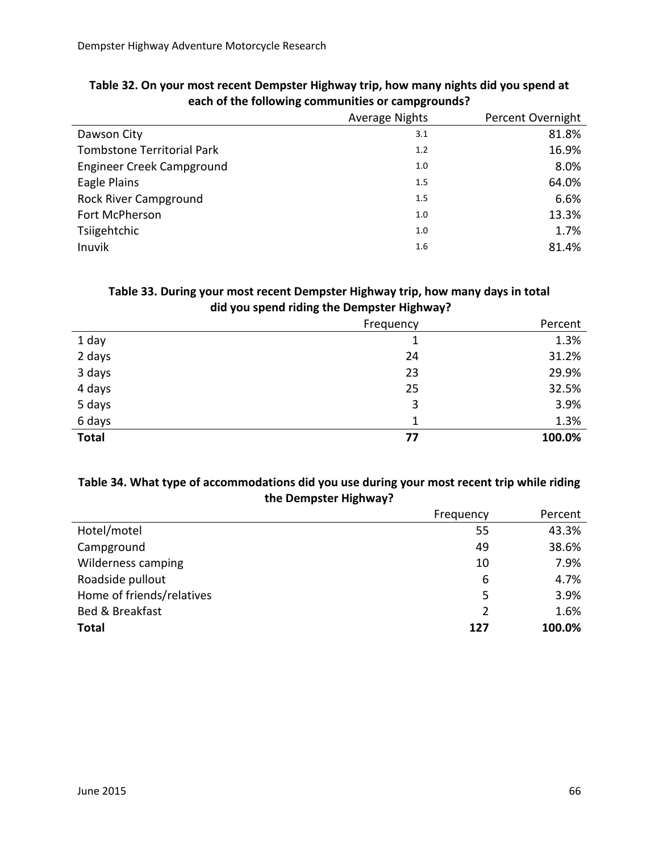|                                   | <b>Average Nights</b> | Percent Overnight |
|-----------------------------------|-----------------------|-------------------|
| Dawson City                       | 3.1                   | 81.8%             |
| <b>Tombstone Territorial Park</b> | 1.2                   | 16.9%             |
| Engineer Creek Campground         | 1.0                   | 8.0%              |
| Eagle Plains                      | 1.5                   | 64.0%             |
| <b>Rock River Campground</b>      | 1.5                   | 6.6%              |
| Fort McPherson                    | 1.0                   | 13.3%             |
| Tsiigehtchic                      | 1.0                   | 1.7%              |
| Inuvik                            | 1.6                   | 81.4%             |

#### **Table 32. On your most recent Dempster Highway trip, how many nights did you spend at each of the following communities or campgrounds?**

#### **Table 33. During your most recent Dempster Highway trip, how many days in total did you spend riding the Dempster Highway?**

|              | Frequency | Percent |
|--------------|-----------|---------|
| 1 day        |           | 1.3%    |
| 2 days       | 24        | 31.2%   |
| 3 days       | 23        | 29.9%   |
| 4 days       | 25        | 32.5%   |
| 5 days       | 3         | 3.9%    |
| 6 days       | 1         | 1.3%    |
| <b>Total</b> | 77        | 100.0%  |

#### **Table 34. What type of accommodations did you use during your most recent trip while riding the Dempster Highway?**

|                           | Frequency | Percent |
|---------------------------|-----------|---------|
| Hotel/motel               | 55        | 43.3%   |
| Campground                | 49        | 38.6%   |
| <b>Wilderness camping</b> | 10        | 7.9%    |
| Roadside pullout          | 6         | 4.7%    |
| Home of friends/relatives | 5         | 3.9%    |
| Bed & Breakfast           | 2         | 1.6%    |
| <b>Total</b>              | 127       | 100.0%  |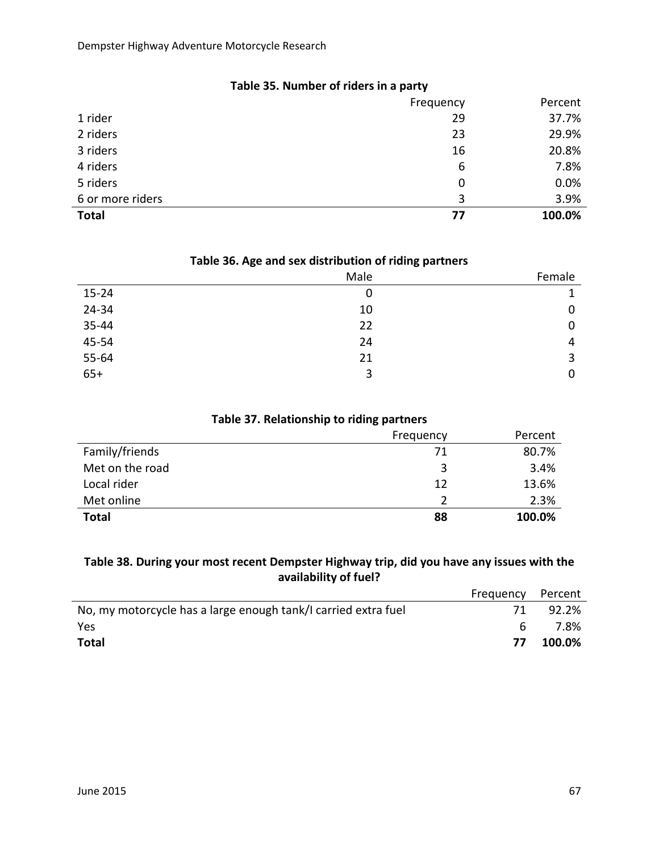|                  | Frequency   | Percent |
|------------------|-------------|---------|
| 1 rider          | 29          | 37.7%   |
| 2 riders         | 23          | 29.9%   |
| 3 riders         | 16          | 20.8%   |
| 4 riders         | 6           | 7.8%    |
| 5 riders         | $\mathbf 0$ | 0.0%    |
| 6 or more riders | 3           | 3.9%    |
| <b>Total</b>     | 77          | 100.0%  |
|                  |             |         |

#### **Table 35. Number of riders in a party**

#### **Table 36. Age and sex distribution of riding partners**

|           | Male | Female |
|-----------|------|--------|
| $15 - 24$ | 0    |        |
| 24-34     | 10   | 0      |
| 35-44     | 22   | 0      |
| 45-54     | 24   | 4      |
| 55-64     | 21   | 3      |
| $65+$     | 3    | 0      |

#### **Table 37. Relationship to riding partners**

|                 | Frequency | Percent |
|-----------------|-----------|---------|
| Family/friends  | 71        | 80.7%   |
| Met on the road | 3         | 3.4%    |
| Local rider     | 12        | 13.6%   |
| Met online      |           | 2.3%    |
| <b>Total</b>    | 88        | 100.0%  |

#### **Table 38. During your most recent Dempster Highway trip, did you have any issues with the availability of fuel?**

|                                                                | Frequency Percent |        |
|----------------------------------------------------------------|-------------------|--------|
| No, my motorcycle has a large enough tank/I carried extra fuel |                   | 92.2%  |
| Yes                                                            | 6                 | 7.8%   |
| <b>Total</b>                                                   | 77                | 100.0% |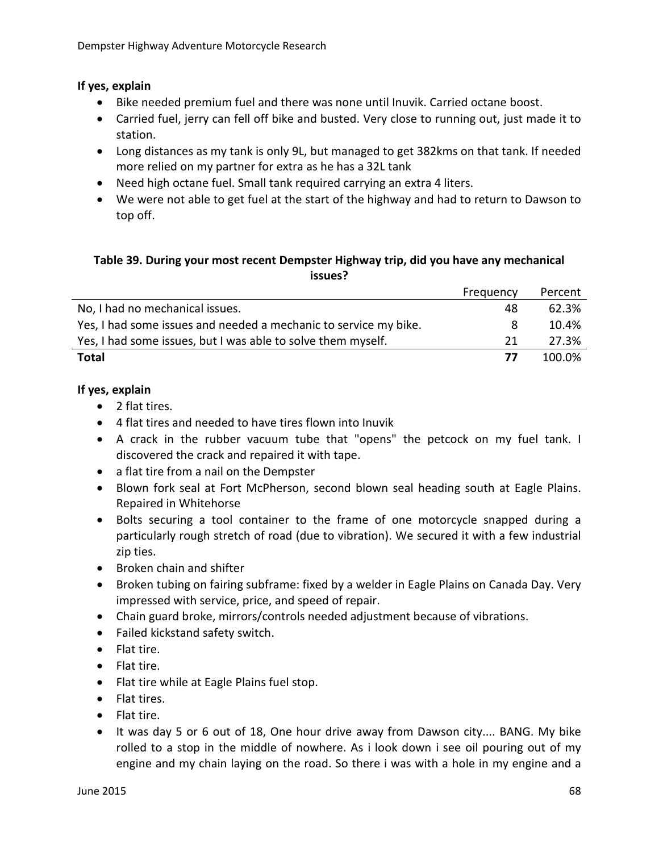#### **If yes, explain**

- Bike needed premium fuel and there was none until Inuvik. Carried octane boost.
- Carried fuel, jerry can fell off bike and busted. Very close to running out, just made it to station.
- Long distances as my tank is only 9L, but managed to get 382kms on that tank. If needed more relied on my partner for extra as he has a 32L tank
- Need high octane fuel. Small tank required carrying an extra 4 liters.
- We were not able to get fuel at the start of the highway and had to return to Dawson to top off.

#### **Table 39. During your most recent Dempster Highway trip, did you have any mechanical issues?**

|                                                                  | Frequency | Percent |
|------------------------------------------------------------------|-----------|---------|
| No, I had no mechanical issues.                                  | 48        | 62.3%   |
| Yes, I had some issues and needed a mechanic to service my bike. | 8         | 10.4%   |
| Yes, I had some issues, but I was able to solve them myself.     | 21        | 27.3%   |
| Total                                                            | 77        | 100.0%  |

#### **If yes, explain**

- 2 flat tires.
- 4 flat tires and needed to have tires flown into Inuvik
- A crack in the rubber vacuum tube that "opens" the petcock on my fuel tank. I discovered the crack and repaired it with tape.
- a flat tire from a nail on the Dempster
- Blown fork seal at Fort McPherson, second blown seal heading south at Eagle Plains. Repaired in Whitehorse
- Bolts securing a tool container to the frame of one motorcycle snapped during a particularly rough stretch of road (due to vibration). We secured it with a few industrial zip ties.
- Broken chain and shifter
- Broken tubing on fairing subframe: fixed by a welder in Eagle Plains on Canada Day. Very impressed with service, price, and speed of repair.
- Chain guard broke, mirrors/controls needed adjustment because of vibrations.
- Failed kickstand safety switch.
- Flat tire.
- Flat tire.
- Flat tire while at Eagle Plains fuel stop.
- Flat tires.
- Flat tire.
- It was day 5 or 6 out of 18, One hour drive away from Dawson city.... BANG. My bike rolled to a stop in the middle of nowhere. As i look down i see oil pouring out of my engine and my chain laying on the road. So there i was with a hole in my engine and a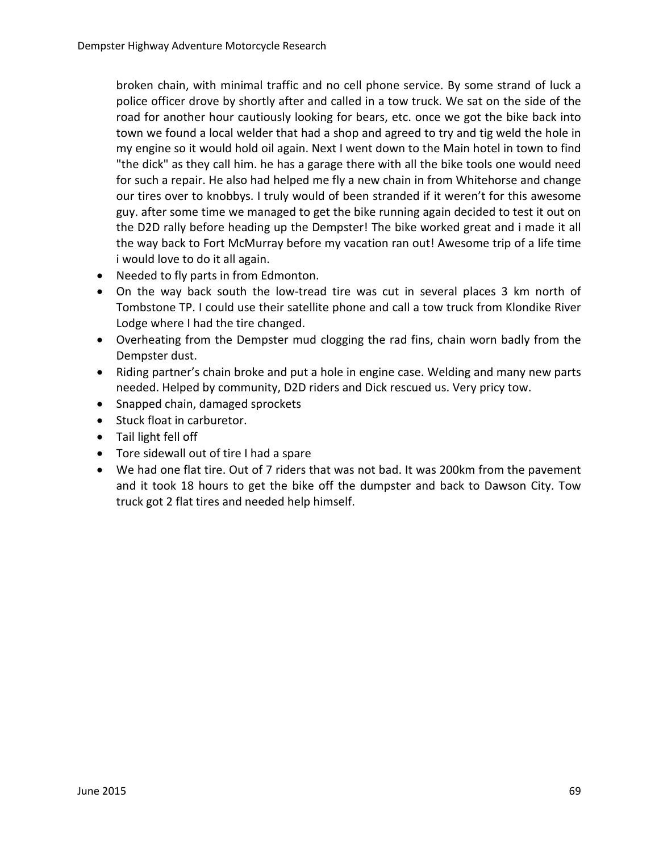broken chain, with minimal traffic and no cell phone service. By some strand of luck a police officer drove by shortly after and called in a tow truck. We sat on the side of the road for another hour cautiously looking for bears, etc. once we got the bike back into town we found a local welder that had a shop and agreed to try and tig weld the hole in my engine so it would hold oil again. Next I went down to the Main hotel in town to find "the dick" as they call him. he has a garage there with all the bike tools one would need for such a repair. He also had helped me fly a new chain in from Whitehorse and change our tires over to knobbys. I truly would of been stranded if it weren't for this awesome guy. after some time we managed to get the bike running again decided to test it out on the D2D rally before heading up the Dempster! The bike worked great and i made it all the way back to Fort McMurray before my vacation ran out! Awesome trip of a life time i would love to do it all again.

- Needed to fly parts in from Edmonton.
- On the way back south the low-tread tire was cut in several places 3 km north of Tombstone TP. I could use their satellite phone and call a tow truck from Klondike River Lodge where I had the tire changed.
- Overheating from the Dempster mud clogging the rad fins, chain worn badly from the Dempster dust.
- Riding partner's chain broke and put a hole in engine case. Welding and many new parts needed. Helped by community, D2D riders and Dick rescued us. Very pricy tow.
- Snapped chain, damaged sprockets
- Stuck float in carburetor.
- Tail light fell off
- Tore sidewall out of tire I had a spare
- We had one flat tire. Out of 7 riders that was not bad. It was 200km from the pavement and it took 18 hours to get the bike off the dumpster and back to Dawson City. Tow truck got 2 flat tires and needed help himself.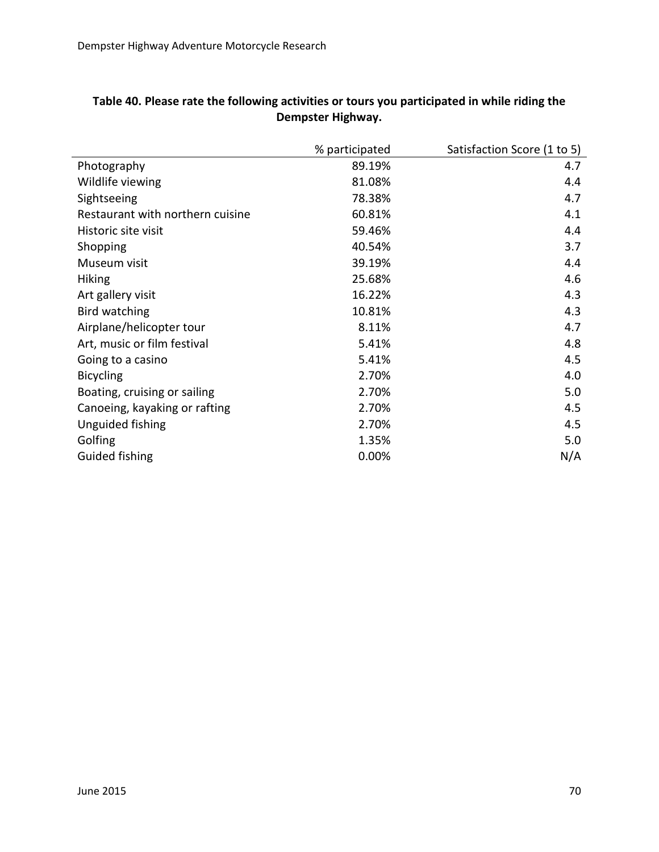|                                  | % participated | Satisfaction Score (1 to 5) |
|----------------------------------|----------------|-----------------------------|
| Photography                      | 89.19%         | 4.7                         |
| Wildlife viewing                 | 81.08%         | 4.4                         |
| Sightseeing                      | 78.38%         | 4.7                         |
| Restaurant with northern cuisine | 60.81%         | 4.1                         |
| Historic site visit              | 59.46%         | 4.4                         |
| Shopping                         | 40.54%         | 3.7                         |
| Museum visit                     | 39.19%         | 4.4                         |
| <b>Hiking</b>                    | 25.68%         | 4.6                         |
| Art gallery visit                | 16.22%         | 4.3                         |
| Bird watching                    | 10.81%         | 4.3                         |
| Airplane/helicopter tour         | 8.11%          | 4.7                         |
| Art, music or film festival      | 5.41%          | 4.8                         |
| Going to a casino                | 5.41%          | 4.5                         |
| <b>Bicycling</b>                 | 2.70%          | 4.0                         |
| Boating, cruising or sailing     | 2.70%          | 5.0                         |
| Canoeing, kayaking or rafting    | 2.70%          | 4.5                         |
| Unguided fishing                 | 2.70%          | 4.5                         |
| Golfing                          | 1.35%          | 5.0                         |
| <b>Guided fishing</b>            | 0.00%          | N/A                         |

#### **Table 40. Please rate the following activities or tours you participated in while riding the Dempster Highway.**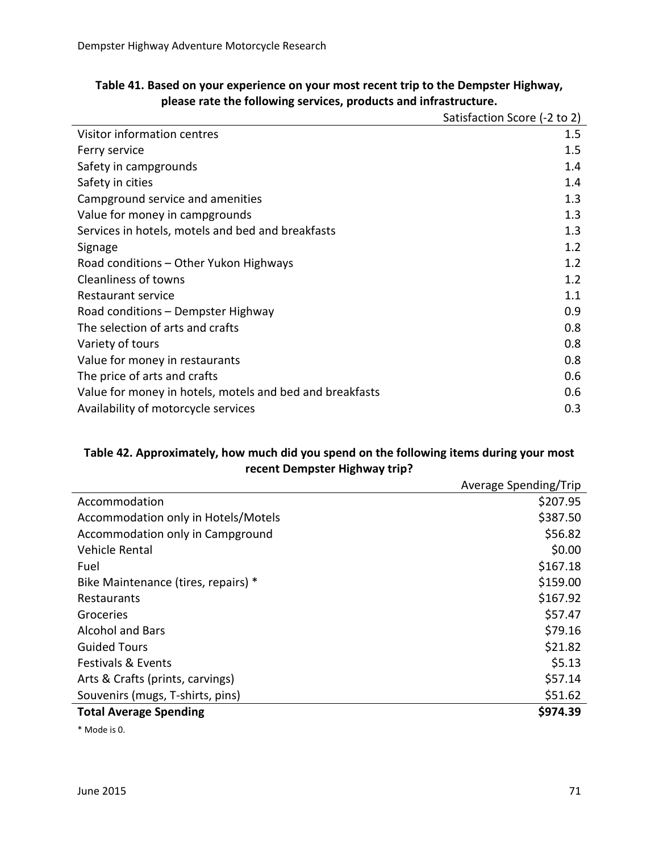| Table 41. Based on your experience on your most recent trip to the Dempster Highway, |                                       |
|--------------------------------------------------------------------------------------|---------------------------------------|
| please rate the following services, products and infrastructure.                     |                                       |
|                                                                                      | $C1$ Cotiefaction $C2$ Coro $(2 + 2)$ |

|                                                          | Satisfaction Score (-2 to 2) |
|----------------------------------------------------------|------------------------------|
| Visitor information centres                              | 1.5                          |
| Ferry service                                            | 1.5                          |
| Safety in campgrounds                                    | 1.4                          |
| Safety in cities                                         | 1.4                          |
| Campground service and amenities                         | 1.3                          |
| Value for money in campgrounds                           | 1.3                          |
| Services in hotels, motels and bed and breakfasts        | 1.3                          |
| Signage                                                  | 1.2                          |
| Road conditions – Other Yukon Highways                   | 1.2                          |
| <b>Cleanliness of towns</b>                              | 1.2                          |
| Restaurant service                                       | 1.1                          |
| Road conditions - Dempster Highway                       | 0.9                          |
| The selection of arts and crafts                         | 0.8                          |
| Variety of tours                                         | 0.8                          |
| Value for money in restaurants                           | 0.8                          |
| The price of arts and crafts                             | 0.6                          |
| Value for money in hotels, motels and bed and breakfasts | 0.6                          |
| Availability of motorcycle services                      | 0.3                          |

#### **Table 42. Approximately, how much did you spend on the following items during your most recent Dempster Highway trip?**

|                                     | Average Spending/Trip |
|-------------------------------------|-----------------------|
| Accommodation                       | \$207.95              |
| Accommodation only in Hotels/Motels | \$387.50              |
| Accommodation only in Campground    | \$56.82               |
| Vehicle Rental                      | \$0.00                |
| Fuel                                | \$167.18              |
| Bike Maintenance (tires, repairs) * | \$159.00              |
| Restaurants                         | \$167.92              |
| Groceries                           | \$57.47               |
| <b>Alcohol and Bars</b>             | \$79.16               |
| <b>Guided Tours</b>                 | \$21.82               |
| <b>Festivals &amp; Events</b>       | \$5.13                |
| Arts & Crafts (prints, carvings)    | \$57.14               |
| Souvenirs (mugs, T-shirts, pins)    | \$51.62               |
| <b>Total Average Spending</b>       | \$974.39              |

\* Mode is 0.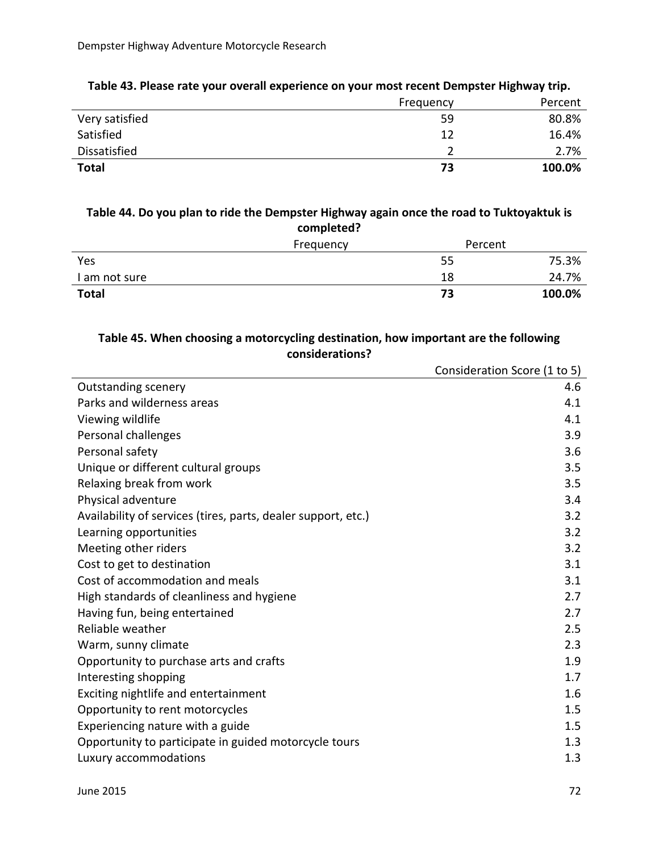|                | Frequency | Percent |
|----------------|-----------|---------|
| Very satisfied | 59        | 80.8%   |
| Satisfied      | 12        | 16.4%   |
| Dissatisfied   |           | 2.7%    |
| <b>Total</b>   | 73        | 100.0%  |

#### **Table 43. Please rate your overall experience on your most recent Dempster Highway trip.**

#### **Table 44. Do you plan to ride the Dempster Highway again once the road to Tuktoyaktuk is completed?**

|               | Frequency | Percent |        |
|---------------|-----------|---------|--------|
| Yes           |           | 55      | 75.3%  |
| I am not sure |           | 18      | 24.7%  |
| <b>Total</b>  |           | 73      | 100.0% |

### **Table 45. When choosing a motorcycling destination, how important are the following considerations?**

|                                                               | Consideration Score (1 to 5) |
|---------------------------------------------------------------|------------------------------|
| <b>Outstanding scenery</b>                                    | 4.6                          |
| Parks and wilderness areas                                    | 4.1                          |
| Viewing wildlife                                              | 4.1                          |
| Personal challenges                                           | 3.9                          |
| Personal safety                                               | 3.6                          |
| Unique or different cultural groups                           | 3.5                          |
| Relaxing break from work                                      | 3.5                          |
| Physical adventure                                            | 3.4                          |
| Availability of services (tires, parts, dealer support, etc.) | 3.2                          |
| Learning opportunities                                        | 3.2                          |
| Meeting other riders                                          | 3.2                          |
| Cost to get to destination                                    | 3.1                          |
| Cost of accommodation and meals                               | 3.1                          |
| High standards of cleanliness and hygiene                     | 2.7                          |
| Having fun, being entertained                                 | 2.7                          |
| Reliable weather                                              | 2.5                          |
| Warm, sunny climate                                           | 2.3                          |
| Opportunity to purchase arts and crafts                       | 1.9                          |
| Interesting shopping                                          | 1.7                          |
| Exciting nightlife and entertainment                          | 1.6                          |
| Opportunity to rent motorcycles                               | 1.5                          |
| Experiencing nature with a guide                              | 1.5                          |
| Opportunity to participate in guided motorcycle tours         | 1.3                          |
| Luxury accommodations                                         | 1.3                          |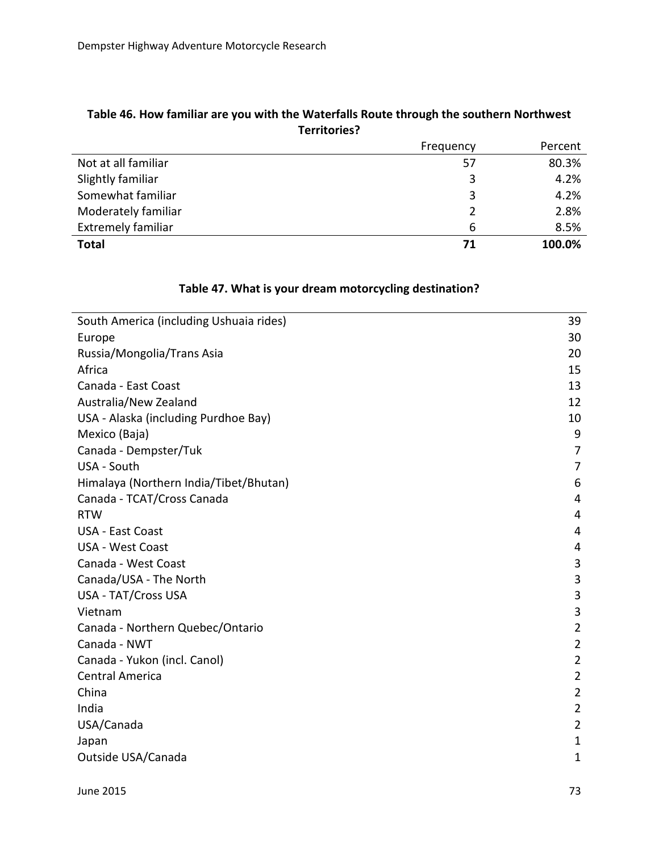|                           | Frequency | Percent |
|---------------------------|-----------|---------|
| Not at all familiar       | 57        | 80.3%   |
| Slightly familiar         | 3         | 4.2%    |
| Somewhat familiar         | 3         | 4.2%    |
| Moderately familiar       |           | 2.8%    |
| <b>Extremely familiar</b> | 6         | 8.5%    |
| <b>Total</b>              | 71        | 100.0%  |
|                           |           |         |

#### **Table 46. How familiar are you with the Waterfalls Route through the southern Northwest Territories?**

## **Table 47. What is your dream motorcycling destination?**

| South America (including Ushuaia rides) | 39             |
|-----------------------------------------|----------------|
| Europe                                  | 30             |
| Russia/Mongolia/Trans Asia              | 20             |
| Africa                                  | 15             |
| Canada - East Coast                     | 13             |
| Australia/New Zealand                   | 12             |
| USA - Alaska (including Purdhoe Bay)    | 10             |
| Mexico (Baja)                           | 9              |
| Canada - Dempster/Tuk                   | 7              |
| USA - South                             | 7              |
| Himalaya (Northern India/Tibet/Bhutan)  | 6              |
| Canada - TCAT/Cross Canada              | 4              |
| <b>RTW</b>                              | 4              |
| <b>USA - East Coast</b>                 | 4              |
| <b>USA - West Coast</b>                 | 4              |
| Canada - West Coast                     | 3              |
| Canada/USA - The North                  | 3              |
| <b>USA - TAT/Cross USA</b>              | 3              |
| Vietnam                                 | 3              |
| Canada - Northern Quebec/Ontario        | $\overline{2}$ |
| Canada - NWT                            | $\overline{2}$ |
| Canada - Yukon (incl. Canol)            | $\overline{2}$ |
| <b>Central America</b>                  | $\overline{2}$ |
| China                                   | $\overline{2}$ |
| India                                   | $\overline{2}$ |
| USA/Canada                              | $\overline{2}$ |
| Japan                                   | $\mathbf{1}$   |
| Outside USA/Canada                      | $\mathbf{1}$   |
|                                         |                |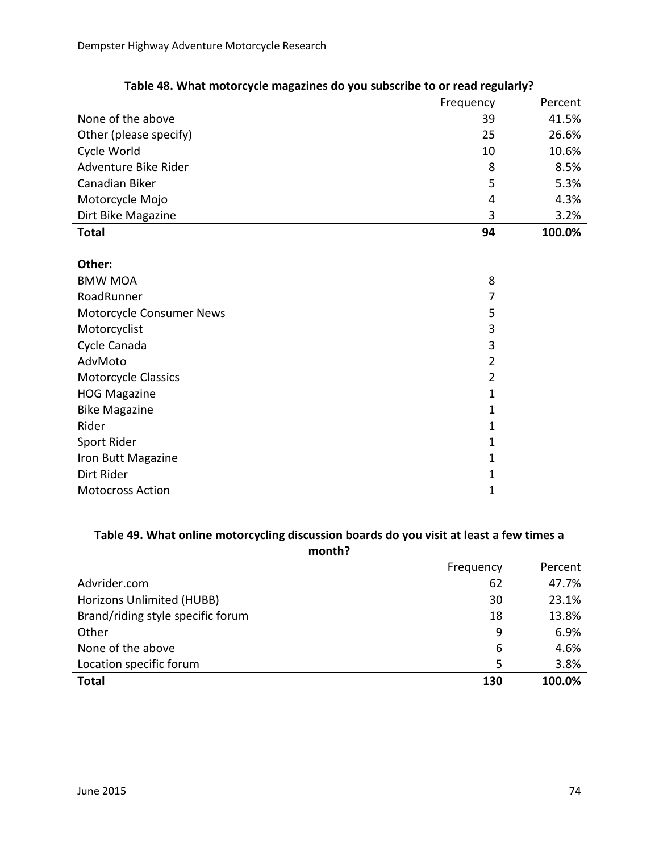|                          | Frequency      | Percent |
|--------------------------|----------------|---------|
| None of the above        | 39             | 41.5%   |
| Other (please specify)   | 25             | 26.6%   |
| Cycle World              | 10             | 10.6%   |
| Adventure Bike Rider     | 8              | 8.5%    |
| Canadian Biker           | 5              | 5.3%    |
| Motorcycle Mojo          | 4              | 4.3%    |
| Dirt Bike Magazine       | 3              | 3.2%    |
| <b>Total</b>             | 94             | 100.0%  |
|                          |                |         |
| Other:                   |                |         |
| <b>BMW MOA</b>           | 8              |         |
| RoadRunner               | 7              |         |
| Motorcycle Consumer News | 5              |         |
| Motorcyclist             | 3              |         |
| Cycle Canada             | 3              |         |
| AdvMoto                  | $\overline{2}$ |         |
| Motorcycle Classics      | $\overline{2}$ |         |
| <b>HOG Magazine</b>      | $\mathbf{1}$   |         |
| <b>Bike Magazine</b>     | $\mathbf{1}$   |         |
| Rider                    | 1              |         |
| Sport Rider              | 1              |         |
| Iron Butt Magazine       | $\mathbf{1}$   |         |
| Dirt Rider               | 1              |         |
| <b>Motocross Action</b>  | 1              |         |

## **Table 48. What motorcycle magazines do you subscribe to or read regularly?**

## **Table 49. What online motorcycling discussion boards do you visit at least a few times a month?**

|                                   | Frequency | Percent |
|-----------------------------------|-----------|---------|
| Advrider.com                      | 62        | 47.7%   |
| Horizons Unlimited (HUBB)         | 30        | 23.1%   |
| Brand/riding style specific forum | 18        | 13.8%   |
| Other                             | 9         | 6.9%    |
| None of the above                 | 6         | 4.6%    |
| Location specific forum           | 5         | 3.8%    |
| <b>Total</b>                      | 130       | 100.0%  |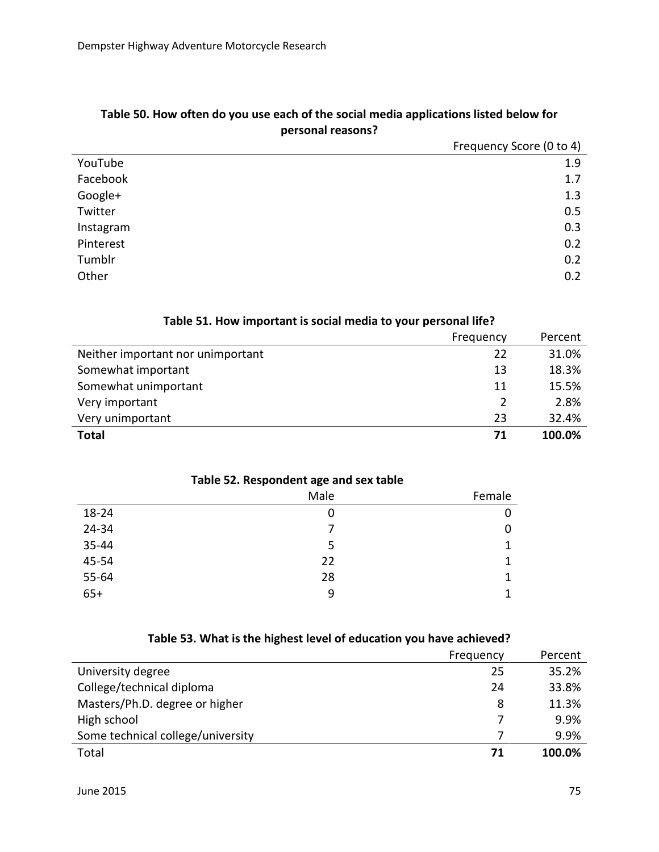|           | Frequency Score (0 to 4) |
|-----------|--------------------------|
| YouTube   | 1.9                      |
| Facebook  | 1.7                      |
| Google+   | 1.3                      |
| Twitter   | 0.5                      |
| Instagram | 0.3                      |
| Pinterest | 0.2                      |
| Tumblr    | 0.2                      |
| Other     | 0.2                      |

## **Table 50. How often do you use each of the social media applications listed below for personal reasons?**

|                                   | Frequency | Percent |
|-----------------------------------|-----------|---------|
| Neither important nor unimportant | 22        | 31.0%   |
| Somewhat important                | 13        | 18.3%   |
| Somewhat unimportant              | 11        | 15.5%   |
| Very important                    |           | 2.8%    |
| Very unimportant                  | 23        | 32.4%   |
| <b>Total</b>                      | 71        | 100.0%  |

# **Table 51. How important is social media to your personal life?**

| Table 52. Respondent age and sex table |      |              |
|----------------------------------------|------|--------------|
|                                        | Male | Female       |
| 18-24                                  | 0    | 0            |
| 24-34                                  |      | $\mathbf 0$  |
| 35-44                                  |      | $\mathbf{1}$ |
| 45-54                                  | 22   | $\mathbf{1}$ |
| 55-64                                  | 28   | $\mathbf{1}$ |
| $65+$                                  | 9    | 1            |

#### **Table 52. Respondent age and sex table**

#### **Table 53. What is the highest level of education you have achieved?**

|                                   | Frequency | Percent |
|-----------------------------------|-----------|---------|
| University degree                 | 25        | 35.2%   |
| College/technical diploma         | 24        | 33.8%   |
| Masters/Ph.D. degree or higher    | 8         | 11.3%   |
| High school                       |           | 9.9%    |
| Some technical college/university |           | 9.9%    |
| Total                             | 71        | 100.0%  |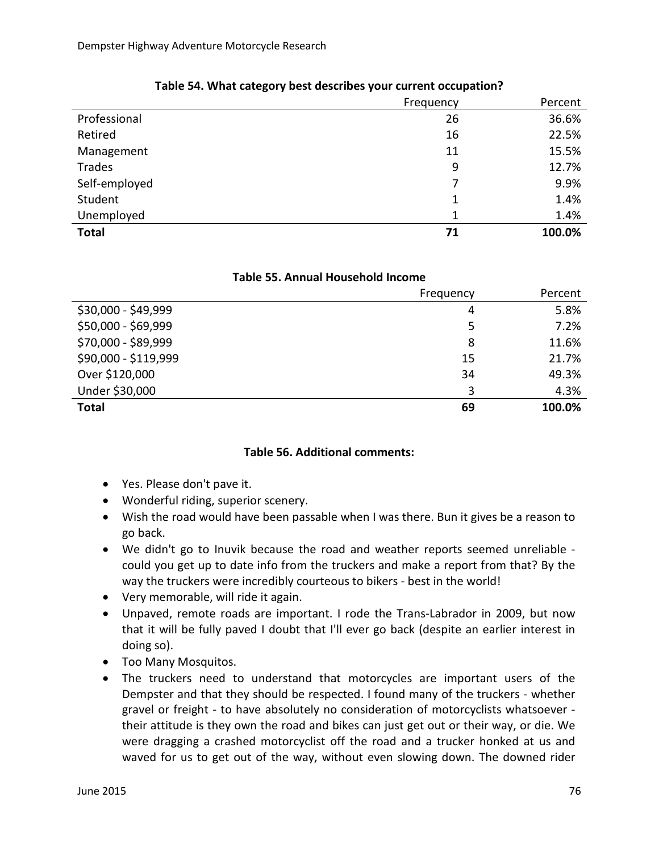|               | Frequency | Percent |
|---------------|-----------|---------|
| Professional  | 26        | 36.6%   |
| Retired       | 16        | 22.5%   |
| Management    | 11        | 15.5%   |
| Trades        | 9         | 12.7%   |
| Self-employed | 7         | 9.9%    |
| Student       | 1         | 1.4%    |
| Unemployed    | 1         | 1.4%    |
| <b>Total</b>  | 71        | 100.0%  |

### **Table 54. What category best describes your current occupation?**

#### **Table 55. Annual Household Income**

|                      | Frequency | Percent |
|----------------------|-----------|---------|
| \$30,000 - \$49,999  | 4         | 5.8%    |
| \$50,000 - \$69,999  | 5         | 7.2%    |
| \$70,000 - \$89,999  | 8         | 11.6%   |
| \$90,000 - \$119,999 | 15        | 21.7%   |
| Over \$120,000       | 34        | 49.3%   |
| Under \$30,000       | 3         | 4.3%    |
| <b>Total</b>         | 69        | 100.0%  |

#### **Table 56. Additional comments:**

- Yes. Please don't pave it.
- Wonderful riding, superior scenery.
- Wish the road would have been passable when I was there. Bun it gives be a reason to go back.
- We didn't go to Inuvik because the road and weather reports seemed unreliable could you get up to date info from the truckers and make a report from that? By the way the truckers were incredibly courteous to bikers - best in the world!
- Very memorable, will ride it again.
- Unpaved, remote roads are important. I rode the Trans-Labrador in 2009, but now that it will be fully paved I doubt that I'll ever go back (despite an earlier interest in doing so).
- Too Many Mosquitos.
- The truckers need to understand that motorcycles are important users of the Dempster and that they should be respected. I found many of the truckers - whether gravel or freight - to have absolutely no consideration of motorcyclists whatsoever their attitude is they own the road and bikes can just get out or their way, or die. We were dragging a crashed motorcyclist off the road and a trucker honked at us and waved for us to get out of the way, without even slowing down. The downed rider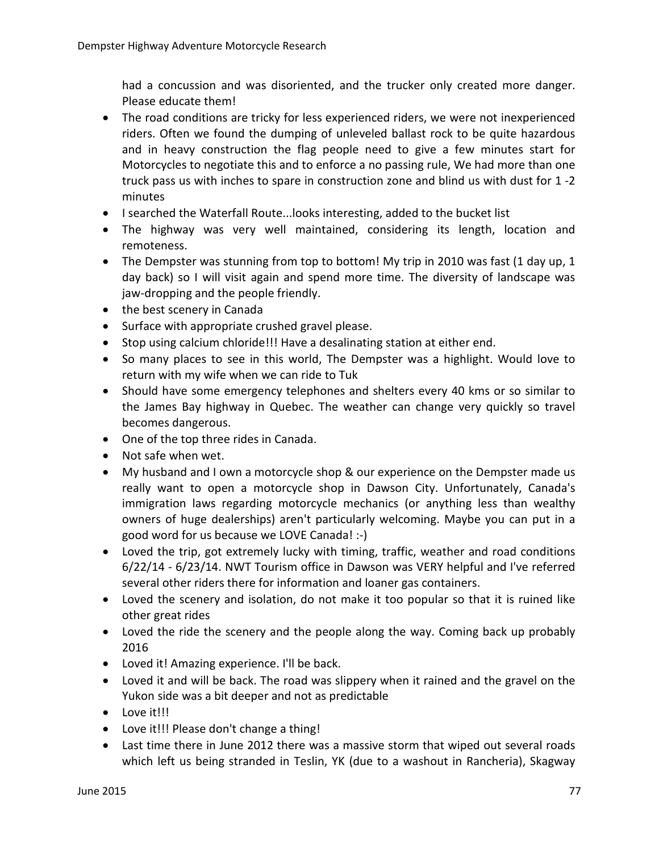had a concussion and was disoriented, and the trucker only created more danger. Please educate them!

- The road conditions are tricky for less experienced riders, we were not inexperienced riders. Often we found the dumping of unleveled ballast rock to be quite hazardous and in heavy construction the flag people need to give a few minutes start for Motorcycles to negotiate this and to enforce a no passing rule, We had more than one truck pass us with inches to spare in construction zone and blind us with dust for 1 -2 minutes
- I searched the Waterfall Route...looks interesting, added to the bucket list
- The highway was very well maintained, considering its length, location and remoteness.
- The Dempster was stunning from top to bottom! My trip in 2010 was fast (1 day up, 1) day back) so I will visit again and spend more time. The diversity of landscape was jaw-dropping and the people friendly.
- the best scenery in Canada
- Surface with appropriate crushed gravel please.
- Stop using calcium chloride!!! Have a desalinating station at either end.
- So many places to see in this world, The Dempster was a highlight. Would love to return with my wife when we can ride to Tuk
- Should have some emergency telephones and shelters every 40 kms or so similar to the James Bay highway in Quebec. The weather can change very quickly so travel becomes dangerous.
- One of the top three rides in Canada.
- Not safe when wet.
- My husband and I own a motorcycle shop & our experience on the Dempster made us really want to open a motorcycle shop in Dawson City. Unfortunately, Canada's immigration laws regarding motorcycle mechanics (or anything less than wealthy owners of huge dealerships) aren't particularly welcoming. Maybe you can put in a good word for us because we LOVE Canada! :-)
- Loved the trip, got extremely lucky with timing, traffic, weather and road conditions 6/22/14 - 6/23/14. NWT Tourism office in Dawson was VERY helpful and I've referred several other riders there for information and loaner gas containers.
- Loved the scenery and isolation, do not make it too popular so that it is ruined like other great rides
- Loved the ride the scenery and the people along the way. Coming back up probably 2016
- Loved it! Amazing experience. I'll be back.
- Loved it and will be back. The road was slippery when it rained and the gravel on the Yukon side was a bit deeper and not as predictable
- Love it!!!
- Love it!!! Please don't change a thing!
- Last time there in June 2012 there was a massive storm that wiped out several roads which left us being stranded in Teslin, YK (due to a washout in Rancheria), Skagway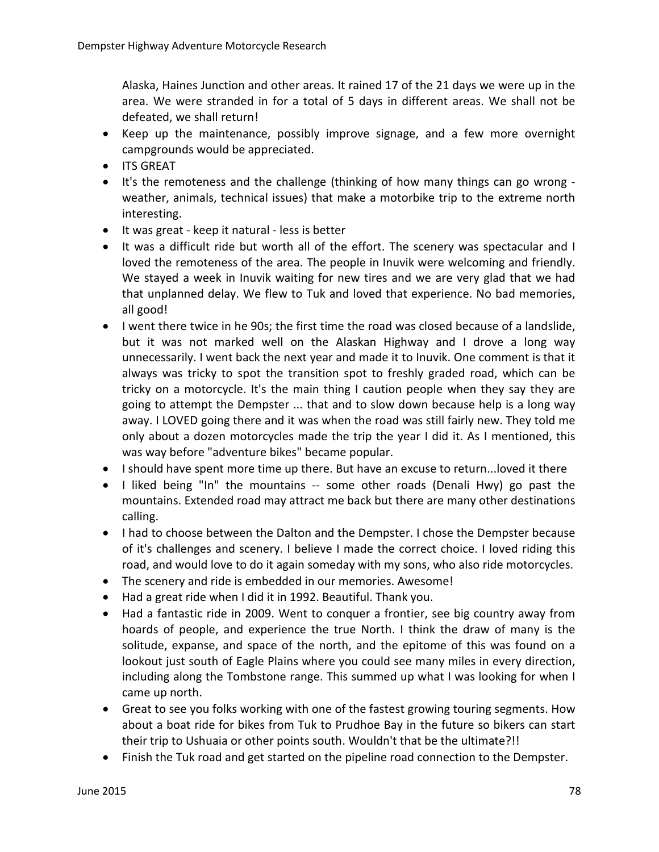Alaska, Haines Junction and other areas. It rained 17 of the 21 days we were up in the area. We were stranded in for a total of 5 days in different areas. We shall not be defeated, we shall return!

- Keep up the maintenance, possibly improve signage, and a few more overnight campgrounds would be appreciated.
- ITS GREAT
- It's the remoteness and the challenge (thinking of how many things can go wrong weather, animals, technical issues) that make a motorbike trip to the extreme north interesting.
- It was great keep it natural less is better
- It was a difficult ride but worth all of the effort. The scenery was spectacular and I loved the remoteness of the area. The people in Inuvik were welcoming and friendly. We stayed a week in Inuvik waiting for new tires and we are very glad that we had that unplanned delay. We flew to Tuk and loved that experience. No bad memories, all good!
- I went there twice in he 90s; the first time the road was closed because of a landslide, but it was not marked well on the Alaskan Highway and I drove a long way unnecessarily. I went back the next year and made it to Inuvik. One comment is that it always was tricky to spot the transition spot to freshly graded road, which can be tricky on a motorcycle. It's the main thing I caution people when they say they are going to attempt the Dempster ... that and to slow down because help is a long way away. I LOVED going there and it was when the road was still fairly new. They told me only about a dozen motorcycles made the trip the year I did it. As I mentioned, this was way before "adventure bikes" became popular.
- I should have spent more time up there. But have an excuse to return...loved it there
- I liked being "In" the mountains -- some other roads (Denali Hwy) go past the mountains. Extended road may attract me back but there are many other destinations calling.
- I had to choose between the Dalton and the Dempster. I chose the Dempster because of it's challenges and scenery. I believe I made the correct choice. I loved riding this road, and would love to do it again someday with my sons, who also ride motorcycles.
- The scenery and ride is embedded in our memories. Awesome!
- Had a great ride when I did it in 1992. Beautiful. Thank you.
- Had a fantastic ride in 2009. Went to conquer a frontier, see big country away from hoards of people, and experience the true North. I think the draw of many is the solitude, expanse, and space of the north, and the epitome of this was found on a lookout just south of Eagle Plains where you could see many miles in every direction, including along the Tombstone range. This summed up what I was looking for when I came up north.
- Great to see you folks working with one of the fastest growing touring segments. How about a boat ride for bikes from Tuk to Prudhoe Bay in the future so bikers can start their trip to Ushuaia or other points south. Wouldn't that be the ultimate?!!
- Finish the Tuk road and get started on the pipeline road connection to the Dempster.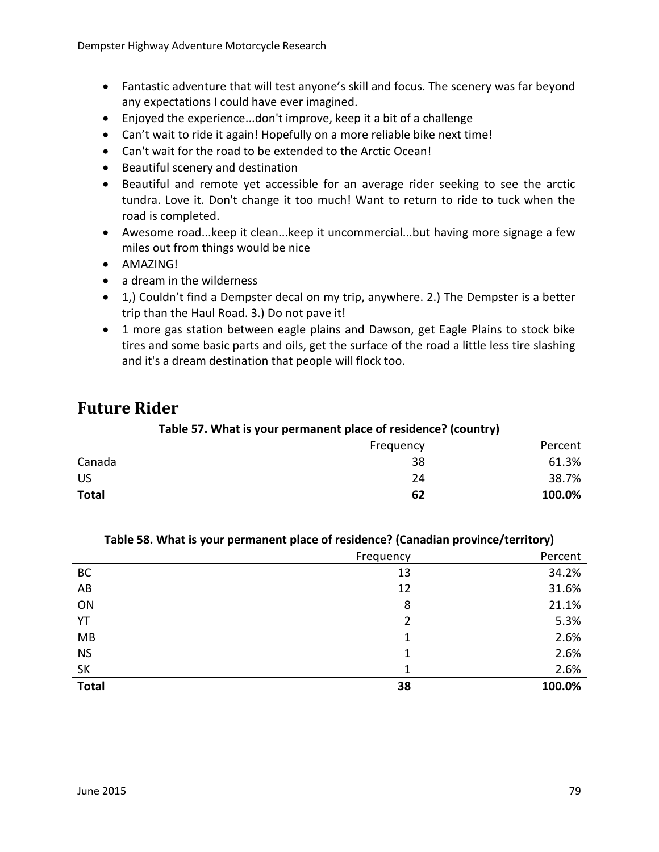- Fantastic adventure that will test anyone's skill and focus. The scenery was far beyond any expectations I could have ever imagined.
- Enjoyed the experience...don't improve, keep it a bit of a challenge
- Can't wait to ride it again! Hopefully on a more reliable bike next time!
- Can't wait for the road to be extended to the Arctic Ocean!
- Beautiful scenery and destination
- Beautiful and remote yet accessible for an average rider seeking to see the arctic tundra. Love it. Don't change it too much! Want to return to ride to tuck when the road is completed.
- Awesome road...keep it clean...keep it uncommercial...but having more signage a few miles out from things would be nice
- AMAZING!
- a dream in the wilderness
- 1,) Couldn't find a Dempster decal on my trip, anywhere. 2.) The Dempster is a better trip than the Haul Road. 3.) Do not pave it!
- 1 more gas station between eagle plains and Dawson, get Eagle Plains to stock bike tires and some basic parts and oils, get the surface of the road a little less tire slashing and it's a dream destination that people will flock too.

# **Future Rider**

#### **Table 57. What is your permanent place of residence? (country)**

|              | Frequency | Percent |
|--------------|-----------|---------|
| Canada       | 38        | 61.3%   |
| US           | 24        | 38.7%   |
| <b>Total</b> | 62        | 100.0%  |

|              | Frequency | Percent |
|--------------|-----------|---------|
| <b>BC</b>    | 13        | 34.2%   |
| AB           | 12        | 31.6%   |
| ON           | 8         | 21.1%   |
| YT           | 2         | 5.3%    |
| MB           | 1         | 2.6%    |
| <b>NS</b>    | 1         | 2.6%    |
| <b>SK</b>    | 1         | 2.6%    |
| <b>Total</b> | 38        | 100.0%  |

#### **Table 58. What is your permanent place of residence? (Canadian province/territory)**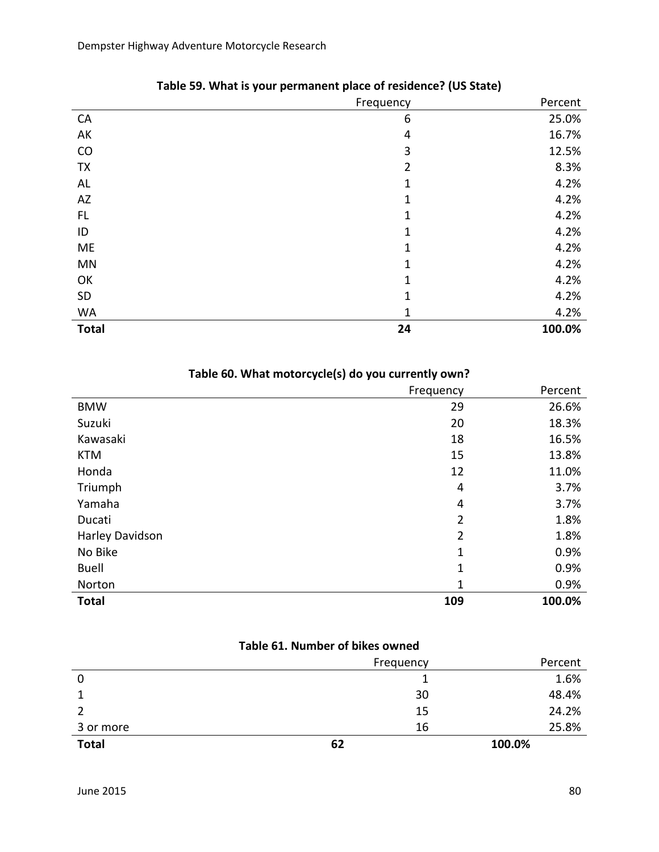|              | Frequency      | Percent |
|--------------|----------------|---------|
| CA           | 6              | 25.0%   |
| AK           | 4              | 16.7%   |
| CO           | 3              | 12.5%   |
| <b>TX</b>    | $\overline{2}$ | 8.3%    |
| AL           | 1              | 4.2%    |
| AZ           | 1              | 4.2%    |
| FL           | 1              | 4.2%    |
| ID           | 1              | 4.2%    |
| ME           | 1              | 4.2%    |
| MN           | 1              | 4.2%    |
| OK           | 1              | 4.2%    |
| <b>SD</b>    | 1              | 4.2%    |
| <b>WA</b>    | 1              | 4.2%    |
| <b>Total</b> | 24             | 100.0%  |

## **Table 59. What is your permanent place of residence? (US State)**

| Table 60. What motorcycle(s) do you currently own? |  |  |
|----------------------------------------------------|--|--|
|----------------------------------------------------|--|--|

|                 | Frequency      | Percent |
|-----------------|----------------|---------|
| <b>BMW</b>      | 29             | 26.6%   |
| Suzuki          | 20             | 18.3%   |
| Kawasaki        | 18             | 16.5%   |
| <b>KTM</b>      | 15             | 13.8%   |
| Honda           | 12             | 11.0%   |
| Triumph         | 4              | 3.7%    |
| Yamaha          | 4              | 3.7%    |
| Ducati          | 2              | 1.8%    |
| Harley Davidson | $\overline{2}$ | 1.8%    |
| No Bike         | 1              | 0.9%    |
| <b>Buell</b>    | $\mathbf{1}$   | 0.9%    |
| Norton          | 1              | 0.9%    |
| <b>Total</b>    | 109            | 100.0%  |

#### **Table 61. Number of bikes owned**

|              | Frequency | Percent |
|--------------|-----------|---------|
| 0            |           | 1.6%    |
|              | 30        | 48.4%   |
|              | 15        | 24.2%   |
| 3 or more    | 16        | 25.8%   |
| <b>Total</b> | 62        | 100.0%  |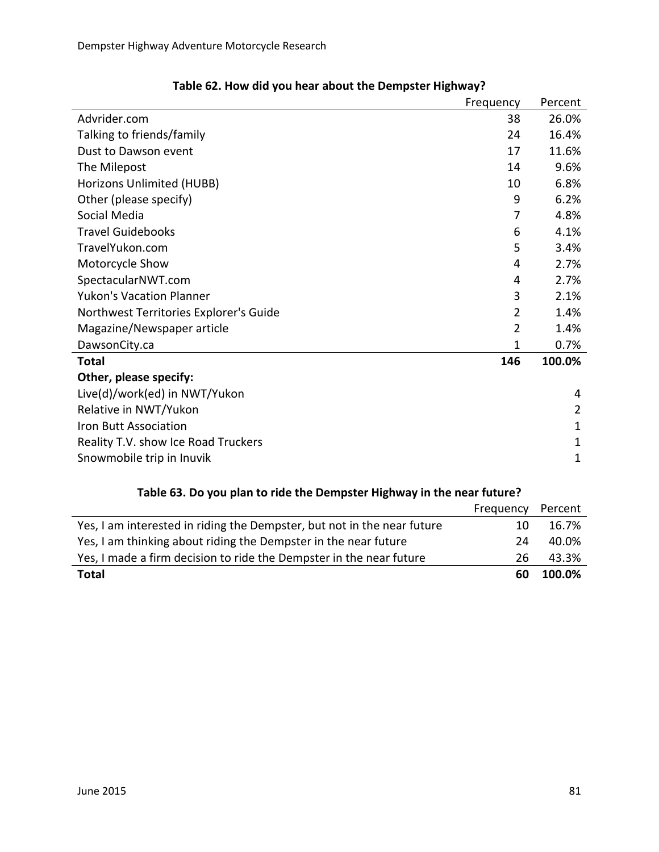|                                        | Frequency      | Percent |
|----------------------------------------|----------------|---------|
| Advrider.com                           | 38             | 26.0%   |
| Talking to friends/family              | 24             | 16.4%   |
| Dust to Dawson event                   | 17             | 11.6%   |
| The Milepost                           | 14             | 9.6%    |
| Horizons Unlimited (HUBB)              | 10             | 6.8%    |
| Other (please specify)                 | 9              | 6.2%    |
| Social Media                           | 7              | 4.8%    |
| <b>Travel Guidebooks</b>               | 6              | 4.1%    |
| TravelYukon.com                        | 5              | 3.4%    |
| Motorcycle Show                        | 4              | 2.7%    |
| SpectacularNWT.com                     | 4              | 2.7%    |
| <b>Yukon's Vacation Planner</b>        | 3              | 2.1%    |
| Northwest Territories Explorer's Guide | $\overline{2}$ | 1.4%    |
| Magazine/Newspaper article             | $\overline{2}$ | 1.4%    |
| DawsonCity.ca                          | 1              | 0.7%    |
| <b>Total</b>                           | 146            | 100.0%  |
| Other, please specify:                 |                |         |
| Live(d)/work(ed) in NWT/Yukon          |                | 4       |
| Relative in NWT/Yukon                  |                | 2       |
| Iron Butt Association                  |                | 1       |
| Reality T.V. show Ice Road Truckers    |                | 1       |
| Snowmobile trip in Inuvik              |                | 1       |

| Table 63. Do you plan to ride the Dempster Highway in the near future?  |           |         |
|-------------------------------------------------------------------------|-----------|---------|
|                                                                         | Frequency | Percent |
| Yes, I am interested in riding the Dempster, but not in the near future | 10        | 16.7%   |
| Yes, I am thinking about riding the Dempster in the near future         | 24        | 40.0%   |
| Yes, I made a firm decision to ride the Dempster in the near future     | 26        | 43.3%   |
| <b>Total</b>                                                            | 60        | 100.0%  |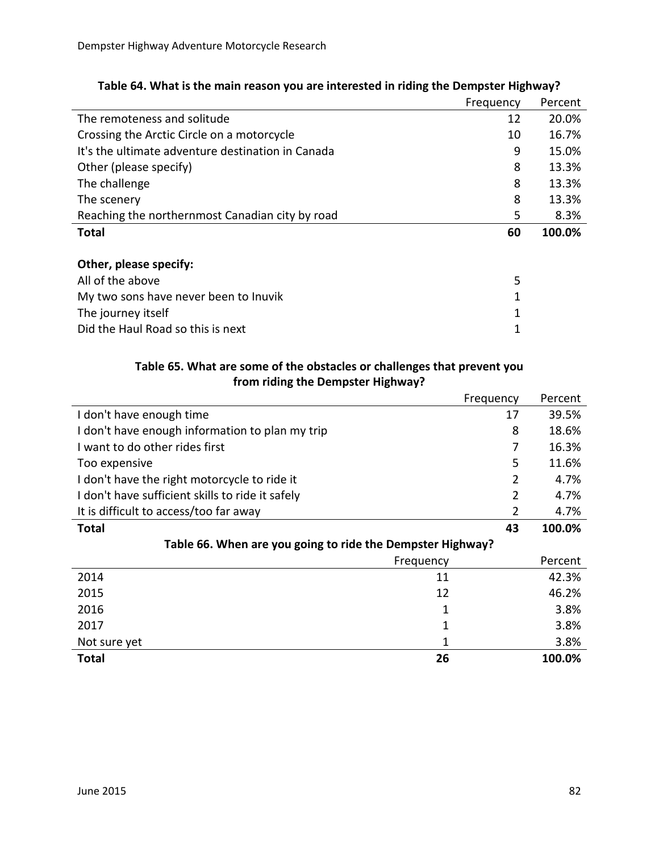|                                                   | Frequency | Percent |
|---------------------------------------------------|-----------|---------|
| The remoteness and solitude                       | 12        | 20.0%   |
| Crossing the Arctic Circle on a motorcycle        | 10        | 16.7%   |
| It's the ultimate adventure destination in Canada | 9         | 15.0%   |
| Other (please specify)                            | 8         | 13.3%   |
| The challenge                                     | 8         | 13.3%   |
| The scenery                                       | 8         | 13.3%   |
| Reaching the northernmost Canadian city by road   | 5         | 8.3%    |
| <b>Total</b>                                      | 60        | 100.0%  |
|                                                   |           |         |
| Other, please specify:                            |           |         |
| All of the above                                  | 5         |         |
| My two sons have never been to Inuvik             | 1         |         |
| The journey itself                                | 1         |         |
| Did the Haul Road so this is next                 | 1         |         |

## **Table 64. What is the main reason you are interested in riding the Dempster Highway?**

## **Table 65. What are some of the obstacles or challenges that prevent you from riding the Dempster Highway?**

| <b>Trom Haing the Dempster Highway:</b>                    |           |         |
|------------------------------------------------------------|-----------|---------|
|                                                            | Frequency | Percent |
| I don't have enough time                                   | 17        | 39.5%   |
| I don't have enough information to plan my trip            | 8         | 18.6%   |
| I want to do other rides first                             | 7         | 16.3%   |
| Too expensive                                              | 5         | 11.6%   |
| I don't have the right motorcycle to ride it               | 2         | 4.7%    |
| I don't have sufficient skills to ride it safely           | 2         | 4.7%    |
| It is difficult to access/too far away                     | 2         | 4.7%    |
| Total                                                      | 43        | 100.0%  |
| Table 66. When are you going to ride the Dempster Highway? |           |         |
| Frequency                                                  |           | Percent |
| 2014<br>11                                                 |           | 42.3%   |
| 2015<br>12                                                 |           | 46.2%   |
| 2016                                                       | 1         | 3.8%    |
| 2017                                                       | 1         | 3.8%    |
| Not sure yet                                               | 1         | 3.8%    |
| 26<br>Total                                                |           | 100.0%  |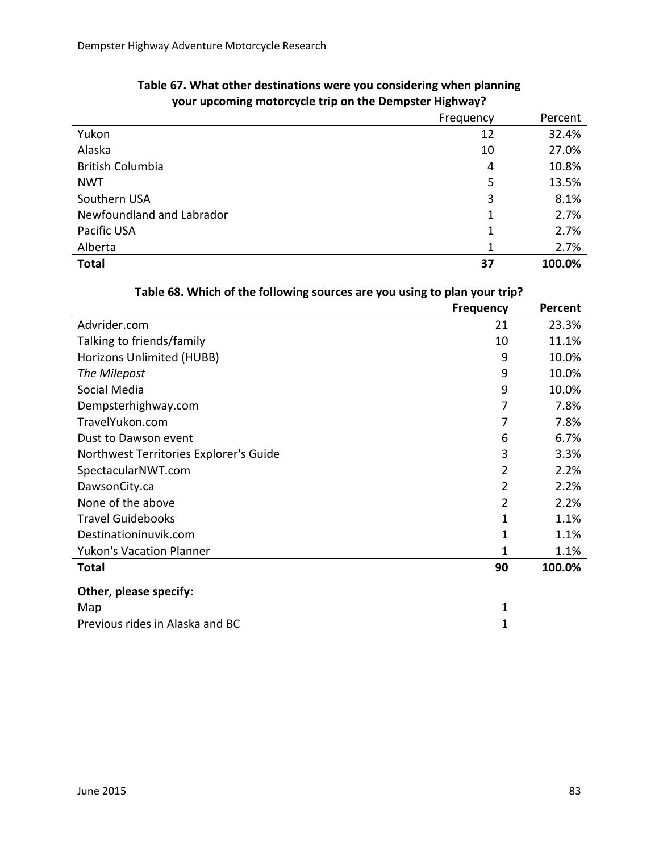|                           | Frequency | Percent |
|---------------------------|-----------|---------|
| Yukon                     | 12        | 32.4%   |
| Alaska                    | 10        | 27.0%   |
| <b>British Columbia</b>   | 4         | 10.8%   |
| <b>NWT</b>                | 5         | 13.5%   |
| Southern USA              | 3         | 8.1%    |
| Newfoundland and Labrador | 1         | 2.7%    |
| Pacific USA               | 1         | 2.7%    |
| Alberta                   | 1         | 2.7%    |
| <b>Total</b>              | 37        | 100.0%  |

## **Table 67. What other destinations were you considering when planning your upcoming motorcycle trip on the Dempster Highway?**

| Table 68. Which of the following sources are you using to plan your trip? |  |
|---------------------------------------------------------------------------|--|
|                                                                           |  |

|                                        | <b>Frequency</b> | Percent |
|----------------------------------------|------------------|---------|
| Advrider.com                           | 21               | 23.3%   |
| Talking to friends/family              | 10               | 11.1%   |
| Horizons Unlimited (HUBB)              | 9                | 10.0%   |
| The Milepost                           | 9                | 10.0%   |
| Social Media                           | 9                | 10.0%   |
| Dempsterhighway.com                    | 7                | 7.8%    |
| TravelYukon.com                        | 7                | 7.8%    |
| Dust to Dawson event                   | 6                | 6.7%    |
| Northwest Territories Explorer's Guide | 3                | 3.3%    |
| SpectacularNWT.com                     | $\overline{2}$   | 2.2%    |
| DawsonCity.ca                          | $\overline{2}$   | 2.2%    |
| None of the above                      | $\overline{2}$   | 2.2%    |
| <b>Travel Guidebooks</b>               | 1                | 1.1%    |
| Destinationinuvik.com                  | 1                | 1.1%    |
| <b>Yukon's Vacation Planner</b>        | 1                | 1.1%    |
| <b>Total</b>                           | 90               | 100.0%  |
| Other, please specify:                 |                  |         |
| Map                                    | 1                |         |
| Previous rides in Alaska and BC        | 1                |         |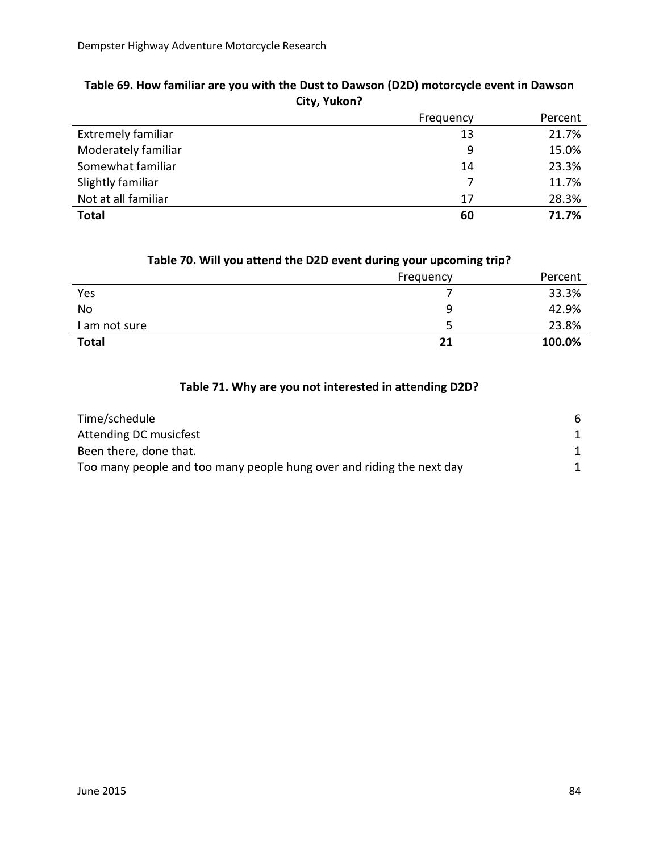|                           | Frequency | Percent |
|---------------------------|-----------|---------|
| <b>Extremely familiar</b> | 13        | 21.7%   |
| Moderately familiar       | 9         | 15.0%   |
| Somewhat familiar         | 14        | 23.3%   |
| Slightly familiar         | 7         | 11.7%   |
| Not at all familiar       | 17        | 28.3%   |
| <b>Total</b>              | 60        | 71.7%   |

## **Table 69. How familiar are you with the Dust to Dawson (D2D) motorcycle event in Dawson City, Yukon?**

| $1800$ . We have accented the DZD event thanks your apcoming trips |           |         |
|--------------------------------------------------------------------|-----------|---------|
|                                                                    | Frequency | Percent |
| Yes                                                                |           | 33.3%   |
| No                                                                 | q         | 42.9%   |
| I am not sure                                                      |           | 23.8%   |
| <b>Total</b>                                                       | 21        | 100.0%  |

#### **Table 70. Will you attend the D2D event during your upcoming trip?**

## **Table 71. Why are you not interested in attending D2D?**

| Time/schedule                                                         | 6 |
|-----------------------------------------------------------------------|---|
| Attending DC musicfest                                                |   |
| Been there, done that.                                                |   |
| Too many people and too many people hung over and riding the next day |   |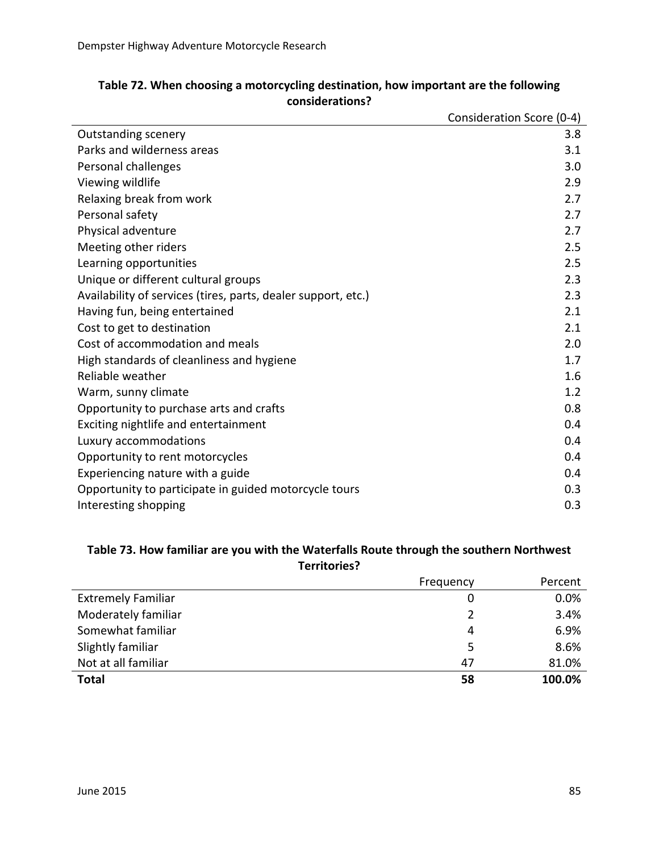|                                                               | Consideration Score (0-4) |
|---------------------------------------------------------------|---------------------------|
| <b>Outstanding scenery</b>                                    | 3.8                       |
| Parks and wilderness areas                                    | 3.1                       |
| Personal challenges                                           | 3.0                       |
| Viewing wildlife                                              | 2.9                       |
| Relaxing break from work                                      | 2.7                       |
| Personal safety                                               | 2.7                       |
| Physical adventure                                            | 2.7                       |
| Meeting other riders                                          | 2.5                       |
| Learning opportunities                                        | 2.5                       |
| Unique or different cultural groups                           | 2.3                       |
| Availability of services (tires, parts, dealer support, etc.) | 2.3                       |
| Having fun, being entertained                                 | 2.1                       |
| Cost to get to destination                                    | 2.1                       |
| Cost of accommodation and meals                               | 2.0                       |
| High standards of cleanliness and hygiene                     | 1.7                       |
| Reliable weather                                              | 1.6                       |
| Warm, sunny climate                                           | 1.2                       |
| Opportunity to purchase arts and crafts                       | 0.8                       |
| Exciting nightlife and entertainment                          | 0.4                       |
| Luxury accommodations                                         | 0.4                       |
| Opportunity to rent motorcycles                               | 0.4                       |
| Experiencing nature with a guide                              | 0.4                       |
| Opportunity to participate in guided motorcycle tours         | 0.3                       |
| Interesting shopping                                          | 0.3                       |

## **Table 72. When choosing a motorcycling destination, how important are the following considerations?**

#### **Table 73. How familiar are you with the Waterfalls Route through the southern Northwest Territories?**

|                           | Frequency | Percent |
|---------------------------|-----------|---------|
| <b>Extremely Familiar</b> | 0         | 0.0%    |
| Moderately familiar       | 2         | 3.4%    |
| Somewhat familiar         | 4         | 6.9%    |
| Slightly familiar         | 5         | 8.6%    |
| Not at all familiar       | 47        | 81.0%   |
| <b>Total</b>              | 58        | 100.0%  |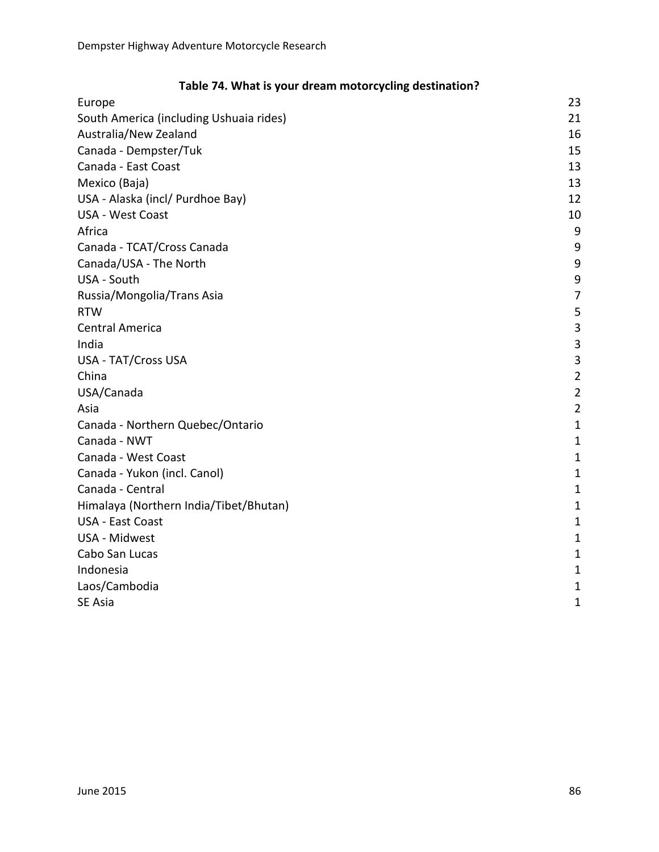| Europe                                  | 23             |
|-----------------------------------------|----------------|
| South America (including Ushuaia rides) | 21             |
| Australia/New Zealand                   | 16             |
| Canada - Dempster/Tuk                   | 15             |
| Canada - East Coast                     | 13             |
| Mexico (Baja)                           | 13             |
| USA - Alaska (incl/ Purdhoe Bay)        | 12             |
| USA - West Coast                        | 10             |
| Africa                                  | 9              |
| Canada - TCAT/Cross Canada              | 9              |
| Canada/USA - The North                  | 9              |
| USA - South                             | 9              |
| Russia/Mongolia/Trans Asia              | 7              |
| <b>RTW</b>                              | 5              |
| <b>Central America</b>                  | 3              |
| India                                   | 3              |
| <b>USA - TAT/Cross USA</b>              | 3              |
| China                                   | $\overline{2}$ |
| USA/Canada                              | $\overline{c}$ |
| Asia                                    | $\overline{2}$ |
| Canada - Northern Quebec/Ontario        | $\mathbf{1}$   |
| Canada - NWT                            | $\mathbf{1}$   |
| Canada - West Coast                     | $\overline{1}$ |
| Canada - Yukon (incl. Canol)            | $\mathbf{1}$   |
| Canada - Central                        | $\mathbf{1}$   |
| Himalaya (Northern India/Tibet/Bhutan)  | $\mathbf{1}$   |
| <b>USA - East Coast</b>                 | $\mathbf{1}$   |
| USA - Midwest                           | $\mathbf{1}$   |
| Cabo San Lucas                          | $\mathbf{1}$   |
| Indonesia                               | $\mathbf{1}$   |
| Laos/Cambodia                           | $\mathbf{1}$   |
| SE Asia                                 | $\mathbf{1}$   |

## **Table 74. What is your dream motorcycling destination?**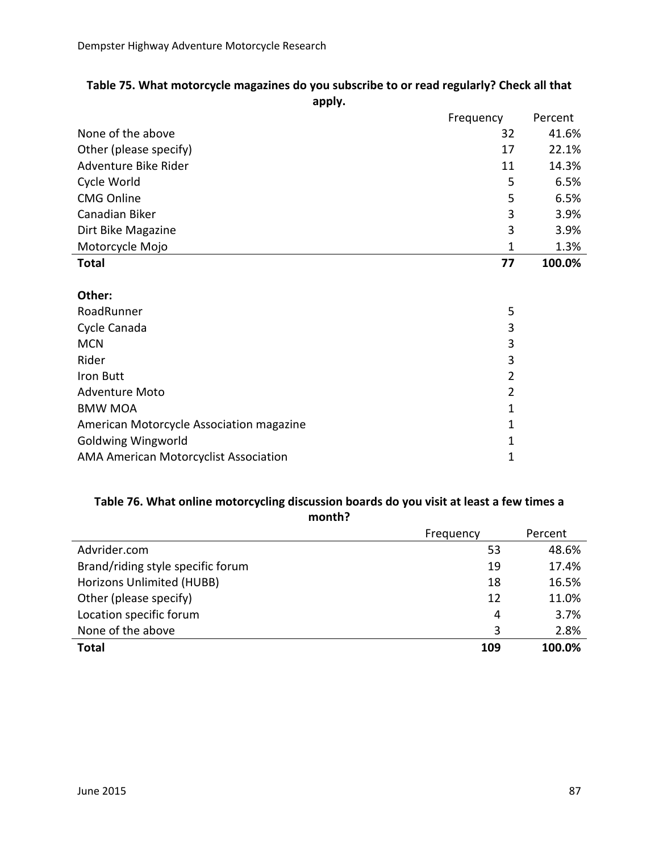| "                      |           |         |
|------------------------|-----------|---------|
|                        | Frequency | Percent |
| None of the above      | 32        | 41.6%   |
| Other (please specify) | 17        | 22.1%   |
| Adventure Bike Rider   | 11        | 14.3%   |
| Cycle World            | 5         | 6.5%    |
| <b>CMG Online</b>      | 5         | 6.5%    |
| Canadian Biker         | 3         | 3.9%    |
| Dirt Bike Magazine     | 3         | 3.9%    |
| Motorcycle Mojo        | 1         | 1.3%    |
| <b>Total</b>           | 77        | 100.0%  |
|                        |           |         |

#### **Table 75. What motorcycle magazines do you subscribe to or read regularly? Check all that apply.**

#### **Other:**

| RoadRunner                                   | 5 |
|----------------------------------------------|---|
| Cycle Canada                                 | 3 |
| <b>MCN</b>                                   | 3 |
| Rider                                        | 3 |
| Iron Butt                                    | 2 |
| <b>Adventure Moto</b>                        | 2 |
| <b>BMW MOA</b>                               | 1 |
| American Motorcycle Association magazine     | 1 |
| <b>Goldwing Wingworld</b>                    | 1 |
| <b>AMA American Motorcyclist Association</b> |   |
|                                              |   |

#### **Table 76. What online motorcycling discussion boards do you visit at least a few times a month?**

|                                   | Frequency | Percent |
|-----------------------------------|-----------|---------|
| Advrider.com                      | 53        | 48.6%   |
| Brand/riding style specific forum | 19        | 17.4%   |
| Horizons Unlimited (HUBB)         | 18        | 16.5%   |
| Other (please specify)            | 12        | 11.0%   |
| Location specific forum           | 4         | 3.7%    |
| None of the above                 | 3         | 2.8%    |
| <b>Total</b>                      | 109       | 100.0%  |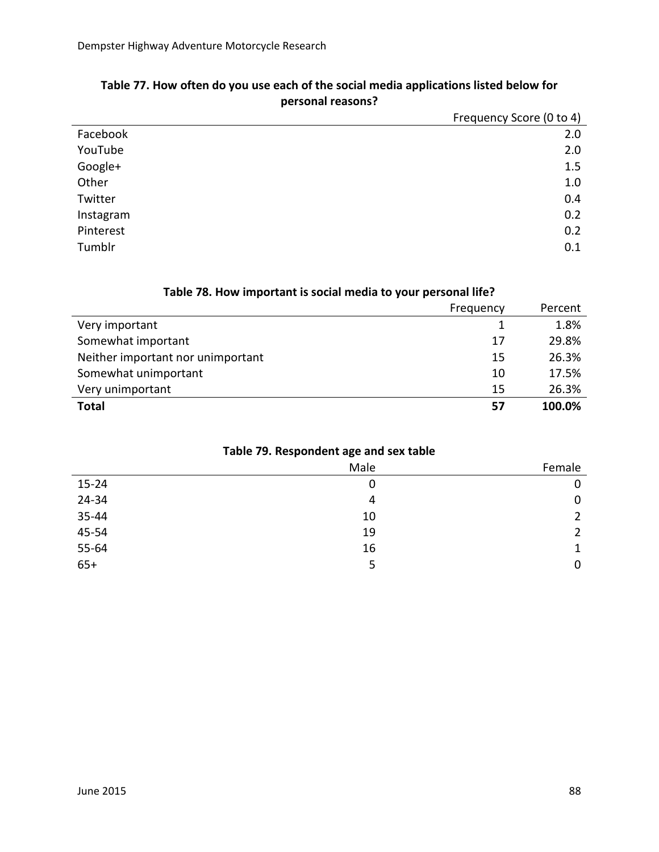|           | Frequency Score (0 to 4) |
|-----------|--------------------------|
| Facebook  | 2.0                      |
| YouTube   | 2.0                      |
| Google+   | 1.5                      |
| Other     | 1.0                      |
| Twitter   | 0.4                      |
| Instagram | 0.2                      |
| Pinterest | 0.2                      |
| Tumblr    | 0.1                      |

## **Table 77. How often do you use each of the social media applications listed below for personal reasons?**

## **Table 78. How important is social media to your personal life?**

|                                   | Frequency | Percent |
|-----------------------------------|-----------|---------|
| Very important                    |           | 1.8%    |
| Somewhat important                | 17        | 29.8%   |
| Neither important nor unimportant | 15        | 26.3%   |
| Somewhat unimportant              | 10        | 17.5%   |
| Very unimportant                  | 15        | 26.3%   |
| <b>Total</b>                      | 57        | 100.0%  |

## **Table 79. Respondent age and sex table**

|           | Male | Female                |
|-----------|------|-----------------------|
| $15 - 24$ | 0    | 0                     |
| 24-34     | 4    | $\mathbf 0$           |
| 35-44     | 10   | $\overline{2}$        |
| 45-54     | 19   | $\mathbf{2}^{\prime}$ |
| 55-64     | 16   | 1                     |
| $65+$     | 5    | 0                     |